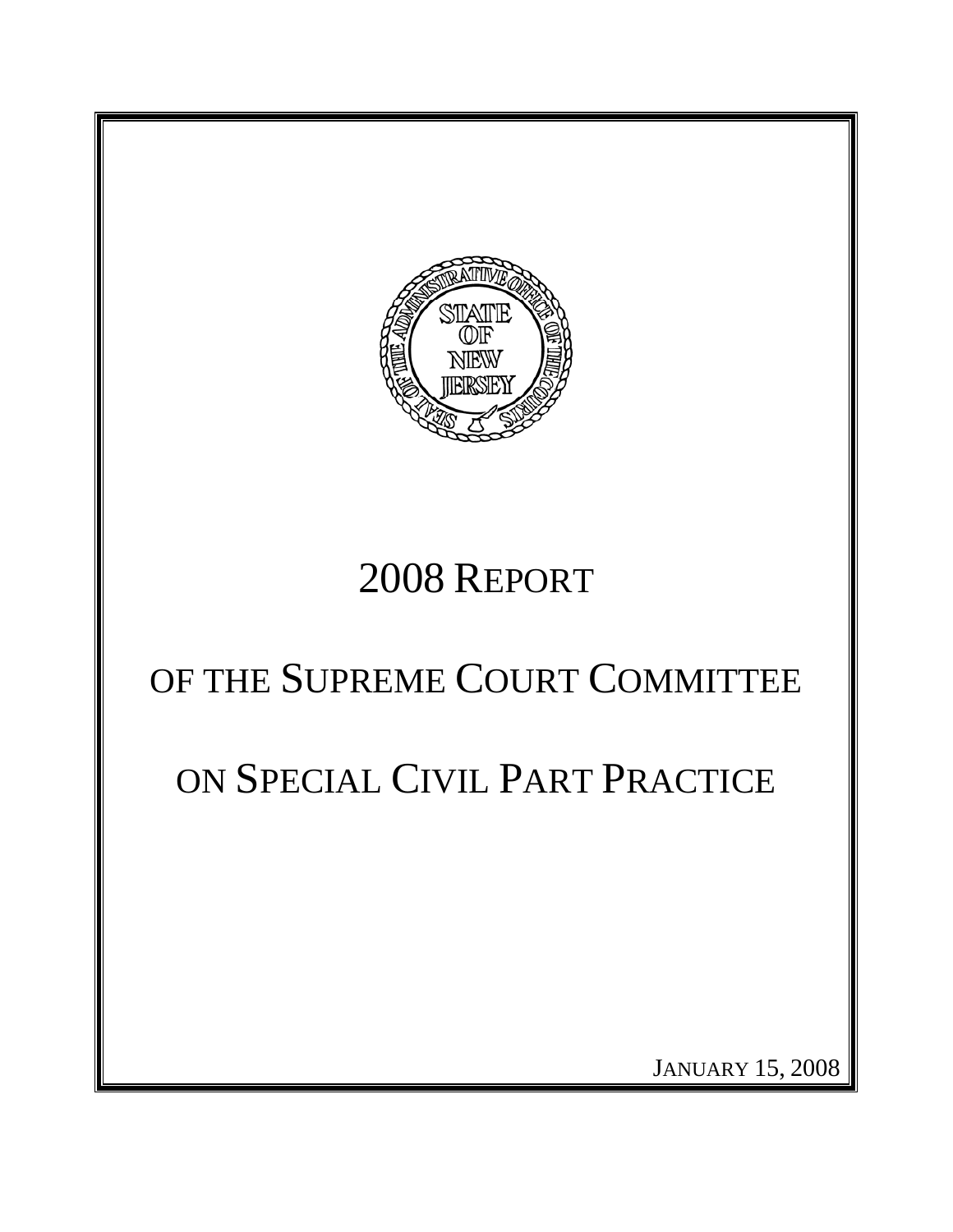

# 2008 REPORT

# OF THE SUPREME COURT COMMITTEE

# ON SPECIAL CIVIL PART PRACTICE

JANUARY 15, 2008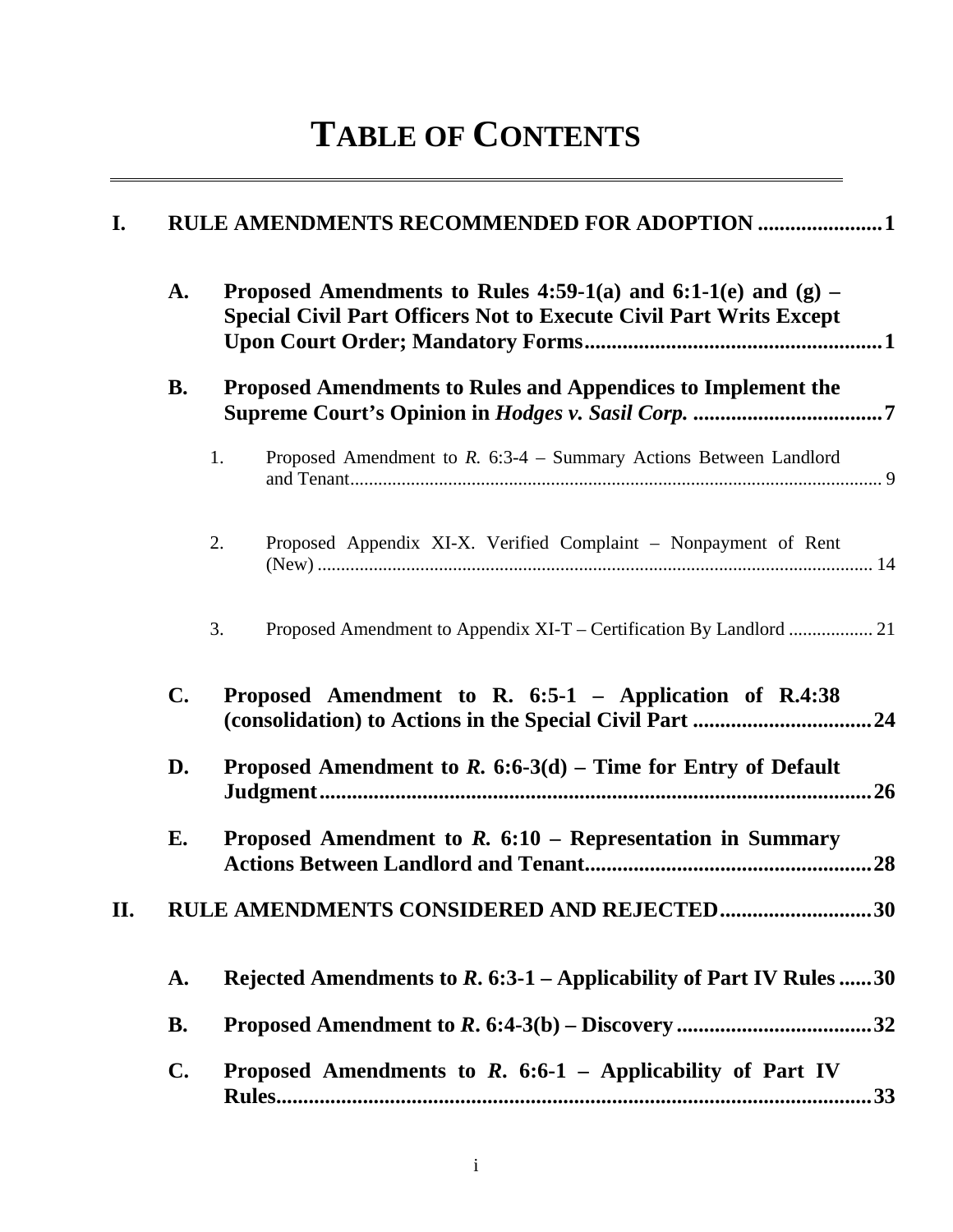# **TABLE OF CONTENTS**

| I. |                | RULE AMENDMENTS RECOMMENDED FOR ADOPTION  1                                                                                                  |
|----|----------------|----------------------------------------------------------------------------------------------------------------------------------------------|
|    | A.             | Proposed Amendments to Rules 4:59-1(a) and 6:1-1(e) and $(g)$ –<br><b>Special Civil Part Officers Not to Execute Civil Part Writs Except</b> |
|    | <b>B.</b>      | Proposed Amendments to Rules and Appendices to Implement the                                                                                 |
|    |                | 1.<br>Proposed Amendment to $R$ . 6:3-4 – Summary Actions Between Landlord                                                                   |
|    |                | 2.<br>Proposed Appendix XI-X. Verified Complaint - Nonpayment of Rent                                                                        |
|    |                | 3.                                                                                                                                           |
|    | $\mathbf{C}$ . | Proposed Amendment to R. 6:5-1 - Application of R.4:38                                                                                       |
|    | D.             | Proposed Amendment to $R$ . 6:6-3(d) – Time for Entry of Default<br>.26                                                                      |
|    | E.             | Proposed Amendment to $R$ . 6:10 – Representation in Summary                                                                                 |
| П. |                | RULE AMENDMENTS CONSIDERED AND REJECTED30                                                                                                    |
|    | A.             | Rejected Amendments to $R$ . 6:3-1 – Applicability of Part IV Rules 30                                                                       |
|    | <b>B.</b>      |                                                                                                                                              |
|    | $\mathbf{C}$ . | Proposed Amendments to $R$ . 6:6-1 – Applicability of Part IV<br>.33                                                                         |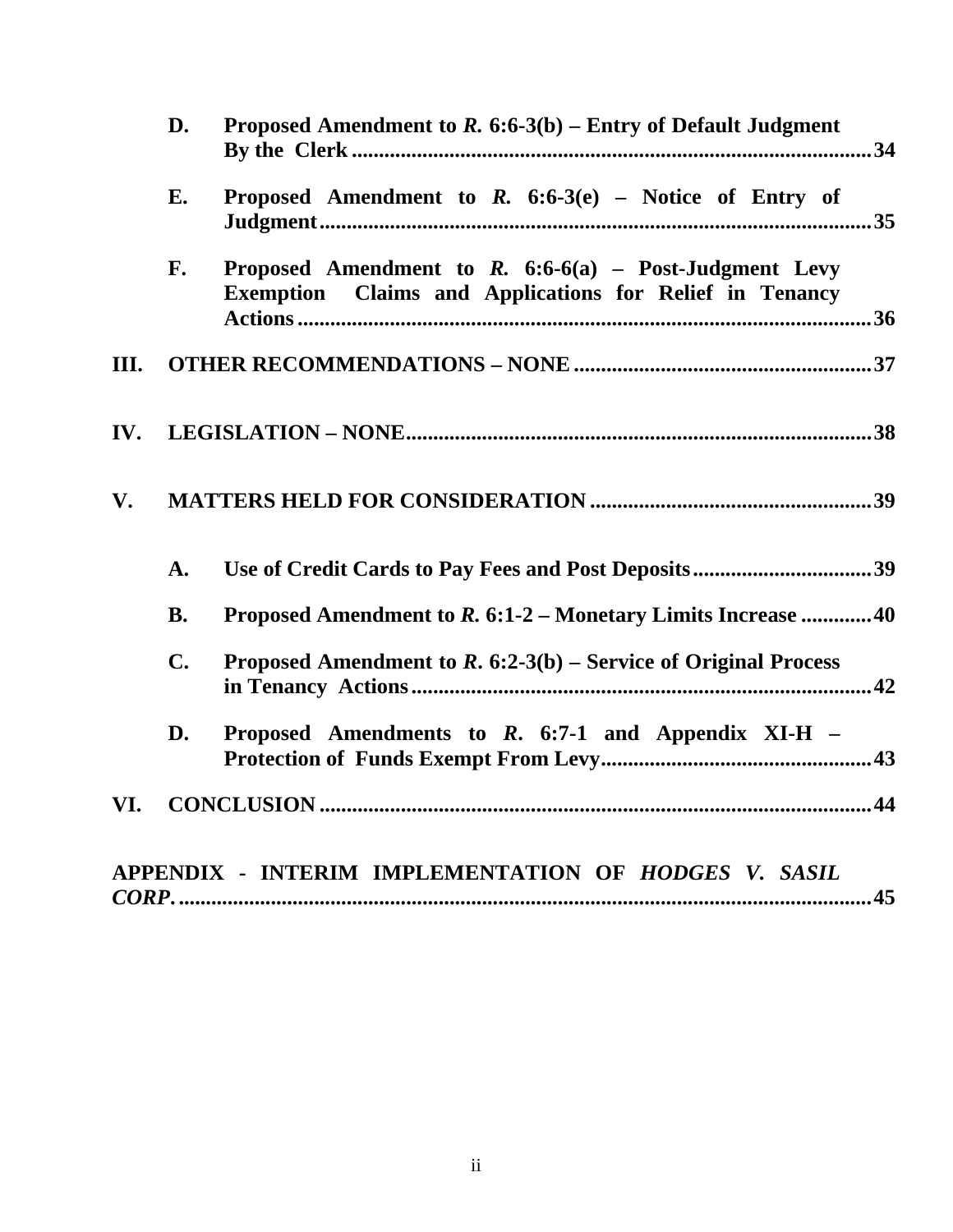|     | D.             | Proposed Amendment to $R. 6:6-3(b)$ – Entry of Default Judgment                                                     |
|-----|----------------|---------------------------------------------------------------------------------------------------------------------|
|     | E.             | Proposed Amendment to $R$ . 6:6-3(e) – Notice of Entry of                                                           |
|     | F.             | Proposed Amendment to $R.$ 6:6-6(a) - Post-Judgment Levy<br>Exemption Claims and Applications for Relief in Tenancy |
| Ш.  |                |                                                                                                                     |
| IV. |                |                                                                                                                     |
| V.  |                |                                                                                                                     |
|     | A.             | Use of Credit Cards to Pay Fees and Post Deposits39                                                                 |
|     | <b>B.</b>      | Proposed Amendment to R. 6:1-2 – Monetary Limits Increase 40                                                        |
|     | $\mathbf{C}$ . | Proposed Amendment to $R$ . 6:2-3(b) – Service of Original Process                                                  |
|     | D.             | Proposed Amendments to $R$ . 6:7-1 and Appendix XI-H $-$                                                            |
| VI. |                |                                                                                                                     |
|     |                | APPENDIX - INTERIM IMPLEMENTATION OF HODGES V. SASIL                                                                |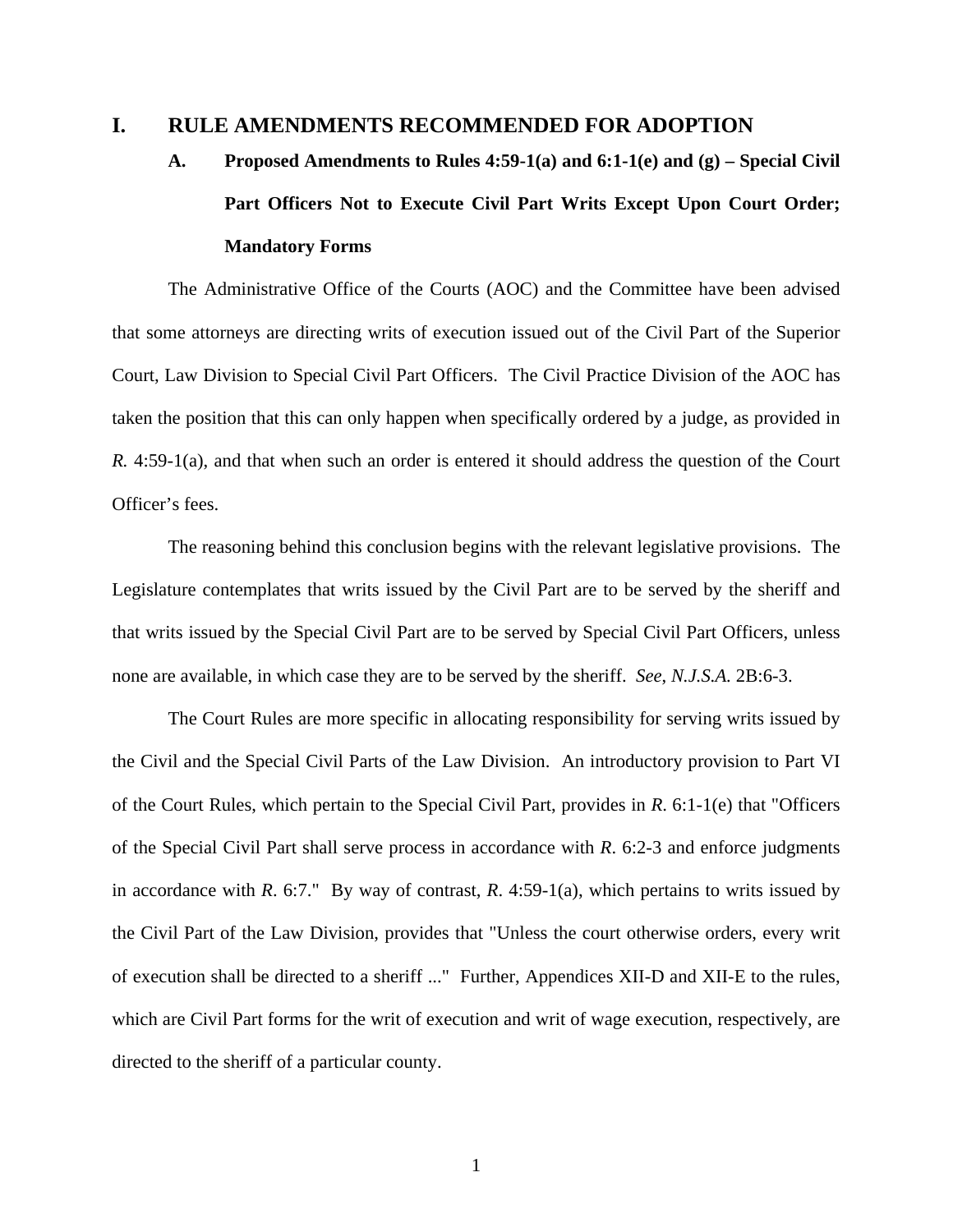#### **I. RULE AMENDMENTS RECOMMENDED FOR ADOPTION**

# **A. Proposed Amendments to Rules 4:59-1(a) and 6:1-1(e) and (g) – Special Civil Part Officers Not to Execute Civil Part Writs Except Upon Court Order; Mandatory Forms**

The Administrative Office of the Courts (AOC) and the Committee have been advised that some attorneys are directing writs of execution issued out of the Civil Part of the Superior Court, Law Division to Special Civil Part Officers. The Civil Practice Division of the AOC has taken the position that this can only happen when specifically ordered by a judge, as provided in *R.* 4:59-1(a), and that when such an order is entered it should address the question of the Court Officer's fees.

The reasoning behind this conclusion begins with the relevant legislative provisions. The Legislature contemplates that writs issued by the Civil Part are to be served by the sheriff and that writs issued by the Special Civil Part are to be served by Special Civil Part Officers, unless none are available, in which case they are to be served by the sheriff. *See*, *N.J.S.A.* 2B:6-3.

The Court Rules are more specific in allocating responsibility for serving writs issued by the Civil and the Special Civil Parts of the Law Division. An introductory provision to Part VI of the Court Rules, which pertain to the Special Civil Part, provides in *R*. 6:1-1(e) that "Officers of the Special Civil Part shall serve process in accordance with *R*. 6:2-3 and enforce judgments in accordance with *R*. 6:7." By way of contrast, *R*. 4:59-1(a), which pertains to writs issued by the Civil Part of the Law Division, provides that "Unless the court otherwise orders, every writ of execution shall be directed to a sheriff ..." Further, Appendices XII-D and XII-E to the rules, which are Civil Part forms for the writ of execution and writ of wage execution, respectively, are directed to the sheriff of a particular county.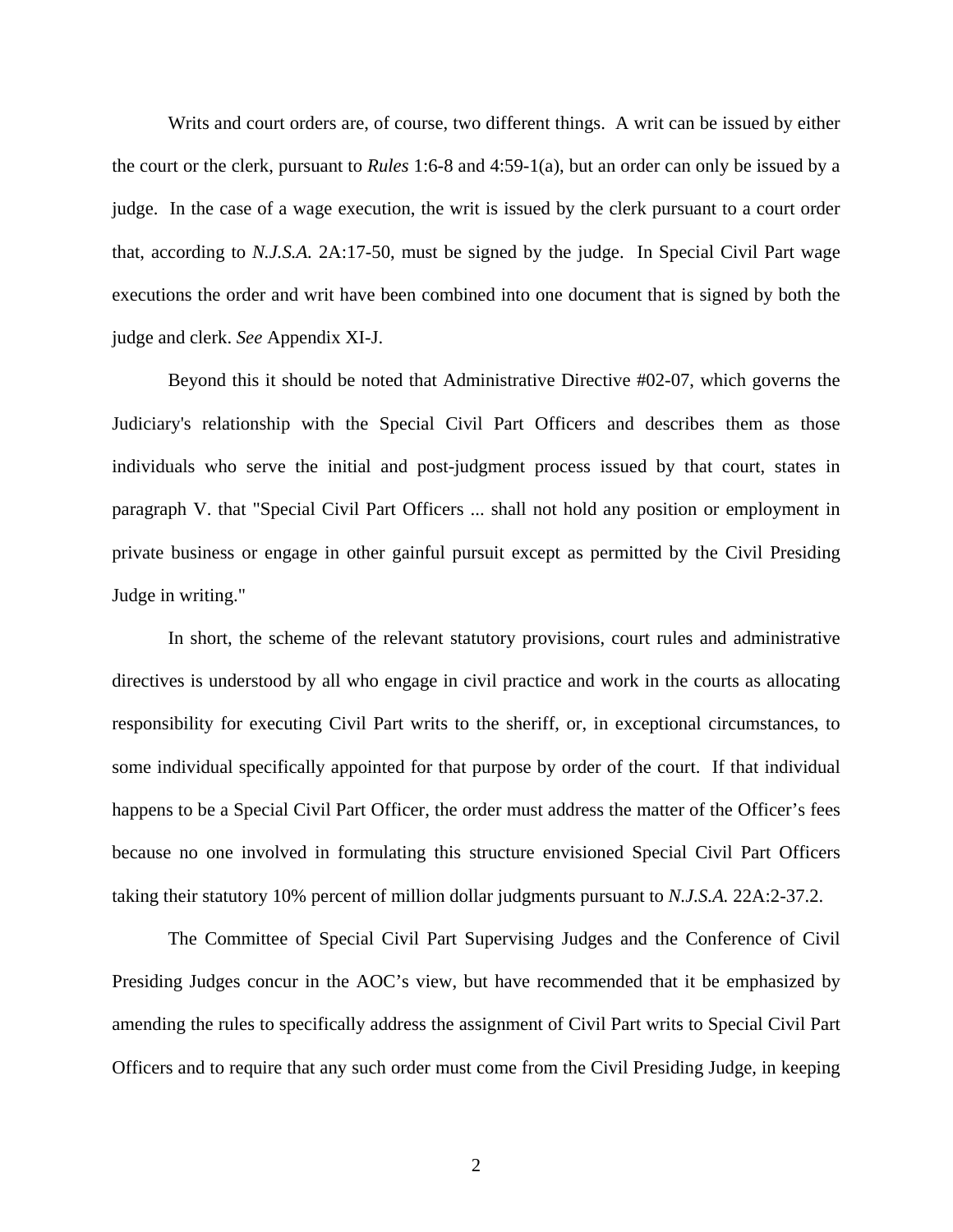Writs and court orders are, of course, two different things. A writ can be issued by either the court or the clerk, pursuant to *Rules* 1:6-8 and 4:59-1(a), but an order can only be issued by a judge. In the case of a wage execution, the writ is issued by the clerk pursuant to a court order that, according to *N.J.S.A.* 2A:17-50, must be signed by the judge. In Special Civil Part wage executions the order and writ have been combined into one document that is signed by both the judge and clerk. *See* Appendix XI-J.

Beyond this it should be noted that Administrative Directive #02-07, which governs the Judiciary's relationship with the Special Civil Part Officers and describes them as those individuals who serve the initial and post-judgment process issued by that court, states in paragraph V. that "Special Civil Part Officers ... shall not hold any position or employment in private business or engage in other gainful pursuit except as permitted by the Civil Presiding Judge in writing."

In short, the scheme of the relevant statutory provisions, court rules and administrative directives is understood by all who engage in civil practice and work in the courts as allocating responsibility for executing Civil Part writs to the sheriff, or, in exceptional circumstances, to some individual specifically appointed for that purpose by order of the court. If that individual happens to be a Special Civil Part Officer, the order must address the matter of the Officer's fees because no one involved in formulating this structure envisioned Special Civil Part Officers taking their statutory 10% percent of million dollar judgments pursuant to *N.J.S.A.* 22A:2-37.2.

The Committee of Special Civil Part Supervising Judges and the Conference of Civil Presiding Judges concur in the AOC's view, but have recommended that it be emphasized by amending the rules to specifically address the assignment of Civil Part writs to Special Civil Part Officers and to require that any such order must come from the Civil Presiding Judge, in keeping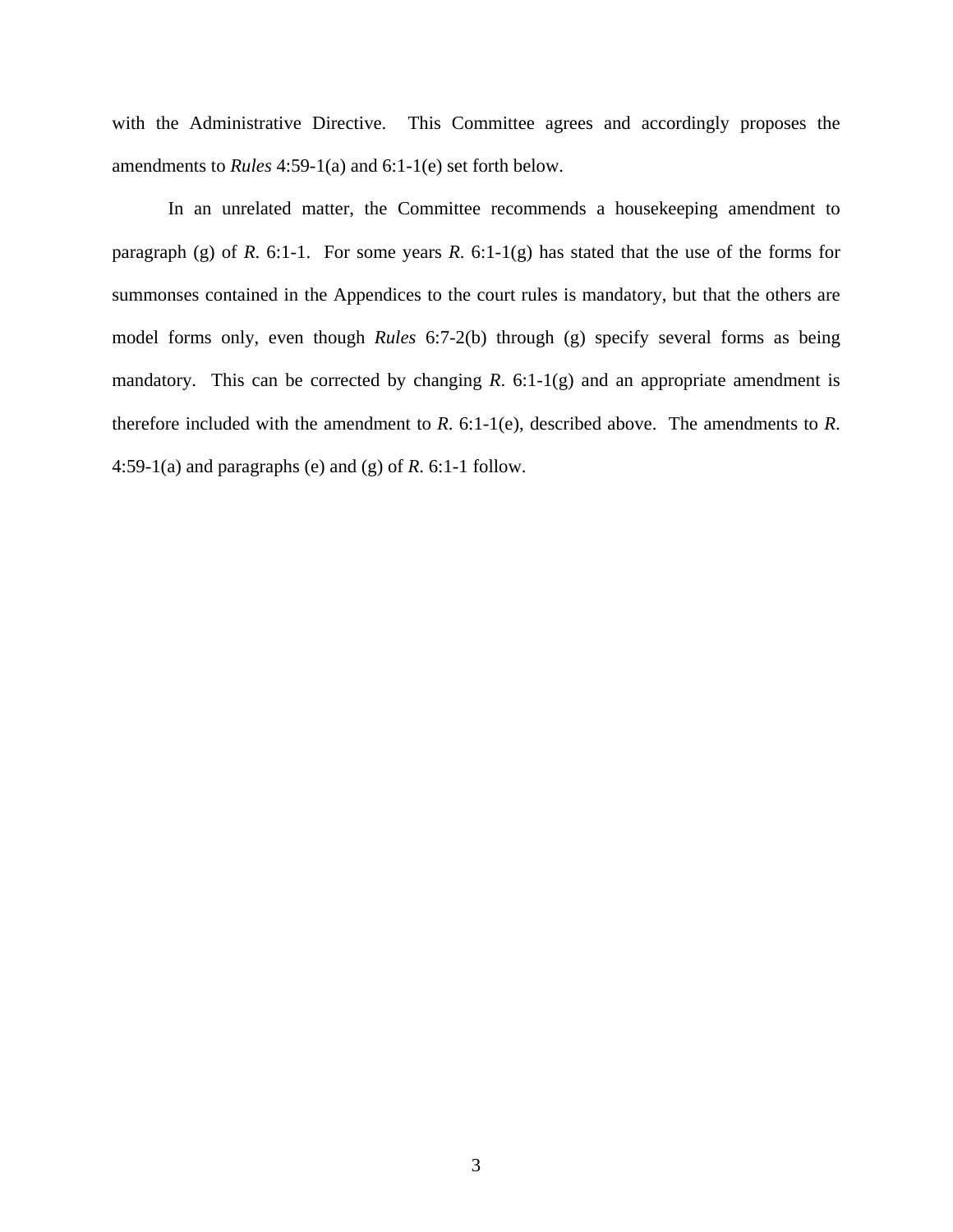with the Administrative Directive. This Committee agrees and accordingly proposes the amendments to *Rules* 4:59-1(a) and 6:1-1(e) set forth below.

 In an unrelated matter, the Committee recommends a housekeeping amendment to paragraph (g) of *R*. 6:1-1. For some years *R*. 6:1-1(g) has stated that the use of the forms for summonses contained in the Appendices to the court rules is mandatory, but that the others are model forms only, even though *Rules* 6:7-2(b) through (g) specify several forms as being mandatory. This can be corrected by changing  $R$ . 6:1-1(g) and an appropriate amendment is therefore included with the amendment to  $R$ . 6:1-1(e), described above. The amendments to  $R$ . 4:59-1(a) and paragraphs (e) and (g) of *R*. 6:1-1 follow.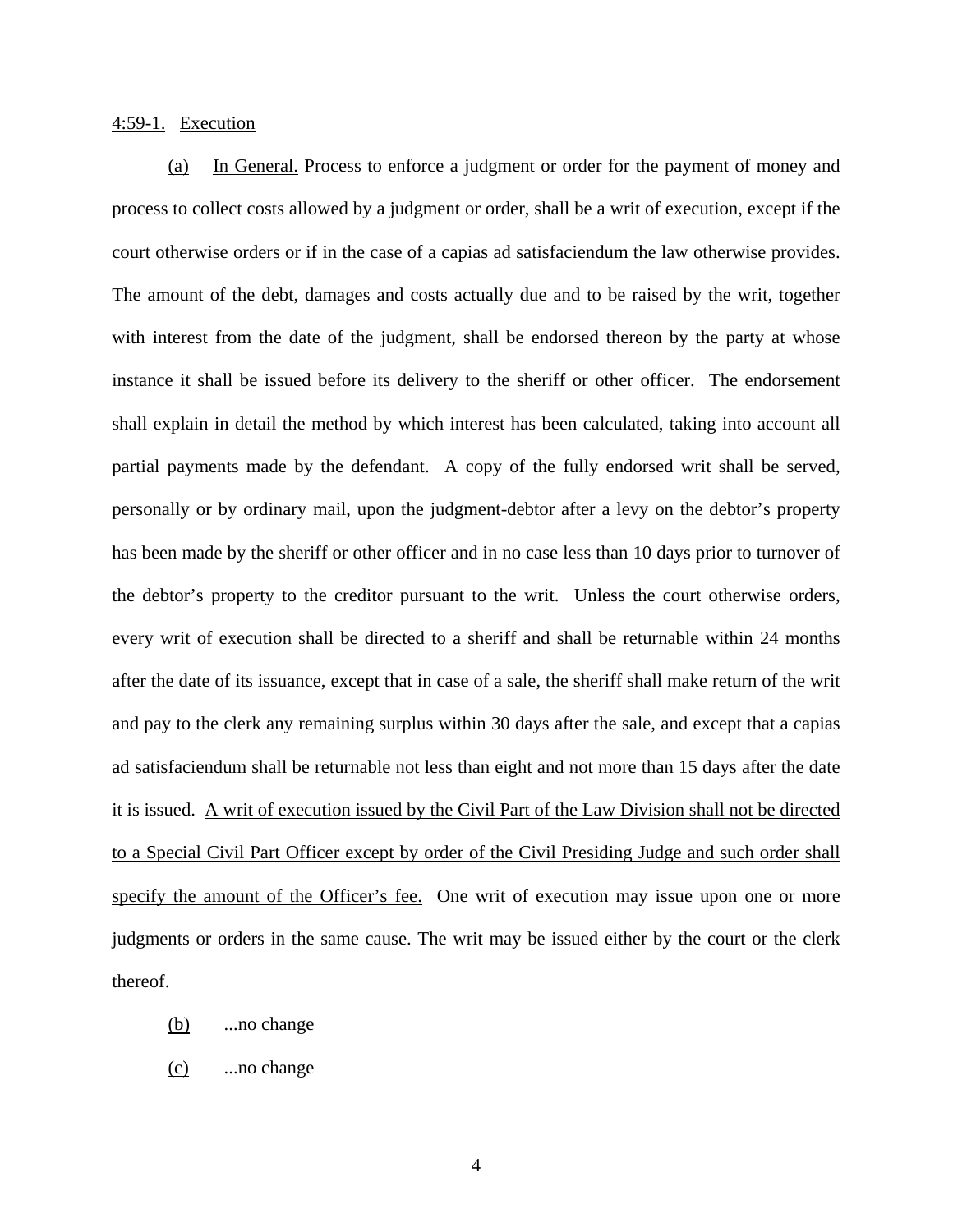#### 4:59-1. Execution

(a) In General. Process to enforce a judgment or order for the payment of money and process to collect costs allowed by a judgment or order, shall be a writ of execution, except if the court otherwise orders or if in the case of a capias ad satisfaciendum the law otherwise provides. The amount of the debt, damages and costs actually due and to be raised by the writ, together with interest from the date of the judgment, shall be endorsed thereon by the party at whose instance it shall be issued before its delivery to the sheriff or other officer. The endorsement shall explain in detail the method by which interest has been calculated, taking into account all partial payments made by the defendant. A copy of the fully endorsed writ shall be served, personally or by ordinary mail, upon the judgment-debtor after a levy on the debtor's property has been made by the sheriff or other officer and in no case less than 10 days prior to turnover of the debtor's property to the creditor pursuant to the writ. Unless the court otherwise orders, every writ of execution shall be directed to a sheriff and shall be returnable within 24 months after the date of its issuance, except that in case of a sale, the sheriff shall make return of the writ and pay to the clerk any remaining surplus within 30 days after the sale, and except that a capias ad satisfaciendum shall be returnable not less than eight and not more than 15 days after the date it is issued. A writ of execution issued by the Civil Part of the Law Division shall not be directed to a Special Civil Part Officer except by order of the Civil Presiding Judge and such order shall specify the amount of the Officer's fee. One writ of execution may issue upon one or more judgments or orders in the same cause. The writ may be issued either by the court or the clerk thereof.

- (b) ...no change
- (c) ...no change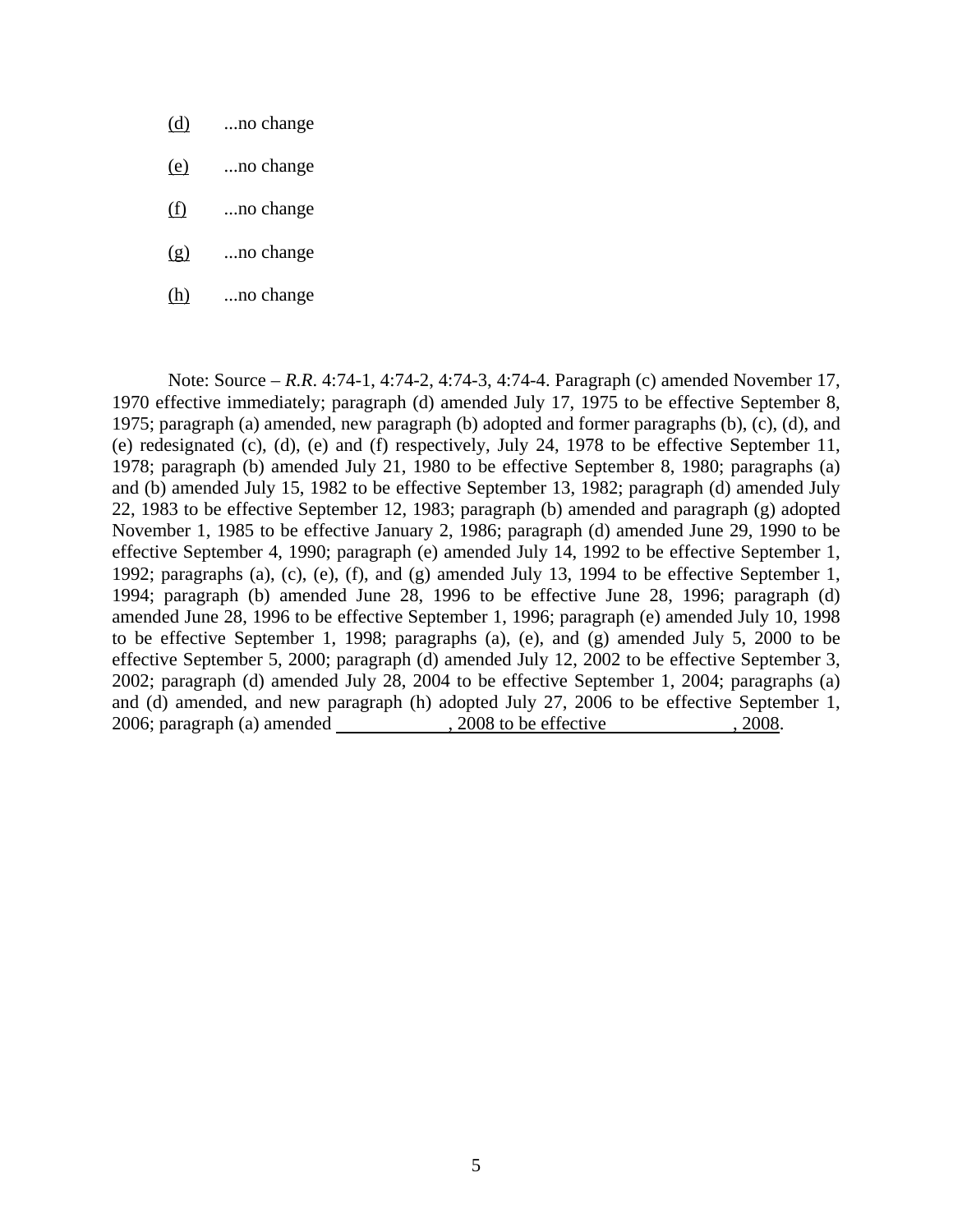- (d) ...no change
- (e) ...no change
- (f) ...no change
- (g) ...no change
- $(h)$  ...no change

 Note: Source – *R.R*. 4:74-1, 4:74-2, 4:74-3, 4:74-4. Paragraph (c) amended November 17, 1970 effective immediately; paragraph (d) amended July 17, 1975 to be effective September 8, 1975; paragraph (a) amended, new paragraph (b) adopted and former paragraphs (b), (c), (d), and (e) redesignated (c), (d), (e) and (f) respectively, July 24, 1978 to be effective September 11, 1978; paragraph (b) amended July 21, 1980 to be effective September 8, 1980; paragraphs (a) and (b) amended July 15, 1982 to be effective September 13, 1982; paragraph (d) amended July 22, 1983 to be effective September 12, 1983; paragraph (b) amended and paragraph (g) adopted November 1, 1985 to be effective January 2, 1986; paragraph (d) amended June 29, 1990 to be effective September 4, 1990; paragraph (e) amended July 14, 1992 to be effective September 1, 1992; paragraphs (a), (c), (e), (f), and (g) amended July 13, 1994 to be effective September 1, 1994; paragraph (b) amended June 28, 1996 to be effective June 28, 1996; paragraph (d) amended June 28, 1996 to be effective September 1, 1996; paragraph (e) amended July 10, 1998 to be effective September 1, 1998; paragraphs (a), (e), and (g) amended July 5, 2000 to be effective September 5, 2000; paragraph (d) amended July 12, 2002 to be effective September 3, 2002; paragraph (d) amended July 28, 2004 to be effective September 1, 2004; paragraphs (a) and (d) amended, and new paragraph (h) adopted July 27, 2006 to be effective September 1, 2006; paragraph (a) amended , 2008 to be effective , 2008.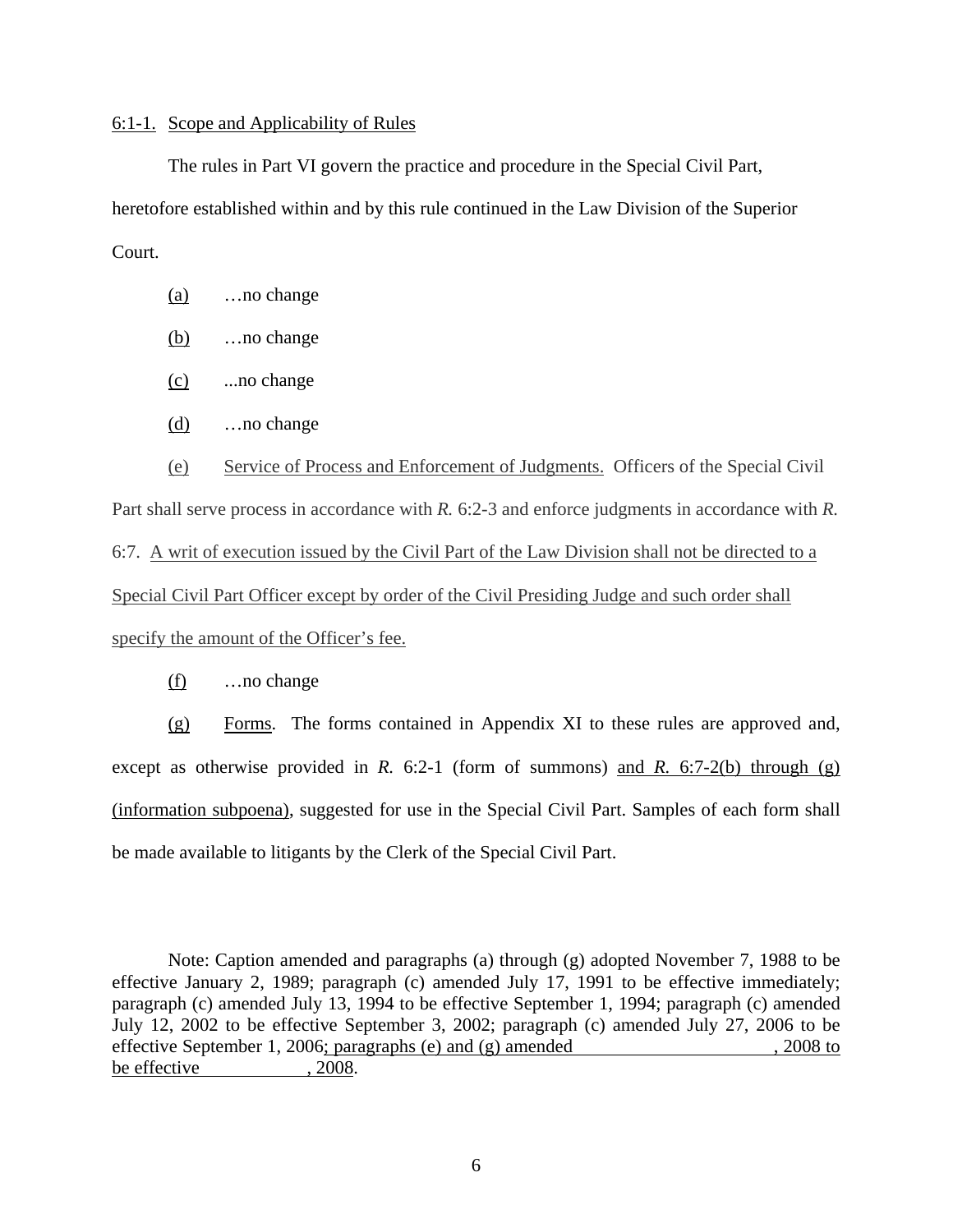#### 6:1-1. Scope and Applicability of Rules

The rules in Part VI govern the practice and procedure in the Special Civil Part, heretofore established within and by this rule continued in the Law Division of the Superior Court.

- (a) …no change
- (b) …no change
- (c) ...no change
- (d) …no change

 (e) Service of Process and Enforcement of Judgments. Officers of the Special Civil Part shall serve process in accordance with *R.* 6:2-3 and enforce judgments in accordance with *R.* 6:7. A writ of execution issued by the Civil Part of the Law Division shall not be directed to a Special Civil Part Officer except by order of the Civil Presiding Judge and such order shall specify the amount of the Officer's fee.

#### (f) …no change

(g) Forms. The forms contained in Appendix XI to these rules are approved and, except as otherwise provided in *R.* 6:2-1 (form of summons) and *R.* 6:7-2(b) through (g) (information subpoena), suggested for use in the Special Civil Part. Samples of each form shall be made available to litigants by the Clerk of the Special Civil Part.

 Note: Caption amended and paragraphs (a) through (g) adopted November 7, 1988 to be effective January 2, 1989; paragraph (c) amended July 17, 1991 to be effective immediately; paragraph (c) amended July 13, 1994 to be effective September 1, 1994; paragraph (c) amended July 12, 2002 to be effective September 3, 2002; paragraph (c) amended July 27, 2006 to be effective September 1, 2006; paragraphs (e) and (g) amended , 2008 to be effective  $, 2008$ .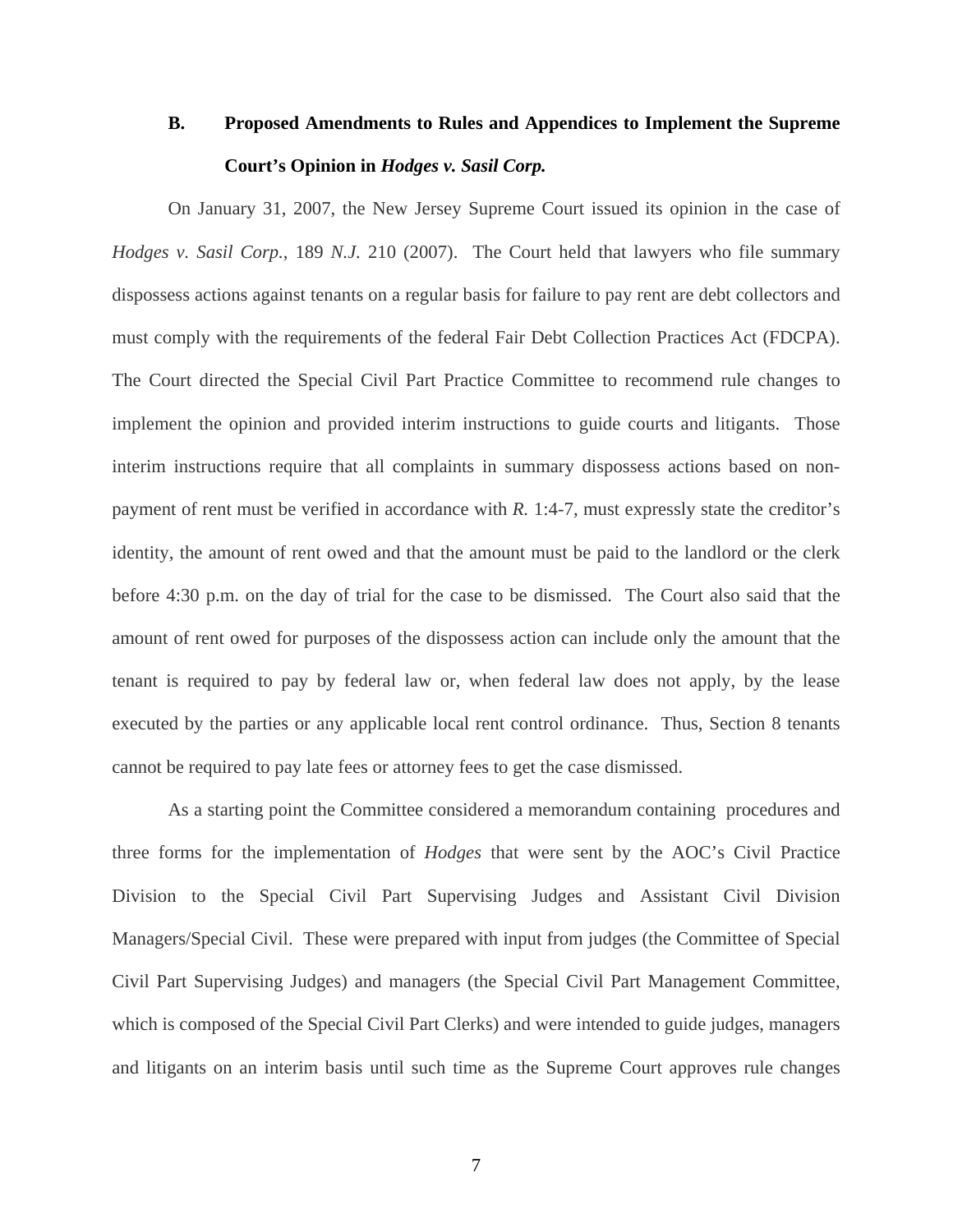## **B. Proposed Amendments to Rules and Appendices to Implement the Supreme Court's Opinion in** *Hodges v. Sasil Corp.*

On January 31, 2007, the New Jersey Supreme Court issued its opinion in the case of *Hodges v. Sasil Corp.*, 189 *N.J.* 210 (2007). The Court held that lawyers who file summary dispossess actions against tenants on a regular basis for failure to pay rent are debt collectors and must comply with the requirements of the federal Fair Debt Collection Practices Act (FDCPA). The Court directed the Special Civil Part Practice Committee to recommend rule changes to implement the opinion and provided interim instructions to guide courts and litigants. Those interim instructions require that all complaints in summary dispossess actions based on nonpayment of rent must be verified in accordance with *R.* 1:4-7, must expressly state the creditor's identity, the amount of rent owed and that the amount must be paid to the landlord or the clerk before 4:30 p.m. on the day of trial for the case to be dismissed. The Court also said that the amount of rent owed for purposes of the dispossess action can include only the amount that the tenant is required to pay by federal law or, when federal law does not apply, by the lease executed by the parties or any applicable local rent control ordinance. Thus, Section 8 tenants cannot be required to pay late fees or attorney fees to get the case dismissed.

As a starting point the Committee considered a memorandum containing procedures and three forms for the implementation of *Hodges* that were sent by the AOC's Civil Practice Division to the Special Civil Part Supervising Judges and Assistant Civil Division Managers/Special Civil. These were prepared with input from judges (the Committee of Special Civil Part Supervising Judges) and managers (the Special Civil Part Management Committee, which is composed of the Special Civil Part Clerks) and were intended to guide judges, managers and litigants on an interim basis until such time as the Supreme Court approves rule changes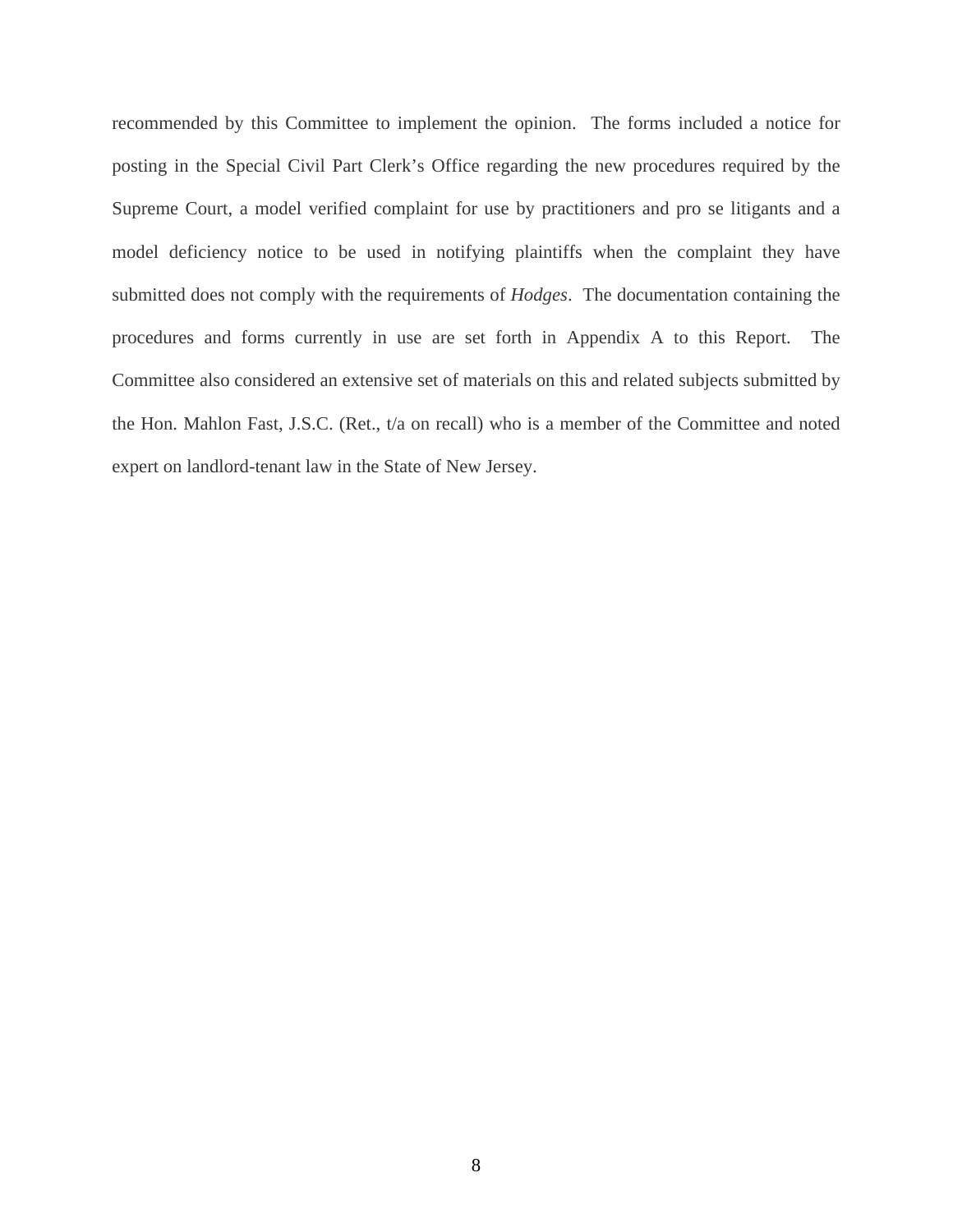recommended by this Committee to implement the opinion. The forms included a notice for posting in the Special Civil Part Clerk's Office regarding the new procedures required by the Supreme Court, a model verified complaint for use by practitioners and pro se litigants and a model deficiency notice to be used in notifying plaintiffs when the complaint they have submitted does not comply with the requirements of *Hodges*. The documentation containing the procedures and forms currently in use are set forth in Appendix A to this Report. The Committee also considered an extensive set of materials on this and related subjects submitted by the Hon. Mahlon Fast, J.S.C. (Ret., t/a on recall) who is a member of the Committee and noted expert on landlord-tenant law in the State of New Jersey.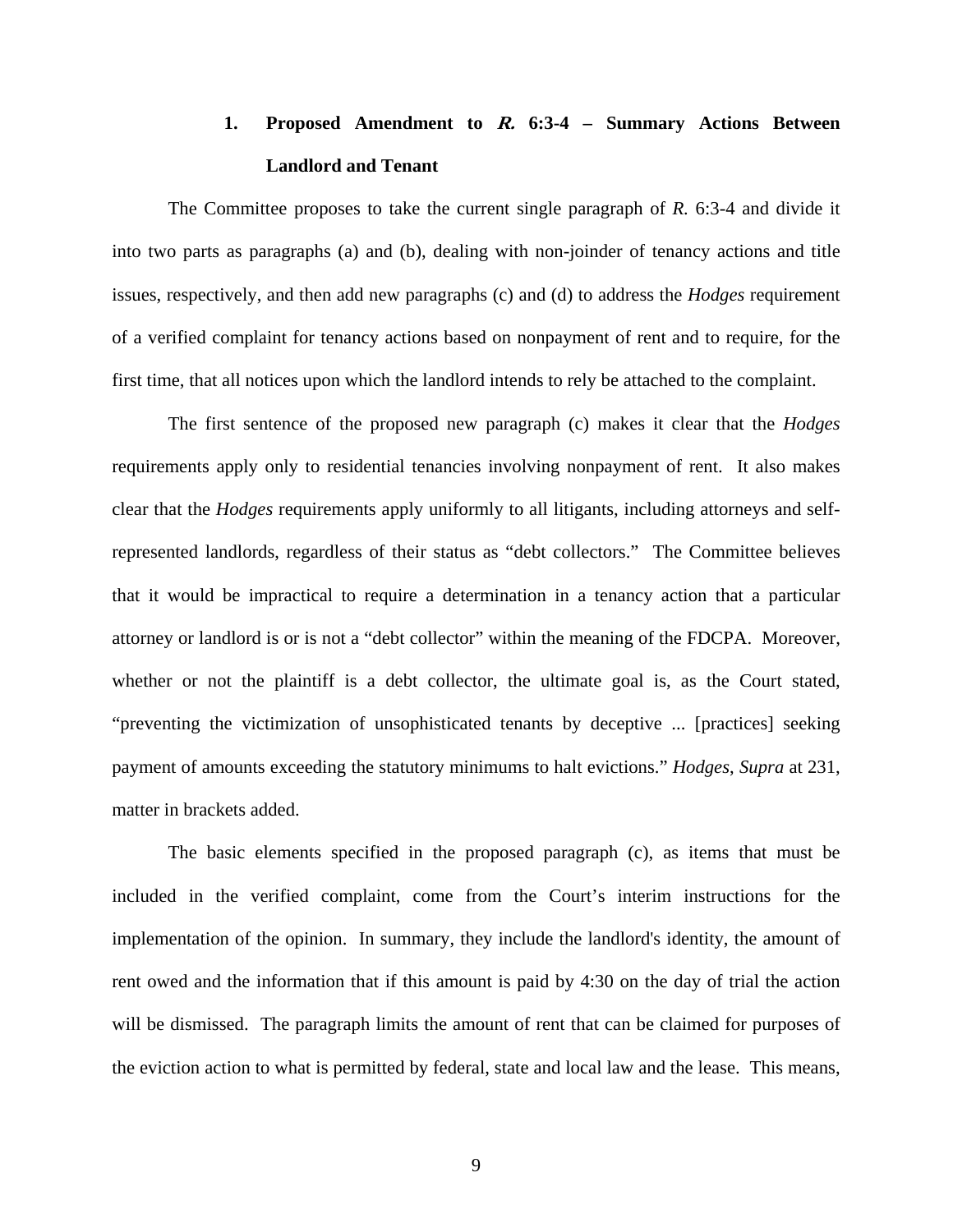# **1. Proposed Amendment to R. 6:3-4 – Summary Actions Between Landlord and Tenant**

The Committee proposes to take the current single paragraph of *R.* 6:3-4 and divide it into two parts as paragraphs (a) and (b), dealing with non-joinder of tenancy actions and title issues, respectively, and then add new paragraphs (c) and (d) to address the *Hodges* requirement of a verified complaint for tenancy actions based on nonpayment of rent and to require, for the first time, that all notices upon which the landlord intends to rely be attached to the complaint.

The first sentence of the proposed new paragraph (c) makes it clear that the *Hodges* requirements apply only to residential tenancies involving nonpayment of rent. It also makes clear that the *Hodges* requirements apply uniformly to all litigants, including attorneys and selfrepresented landlords, regardless of their status as "debt collectors." The Committee believes that it would be impractical to require a determination in a tenancy action that a particular attorney or landlord is or is not a "debt collector" within the meaning of the FDCPA. Moreover, whether or not the plaintiff is a debt collector, the ultimate goal is, as the Court stated, "preventing the victimization of unsophisticated tenants by deceptive ... [practices] seeking payment of amounts exceeding the statutory minimums to halt evictions." *Hodges*, *Supra* at 231, matter in brackets added.

The basic elements specified in the proposed paragraph (c), as items that must be included in the verified complaint, come from the Court's interim instructions for the implementation of the opinion. In summary, they include the landlord's identity, the amount of rent owed and the information that if this amount is paid by 4:30 on the day of trial the action will be dismissed. The paragraph limits the amount of rent that can be claimed for purposes of the eviction action to what is permitted by federal, state and local law and the lease. This means,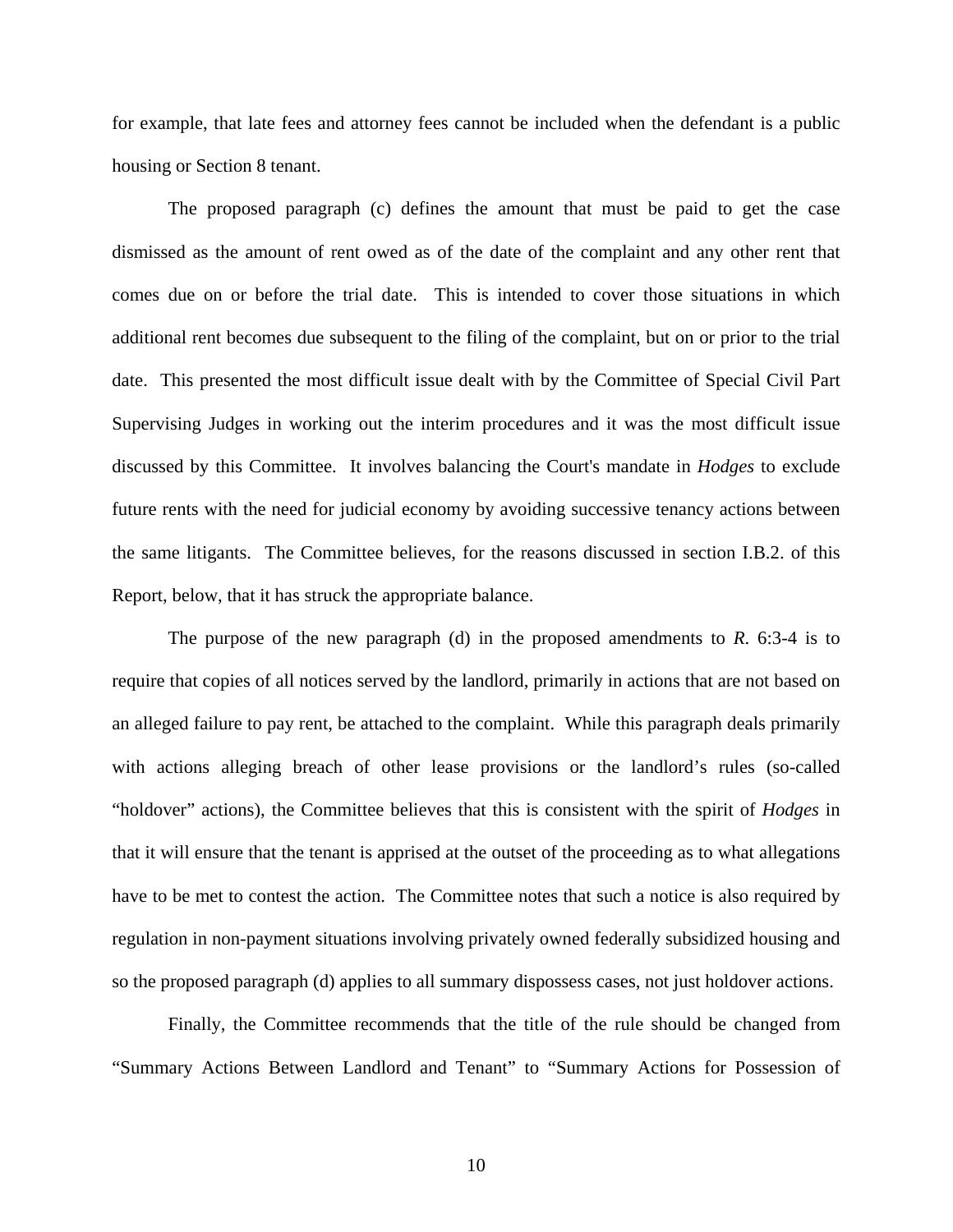for example, that late fees and attorney fees cannot be included when the defendant is a public housing or Section 8 tenant.

The proposed paragraph (c) defines the amount that must be paid to get the case dismissed as the amount of rent owed as of the date of the complaint and any other rent that comes due on or before the trial date. This is intended to cover those situations in which additional rent becomes due subsequent to the filing of the complaint, but on or prior to the trial date. This presented the most difficult issue dealt with by the Committee of Special Civil Part Supervising Judges in working out the interim procedures and it was the most difficult issue discussed by this Committee. It involves balancing the Court's mandate in *Hodges* to exclude future rents with the need for judicial economy by avoiding successive tenancy actions between the same litigants. The Committee believes, for the reasons discussed in section I.B.2. of this Report, below, that it has struck the appropriate balance.

The purpose of the new paragraph (d) in the proposed amendments to *R*. 6:3-4 is to require that copies of all notices served by the landlord, primarily in actions that are not based on an alleged failure to pay rent, be attached to the complaint. While this paragraph deals primarily with actions alleging breach of other lease provisions or the landlord's rules (so-called "holdover" actions), the Committee believes that this is consistent with the spirit of *Hodges* in that it will ensure that the tenant is apprised at the outset of the proceeding as to what allegations have to be met to contest the action. The Committee notes that such a notice is also required by regulation in non-payment situations involving privately owned federally subsidized housing and so the proposed paragraph (d) applies to all summary dispossess cases, not just holdover actions.

Finally, the Committee recommends that the title of the rule should be changed from "Summary Actions Between Landlord and Tenant" to "Summary Actions for Possession of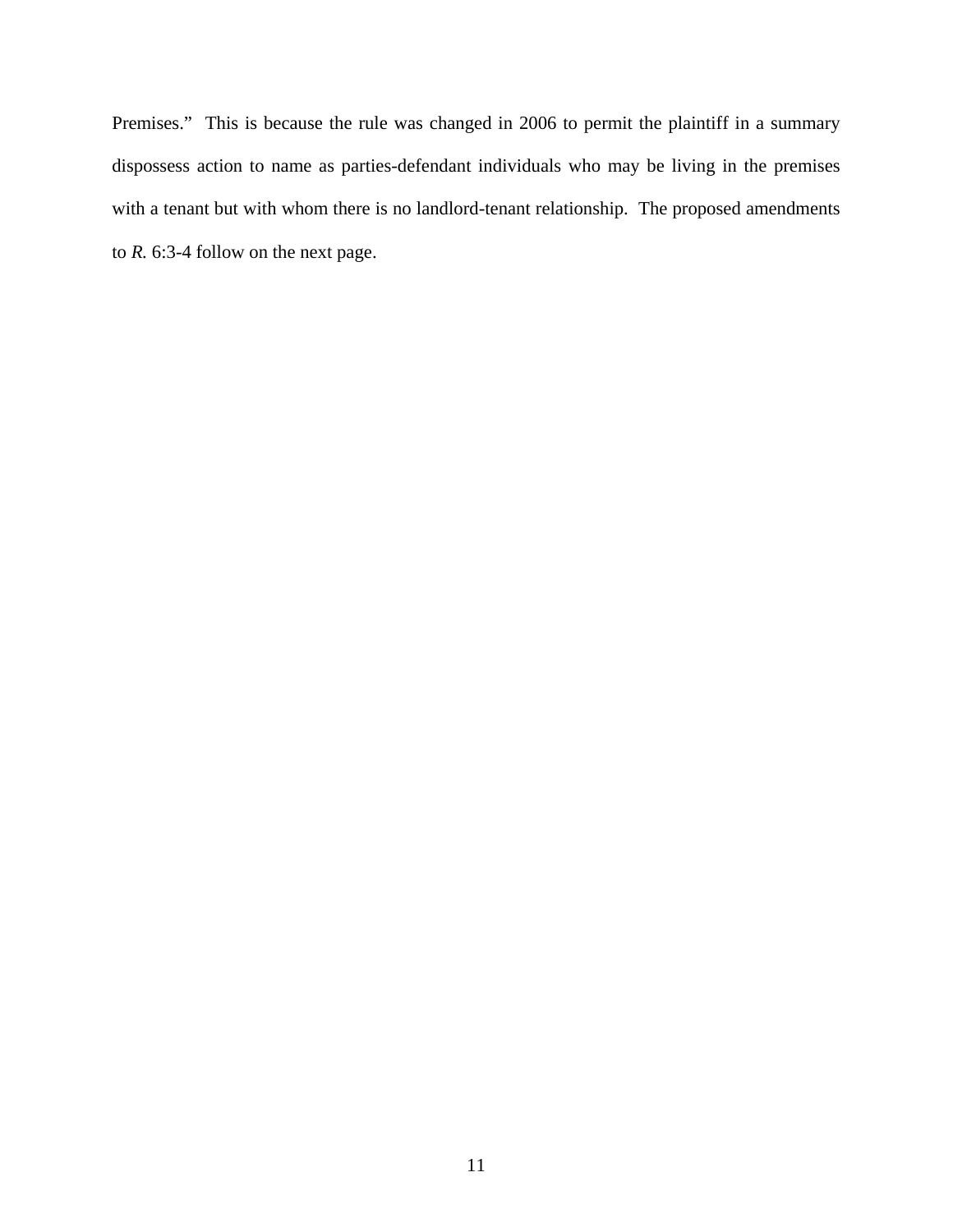Premises." This is because the rule was changed in 2006 to permit the plaintiff in a summary dispossess action to name as parties-defendant individuals who may be living in the premises with a tenant but with whom there is no landlord-tenant relationship. The proposed amendments to *R.* 6:3-4 follow on the next page.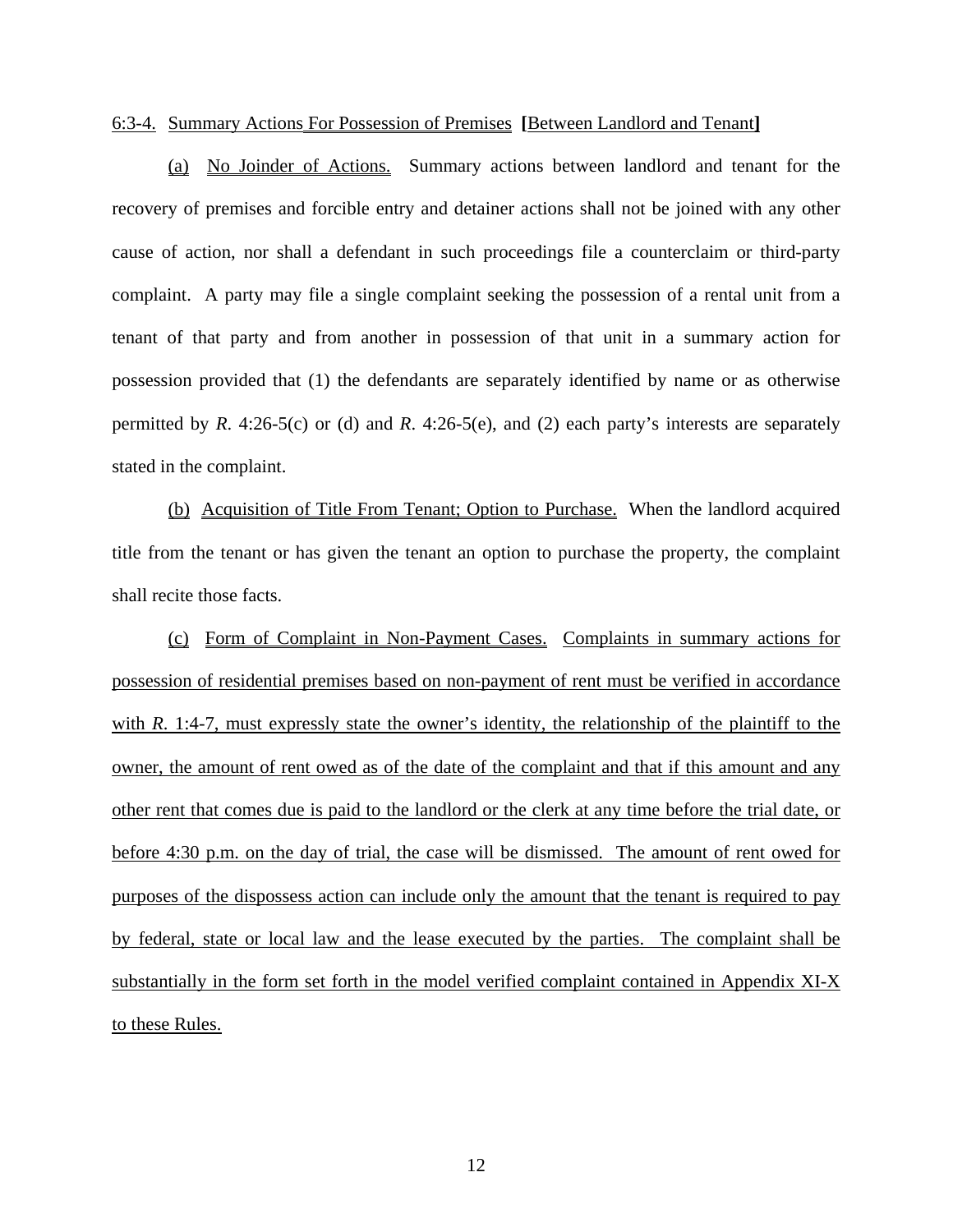#### 6:3-4. Summary Actions For Possession of Premises **[**Between Landlord and Tenant**]**

 (a) No Joinder of Actions. Summary actions between landlord and tenant for the recovery of premises and forcible entry and detainer actions shall not be joined with any other cause of action, nor shall a defendant in such proceedings file a counterclaim or third-party complaint. A party may file a single complaint seeking the possession of a rental unit from a tenant of that party and from another in possession of that unit in a summary action for possession provided that (1) the defendants are separately identified by name or as otherwise permitted by *R*. 4:26-5(c) or (d) and *R*. 4:26-5(e), and (2) each party's interests are separately stated in the complaint.

 (b) Acquisition of Title From Tenant; Option to Purchase. When the landlord acquired title from the tenant or has given the tenant an option to purchase the property, the complaint shall recite those facts.

 (c) Form of Complaint in Non-Payment Cases. Complaints in summary actions for possession of residential premises based on non-payment of rent must be verified in accordance with *R*. 1:4-7, must expressly state the owner's identity, the relationship of the plaintiff to the owner, the amount of rent owed as of the date of the complaint and that if this amount and any other rent that comes due is paid to the landlord or the clerk at any time before the trial date, or before 4:30 p.m. on the day of trial, the case will be dismissed. The amount of rent owed for purposes of the dispossess action can include only the amount that the tenant is required to pay by federal, state or local law and the lease executed by the parties. The complaint shall be substantially in the form set forth in the model verified complaint contained in Appendix XI-X to these Rules.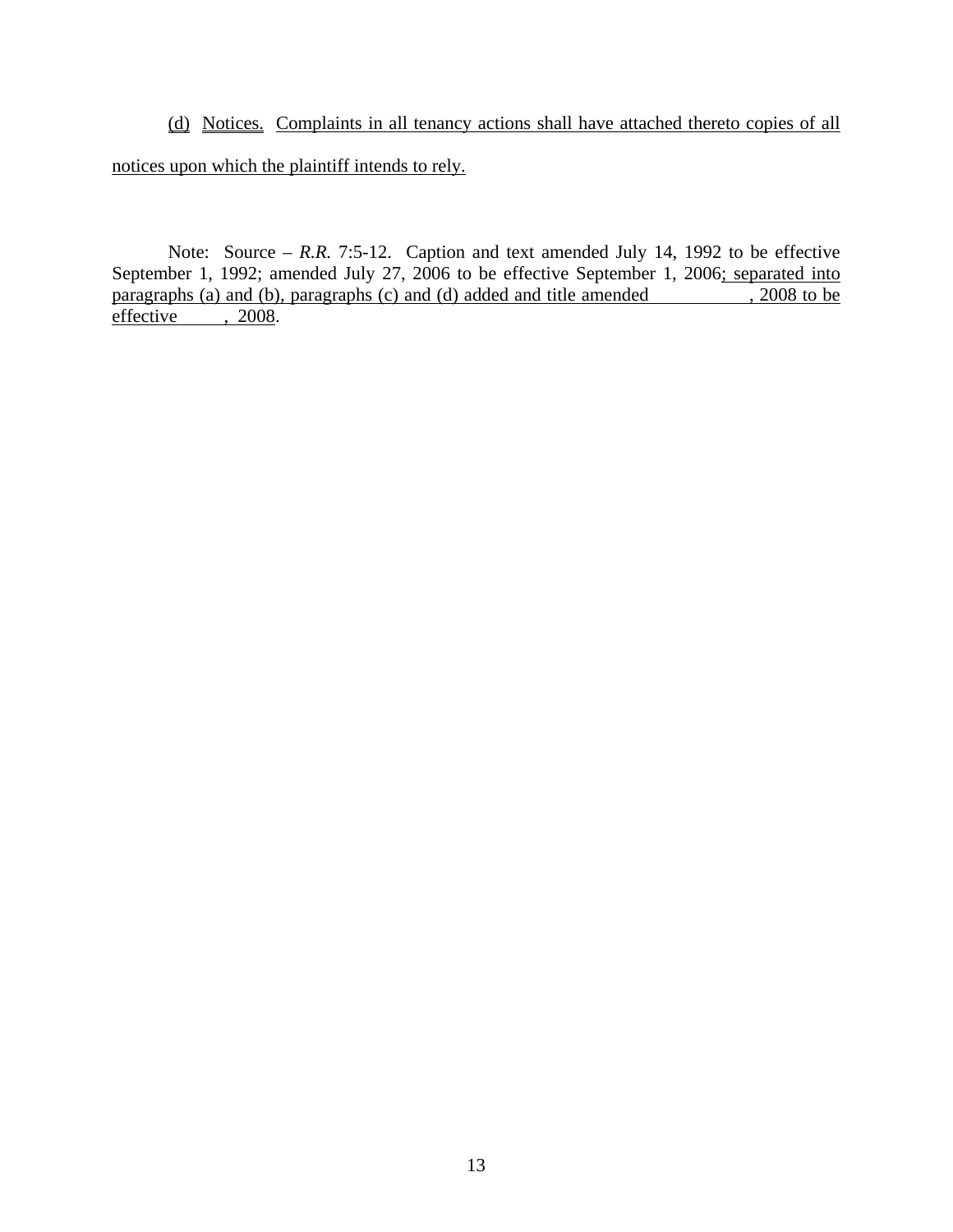(d) Notices. Complaints in all tenancy actions shall have attached thereto copies of all notices upon which the plaintiff intends to rely.

Note: Source – *R.R.* 7:5-12. Caption and text amended July 14, 1992 to be effective September 1, 1992; amended July 27, 2006 to be effective September 1, 2006; separated into paragraphs (a) and (b), paragraphs (c) and (d) added and title amended  $\frac{1}{2008}$  to be effective , 2008. effective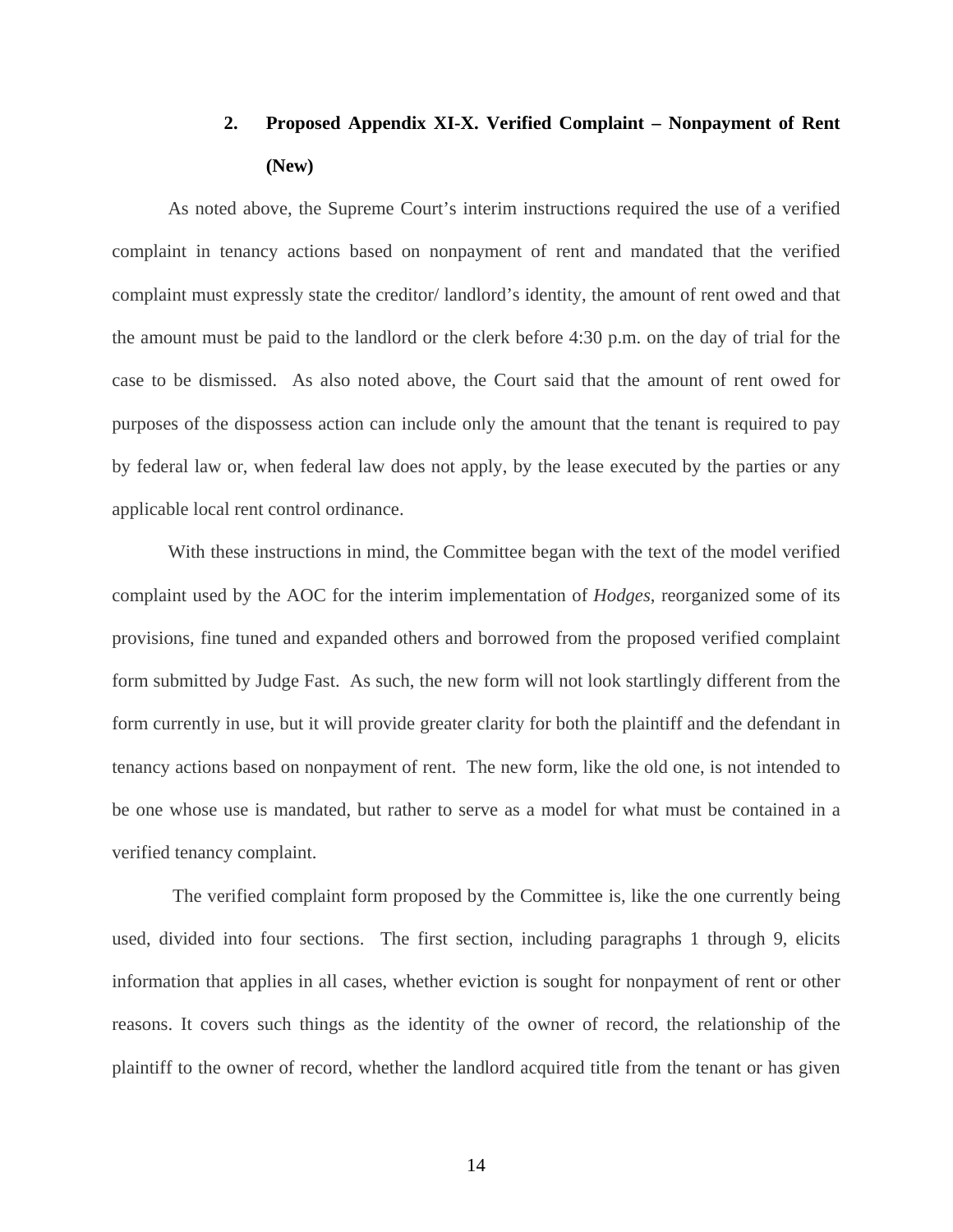## **2. Proposed Appendix XI-X. Verified Complaint – Nonpayment of Rent (New)**

As noted above, the Supreme Court's interim instructions required the use of a verified complaint in tenancy actions based on nonpayment of rent and mandated that the verified complaint must expressly state the creditor/ landlord's identity, the amount of rent owed and that the amount must be paid to the landlord or the clerk before 4:30 p.m. on the day of trial for the case to be dismissed. As also noted above, the Court said that the amount of rent owed for purposes of the dispossess action can include only the amount that the tenant is required to pay by federal law or, when federal law does not apply, by the lease executed by the parties or any applicable local rent control ordinance.

 With these instructions in mind, the Committee began with the text of the model verified complaint used by the AOC for the interim implementation of *Hodges*, reorganized some of its provisions, fine tuned and expanded others and borrowed from the proposed verified complaint form submitted by Judge Fast. As such, the new form will not look startlingly different from the form currently in use, but it will provide greater clarity for both the plaintiff and the defendant in tenancy actions based on nonpayment of rent. The new form, like the old one, is not intended to be one whose use is mandated, but rather to serve as a model for what must be contained in a verified tenancy complaint.

 The verified complaint form proposed by the Committee is, like the one currently being used, divided into four sections. The first section, including paragraphs 1 through 9, elicits information that applies in all cases, whether eviction is sought for nonpayment of rent or other reasons. It covers such things as the identity of the owner of record, the relationship of the plaintiff to the owner of record, whether the landlord acquired title from the tenant or has given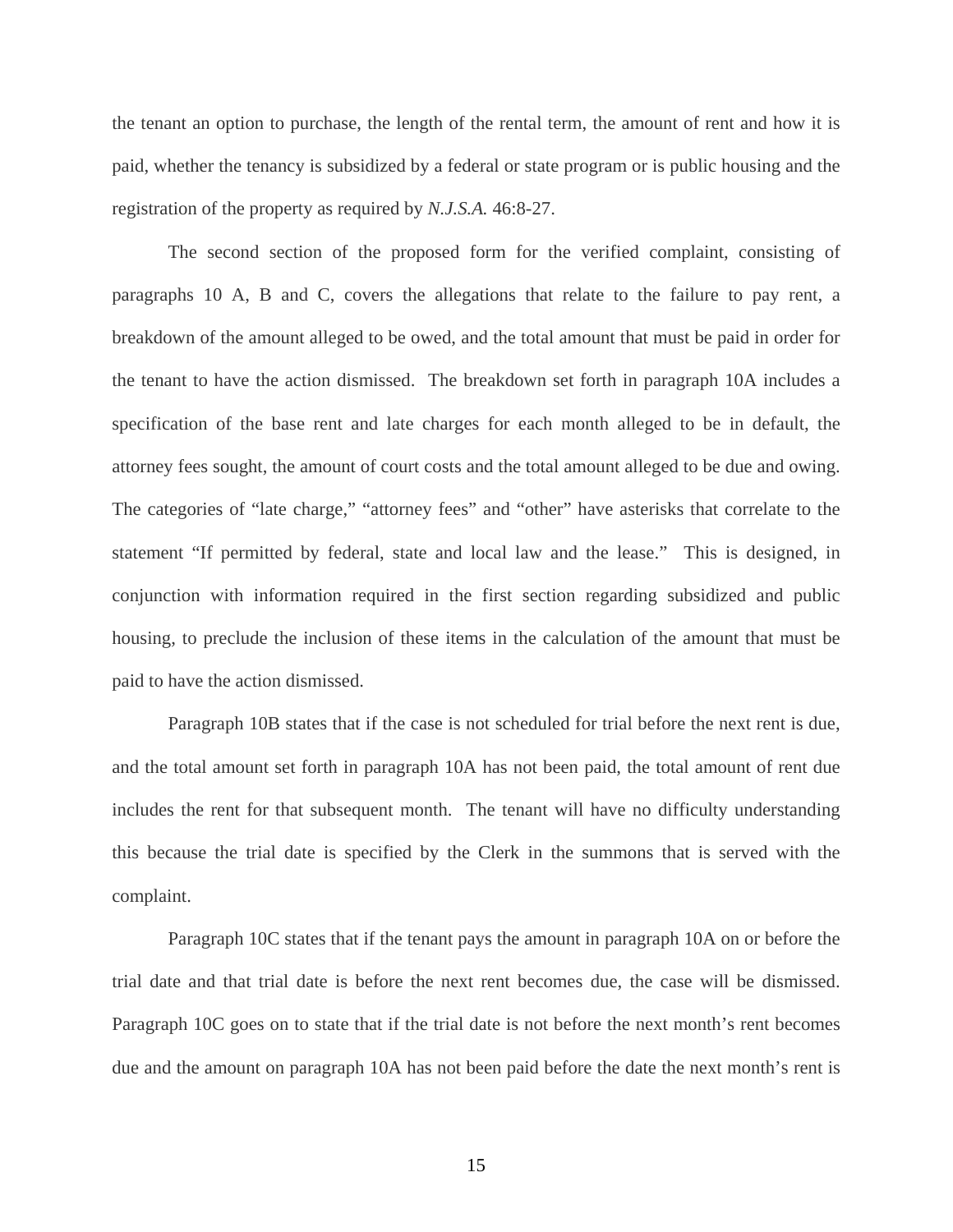the tenant an option to purchase, the length of the rental term, the amount of rent and how it is paid, whether the tenancy is subsidized by a federal or state program or is public housing and the registration of the property as required by *N.J.S.A.* 46:8-27.

 The second section of the proposed form for the verified complaint, consisting of paragraphs 10 A, B and C, covers the allegations that relate to the failure to pay rent, a breakdown of the amount alleged to be owed, and the total amount that must be paid in order for the tenant to have the action dismissed. The breakdown set forth in paragraph 10A includes a specification of the base rent and late charges for each month alleged to be in default, the attorney fees sought, the amount of court costs and the total amount alleged to be due and owing. The categories of "late charge," "attorney fees" and "other" have asterisks that correlate to the statement "If permitted by federal, state and local law and the lease." This is designed, in conjunction with information required in the first section regarding subsidized and public housing, to preclude the inclusion of these items in the calculation of the amount that must be paid to have the action dismissed.

 Paragraph 10B states that if the case is not scheduled for trial before the next rent is due, and the total amount set forth in paragraph 10A has not been paid, the total amount of rent due includes the rent for that subsequent month. The tenant will have no difficulty understanding this because the trial date is specified by the Clerk in the summons that is served with the complaint.

 Paragraph 10C states that if the tenant pays the amount in paragraph 10A on or before the trial date and that trial date is before the next rent becomes due, the case will be dismissed. Paragraph 10C goes on to state that if the trial date is not before the next month's rent becomes due and the amount on paragraph 10A has not been paid before the date the next month's rent is

15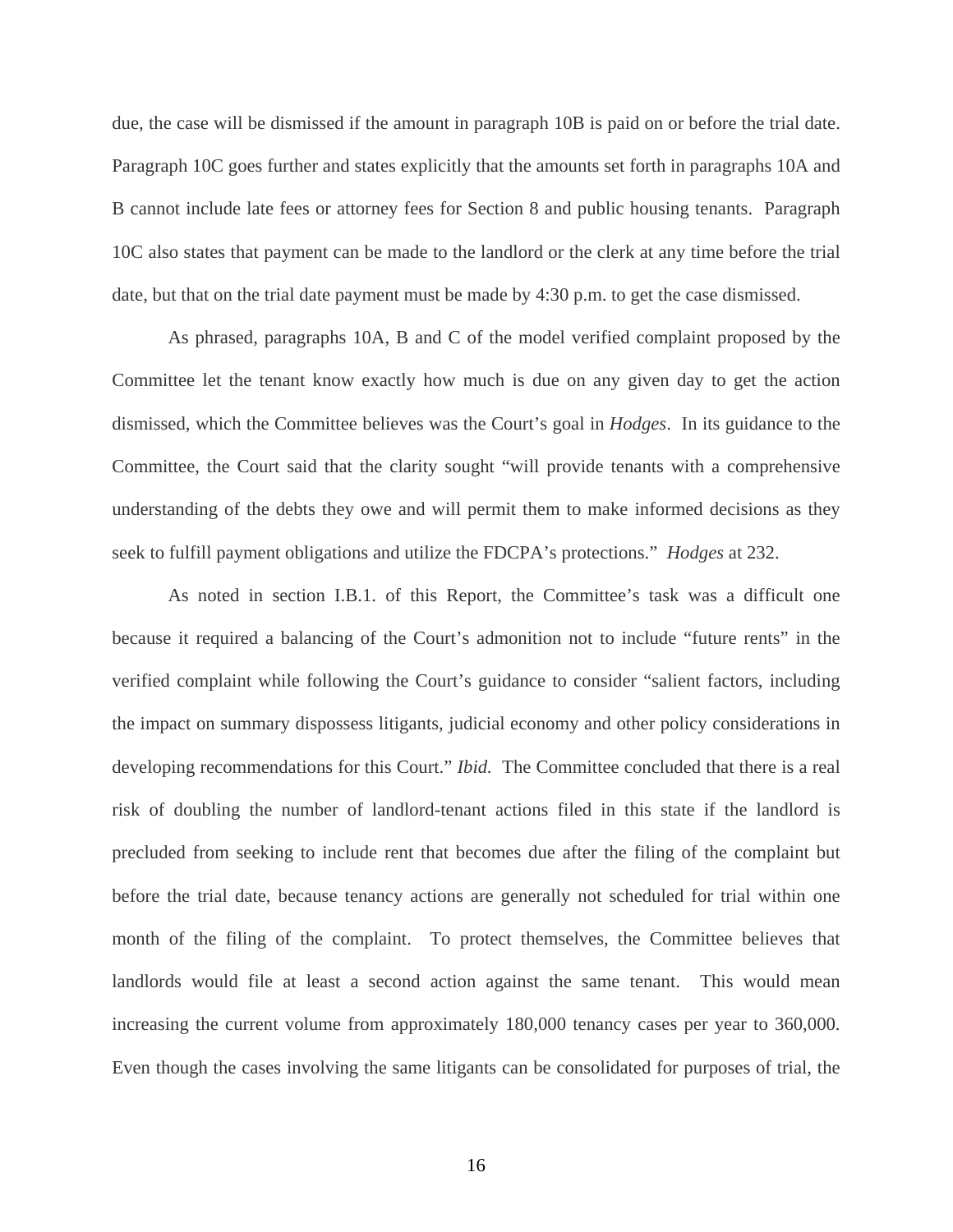due, the case will be dismissed if the amount in paragraph 10B is paid on or before the trial date. Paragraph 10C goes further and states explicitly that the amounts set forth in paragraphs 10A and B cannot include late fees or attorney fees for Section 8 and public housing tenants. Paragraph 10C also states that payment can be made to the landlord or the clerk at any time before the trial date, but that on the trial date payment must be made by 4:30 p.m. to get the case dismissed.

 As phrased, paragraphs 10A, B and C of the model verified complaint proposed by the Committee let the tenant know exactly how much is due on any given day to get the action dismissed, which the Committee believes was the Court's goal in *Hodges*. In its guidance to the Committee, the Court said that the clarity sought "will provide tenants with a comprehensive understanding of the debts they owe and will permit them to make informed decisions as they seek to fulfill payment obligations and utilize the FDCPA's protections." *Hodges* at 232.

 As noted in section I.B.1. of this Report, the Committee's task was a difficult one because it required a balancing of the Court's admonition not to include "future rents" in the verified complaint while following the Court's guidance to consider "salient factors, including the impact on summary dispossess litigants, judicial economy and other policy considerations in developing recommendations for this Court." *Ibid.* The Committee concluded that there is a real risk of doubling the number of landlord-tenant actions filed in this state if the landlord is precluded from seeking to include rent that becomes due after the filing of the complaint but before the trial date, because tenancy actions are generally not scheduled for trial within one month of the filing of the complaint. To protect themselves, the Committee believes that landlords would file at least a second action against the same tenant. This would mean increasing the current volume from approximately 180,000 tenancy cases per year to 360,000. Even though the cases involving the same litigants can be consolidated for purposes of trial, the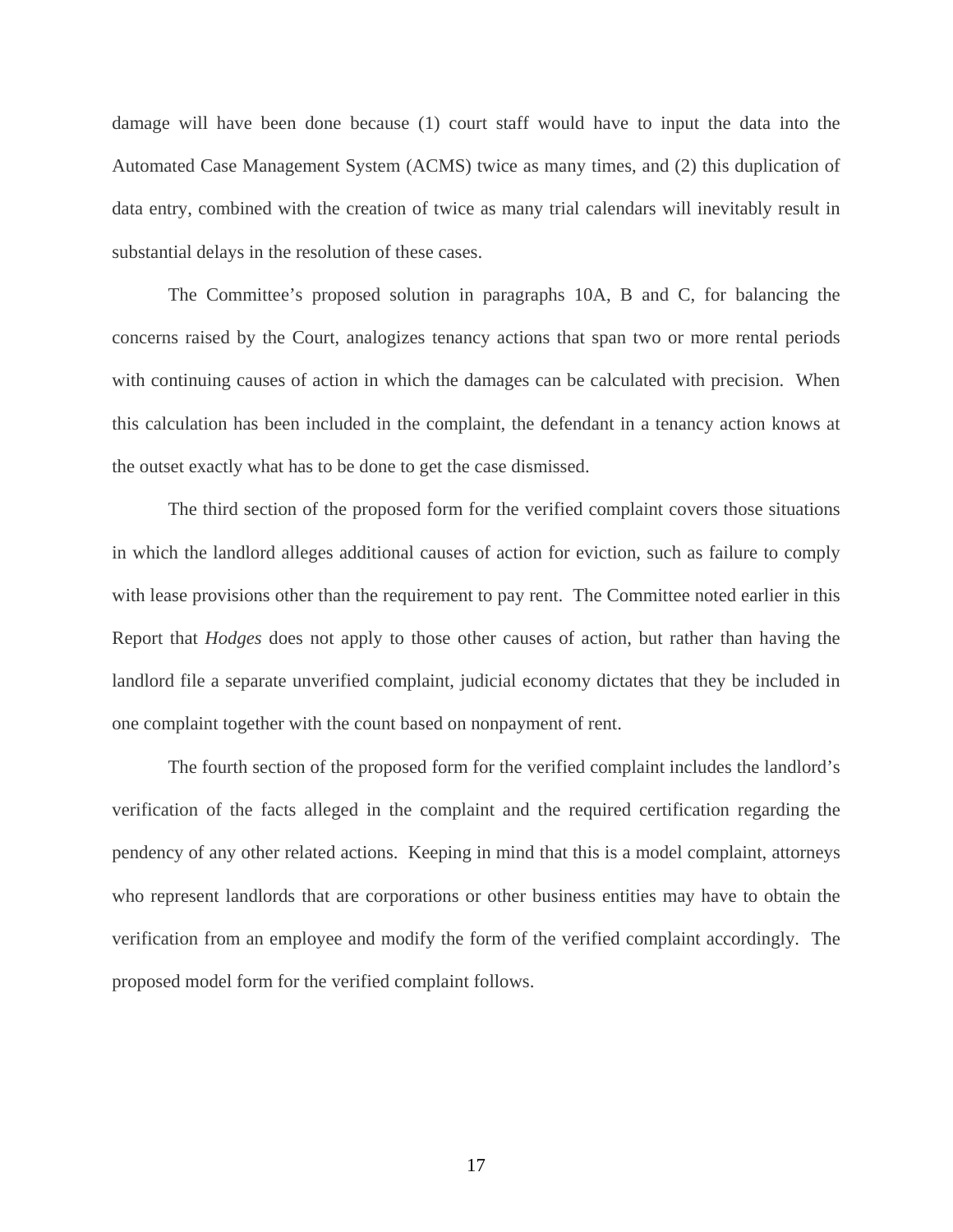damage will have been done because (1) court staff would have to input the data into the Automated Case Management System (ACMS) twice as many times, and (2) this duplication of data entry, combined with the creation of twice as many trial calendars will inevitably result in substantial delays in the resolution of these cases.

 The Committee's proposed solution in paragraphs 10A, B and C, for balancing the concerns raised by the Court, analogizes tenancy actions that span two or more rental periods with continuing causes of action in which the damages can be calculated with precision. When this calculation has been included in the complaint, the defendant in a tenancy action knows at the outset exactly what has to be done to get the case dismissed.

 The third section of the proposed form for the verified complaint covers those situations in which the landlord alleges additional causes of action for eviction, such as failure to comply with lease provisions other than the requirement to pay rent. The Committee noted earlier in this Report that *Hodges* does not apply to those other causes of action, but rather than having the landlord file a separate unverified complaint, judicial economy dictates that they be included in one complaint together with the count based on nonpayment of rent.

 The fourth section of the proposed form for the verified complaint includes the landlord's verification of the facts alleged in the complaint and the required certification regarding the pendency of any other related actions. Keeping in mind that this is a model complaint, attorneys who represent landlords that are corporations or other business entities may have to obtain the verification from an employee and modify the form of the verified complaint accordingly. The proposed model form for the verified complaint follows.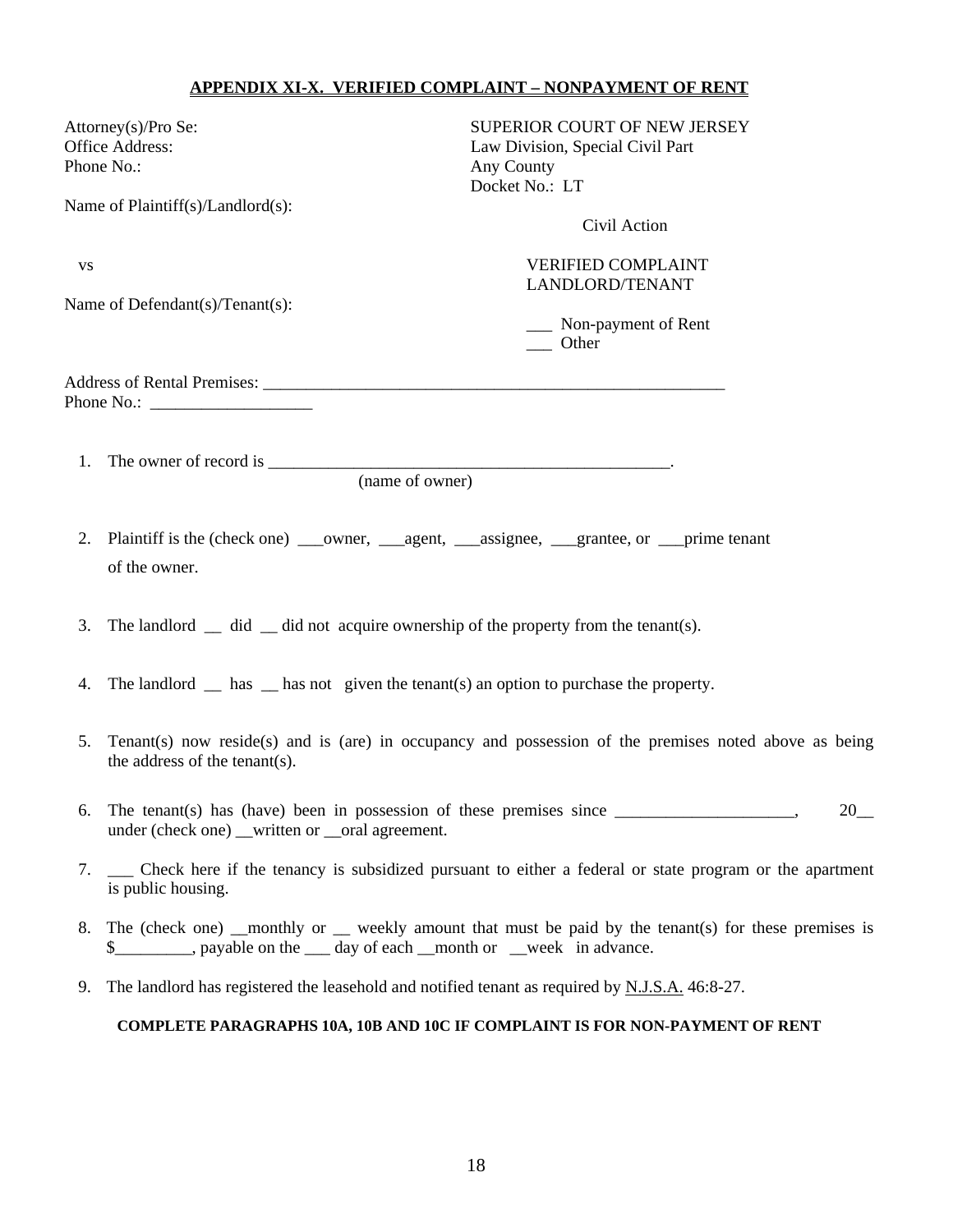#### **APPENDIX XI-X. VERIFIED COMPLAINT – NONPAYMENT OF RENT**

| Attorney(s)/Pro Se:                                        | SUPERIOR COURT OF NEW JERSEY     |
|------------------------------------------------------------|----------------------------------|
| Office Address:                                            | Law Division, Special Civil Part |
| Phone No.:                                                 | Any County                       |
|                                                            | Docket No.: LT                   |
| Name of Plaintiff(s)/Landlord(s):                          |                                  |
|                                                            | Civil Action                     |
| <b>VS</b>                                                  | <b>VERIFIED COMPLAINT</b>        |
|                                                            | LANDLORD/TENANT                  |
| Name of Defendant(s)/Tenant(s):                            |                                  |
|                                                            | Non-payment of Rent              |
|                                                            | Other                            |
| Address of Rental Premises: University of Rental Premises: |                                  |
| Phone No.: $\qquad \qquad$                                 |                                  |
|                                                            |                                  |
| 1. The owner of record is __                               |                                  |

- 
- 2. Plaintiff is the (check one) \_\_\_owner, \_\_\_agent, \_\_\_assignee, \_\_\_grantee, or \_\_\_prime tenant of the owner.

(name of owner)

- 3. The landlord did did not acquire ownership of the property from the tenant(s).
- 4. The landlord  $\equiv$  has  $\equiv$  has not given the tenant(s) an option to purchase the property.
- 5. Tenant(s) now reside(s) and is (are) in occupancy and possession of the premises noted above as being the address of the tenant(s).
- 6. The tenant(s) has (have) been in possession of these premises since  $\frac{1}{\sqrt{1-\frac{1}{\sqrt{1-\frac{1}{\sqrt{1-\frac{1}{\sqrt{1-\frac{1}{\sqrt{1-\frac{1}{\sqrt{1-\frac{1}{\sqrt{1-\frac{1}{\sqrt{1-\frac{1}{\sqrt{1-\frac{1}{\sqrt{1-\frac{1}{\sqrt{1-\frac{1}{\sqrt{1-\frac{1}{\sqrt{1-\frac{1}{\sqrt{1-\frac{1}{\sqrt{1-\frac{1}{\sqrt{1-\frac{1}{$ under (check one) \_\_written or \_\_oral agreement.
- 7. \_\_\_ Check here if the tenancy is subsidized pursuant to either a federal or state program or the apartment is public housing.
- 8. The (check one) \_\_monthly or \_\_ weekly amount that must be paid by the tenant(s) for these premises is \$\_\_\_\_\_\_\_\_\_, payable on the \_\_\_ day of each \_\_month or \_\_week in advance.
- 9. The landlord has registered the leasehold and notified tenant as required by N.J.S.A. 46:8-27.

#### **COMPLETE PARAGRAPHS 10A, 10B AND 10C IF COMPLAINT IS FOR NON-PAYMENT OF RENT**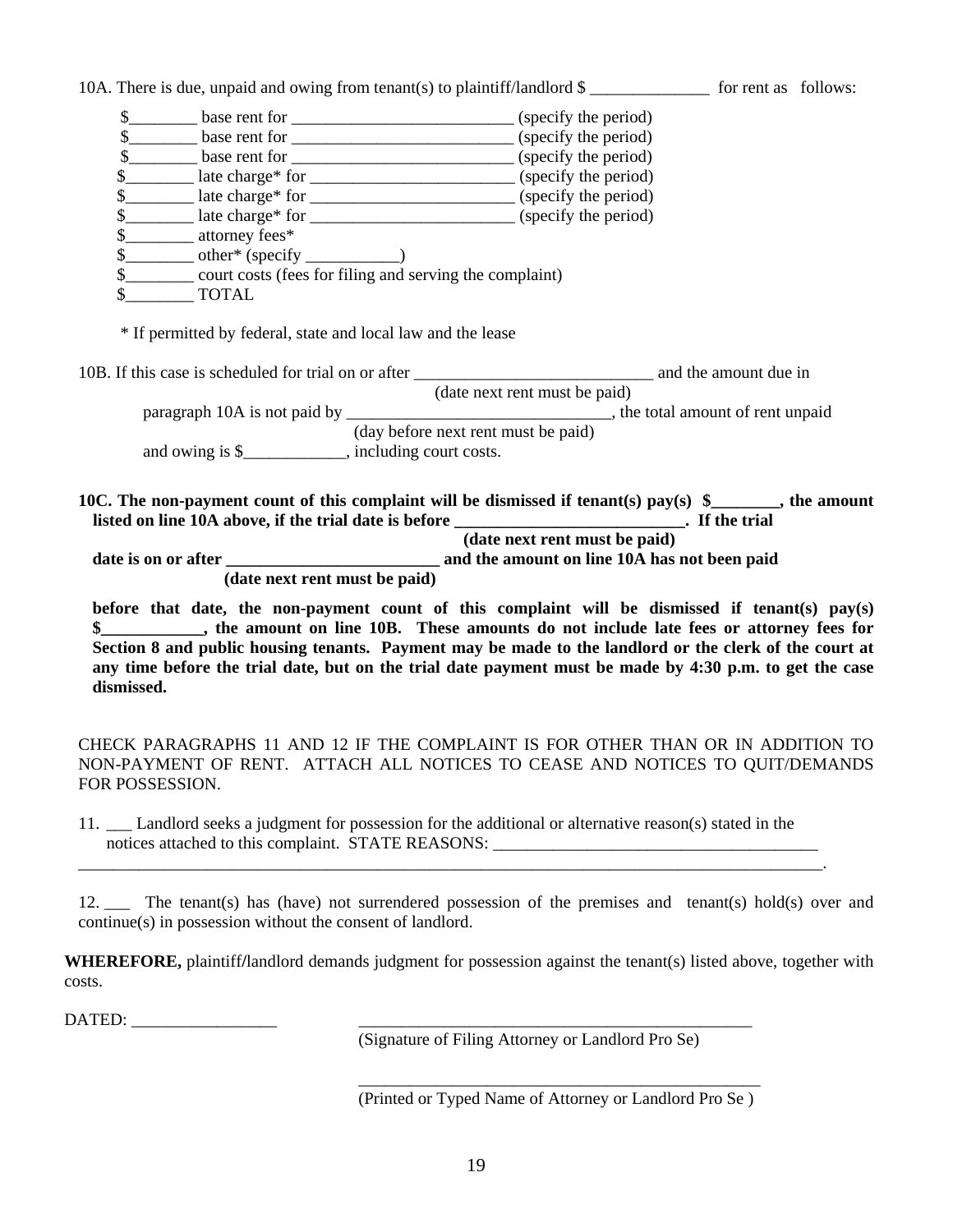|                                                                                                               |                                     |  | before that date, the non-payment count of this complaint will be dismissed if tenant(s) pay(s) |
|---------------------------------------------------------------------------------------------------------------|-------------------------------------|--|-------------------------------------------------------------------------------------------------|
| (date next rent must be paid)                                                                                 |                                     |  |                                                                                                 |
|                                                                                                               | (date next rent must be paid)       |  |                                                                                                 |
| listed on line 10A above, if the trial date is before ___________________________. If the trial               |                                     |  |                                                                                                 |
| 10C. The non-payment count of this complaint will be dismissed if tenant(s) pay(s) $\frac{1}{2}$ , the amount |                                     |  |                                                                                                 |
| and owing is \$_____________, including court costs.                                                          |                                     |  |                                                                                                 |
|                                                                                                               | (day before next rent must be paid) |  |                                                                                                 |
|                                                                                                               |                                     |  |                                                                                                 |
|                                                                                                               | (date next rent must be paid)       |  |                                                                                                 |
| * If permitted by federal, state and local law and the lease                                                  |                                     |  |                                                                                                 |
| <b>TOTAL</b>                                                                                                  |                                     |  |                                                                                                 |
| \$<br>\$__________ court costs (fees for filing and serving the complaint)                                    |                                     |  |                                                                                                 |
|                                                                                                               |                                     |  |                                                                                                 |
| \$____________ attorney fees*                                                                                 |                                     |  |                                                                                                 |
| \$_________ late charge* for ________________________________(specify the period)                             |                                     |  |                                                                                                 |
|                                                                                                               |                                     |  |                                                                                                 |
| \$_________ late charge* for ________________________________(specify the period)                             |                                     |  |                                                                                                 |
|                                                                                                               |                                     |  |                                                                                                 |
| \$                                                                                                            |                                     |  |                                                                                                 |
|                                                                                                               |                                     |  |                                                                                                 |

CHECK PARAGRAPHS 11 AND 12 IF THE COMPLAINT IS FOR OTHER THAN OR IN ADDITION TO NON-PAYMENT OF RENT. ATTACH ALL NOTICES TO CEASE AND NOTICES TO QUIT/DEMANDS FOR POSSESSION.

11. \_\_\_ Landlord seeks a judgment for possession for the additional or alternative reason(s) stated in the notices attached to this complaint. STATE REASONS: \_\_\_\_\_\_\_\_\_\_\_\_\_\_\_\_\_\_\_\_\_\_\_\_\_\_\_\_\_\_\_\_\_\_\_\_\_\_

\_\_\_\_\_\_\_\_\_\_\_\_\_\_\_\_\_\_\_\_\_\_\_\_\_\_\_\_\_\_\_\_\_\_\_\_\_\_\_\_\_\_\_\_\_\_\_\_\_\_\_\_\_\_\_\_\_\_\_\_\_\_\_\_\_\_\_\_\_\_\_\_\_\_\_\_\_\_\_\_\_\_\_\_\_\_\_.

12. \_\_\_ The tenant(s) has (have) not surrendered possession of the premises and tenant(s) hold(s) over and continue(s) in possession without the consent of landlord.

**WHEREFORE,** plaintiff**/**landlord demands judgment for possession against the tenant(s) listed above, together with costs.

DATED:

**dismissed.** 

(Signature of Filing Attorney or Landlord Pro Se)

\_\_\_\_\_\_\_\_\_\_\_\_\_\_\_\_\_\_\_\_\_\_\_\_\_\_\_\_\_\_\_\_\_\_\_\_\_\_\_\_\_\_\_\_\_\_\_ (Printed or Typed Name of Attorney or Landlord Pro Se )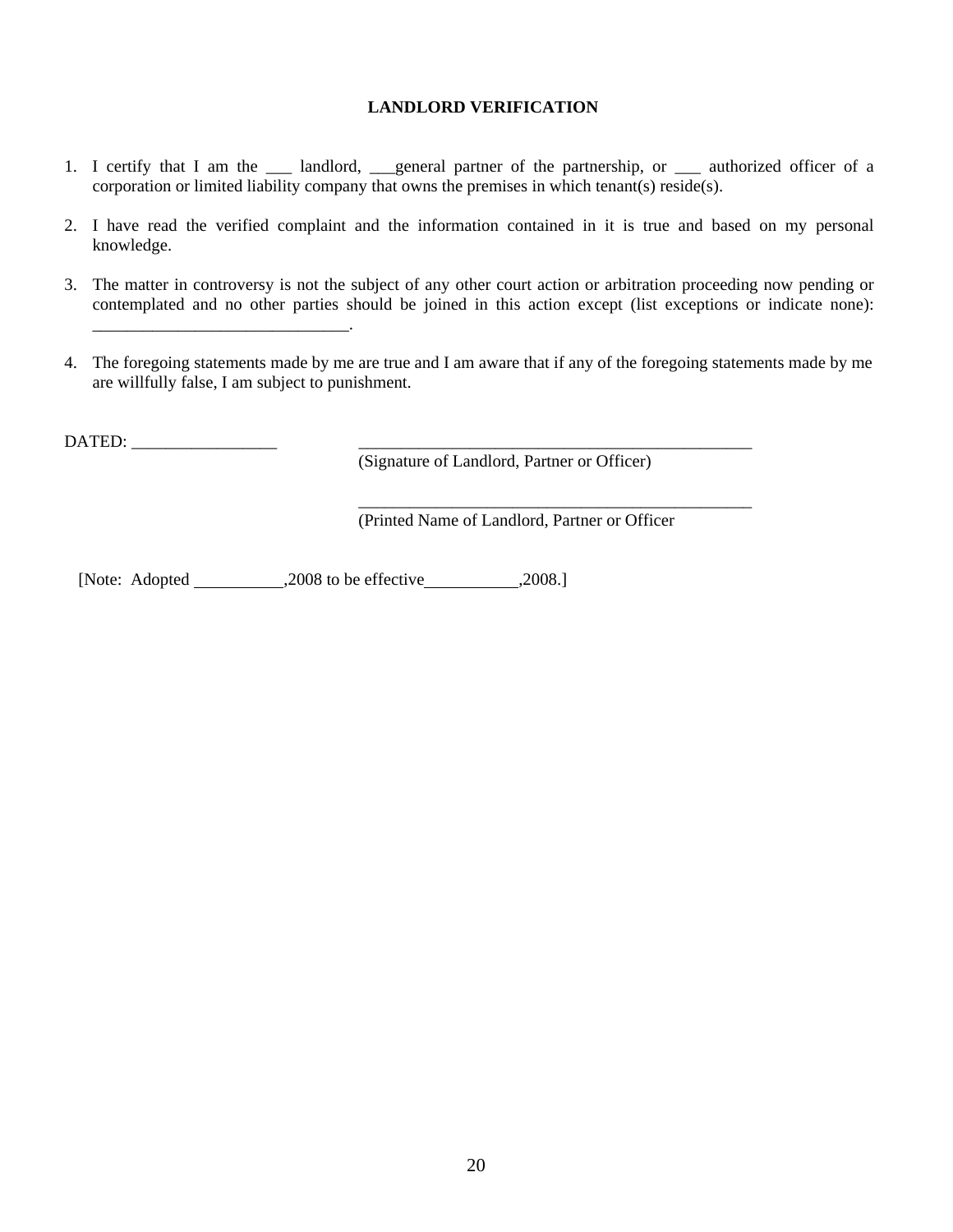#### **LANDLORD VERIFICATION**

- 1. I certify that I am the \_\_\_ landlord, \_\_\_general partner of the partnership, or \_\_\_ authorized officer of a corporation or limited liability company that owns the premises in which tenant(s) reside(s).
- 2. I have read the verified complaint and the information contained in it is true and based on my personal knowledge.
- 3. The matter in controversy is not the subject of any other court action or arbitration proceeding now pending or contemplated and no other parties should be joined in this action except (list exceptions or indicate none):
- 4. The foregoing statements made by me are true and I am aware that if any of the foregoing statements made by me are willfully false, I am subject to punishment.

DATED: \_\_\_\_\_\_\_\_\_\_\_\_\_\_\_\_\_ \_\_\_\_\_\_\_\_\_\_\_\_\_\_\_\_\_\_\_\_\_\_\_\_\_\_\_\_\_\_\_\_\_\_\_\_\_\_\_\_\_\_\_\_\_\_

\_\_\_\_\_\_\_\_\_\_\_\_\_\_\_\_\_\_\_\_\_\_\_\_\_\_\_\_\_\_.

(Signature of Landlord, Partner or Officer)

(Printed Name of Landlord, Partner or Officer

\_\_\_\_\_\_\_\_\_\_\_\_\_\_\_\_\_\_\_\_\_\_\_\_\_\_\_\_\_\_\_\_\_\_\_\_\_\_\_\_\_\_\_\_\_\_

[Note: Adopted ,2008 to be effective ,2008.]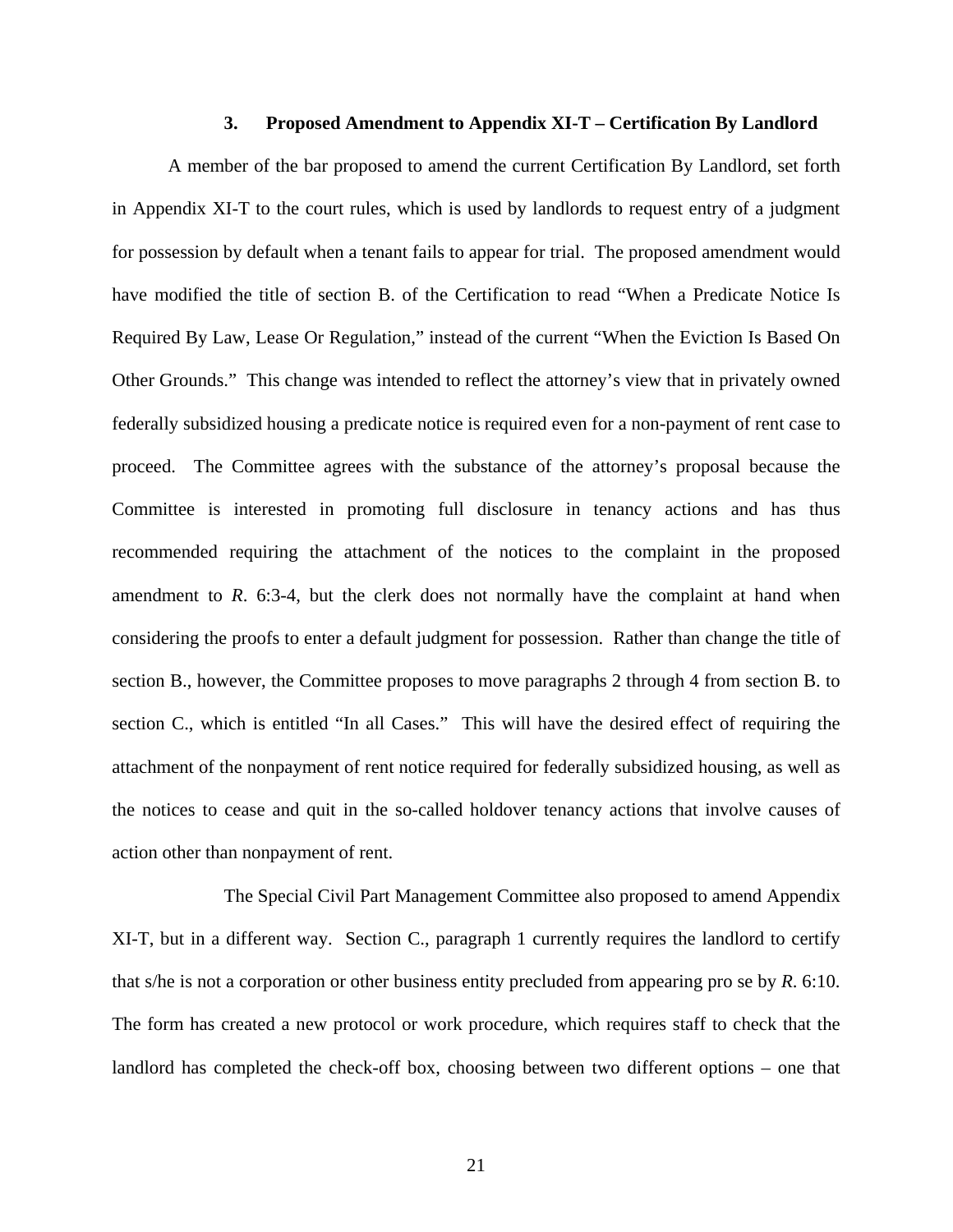#### **3. Proposed Amendment to Appendix XI-T – Certification By Landlord**

A member of the bar proposed to amend the current Certification By Landlord, set forth in Appendix XI-T to the court rules, which is used by landlords to request entry of a judgment for possession by default when a tenant fails to appear for trial. The proposed amendment would have modified the title of section B. of the Certification to read "When a Predicate Notice Is Required By Law, Lease Or Regulation," instead of the current "When the Eviction Is Based On Other Grounds." This change was intended to reflect the attorney's view that in privately owned federally subsidized housing a predicate notice is required even for a non-payment of rent case to proceed. The Committee agrees with the substance of the attorney's proposal because the Committee is interested in promoting full disclosure in tenancy actions and has thus recommended requiring the attachment of the notices to the complaint in the proposed amendment to *R*. 6:3-4, but the clerk does not normally have the complaint at hand when considering the proofs to enter a default judgment for possession. Rather than change the title of section B., however, the Committee proposes to move paragraphs 2 through 4 from section B. to section C., which is entitled "In all Cases." This will have the desired effect of requiring the attachment of the nonpayment of rent notice required for federally subsidized housing, as well as the notices to cease and quit in the so-called holdover tenancy actions that involve causes of action other than nonpayment of rent.

 The Special Civil Part Management Committee also proposed to amend Appendix XI-T, but in a different way. Section C., paragraph 1 currently requires the landlord to certify that s/he is not a corporation or other business entity precluded from appearing pro se by *R*. 6:10. The form has created a new protocol or work procedure, which requires staff to check that the landlord has completed the check-off box, choosing between two different options – one that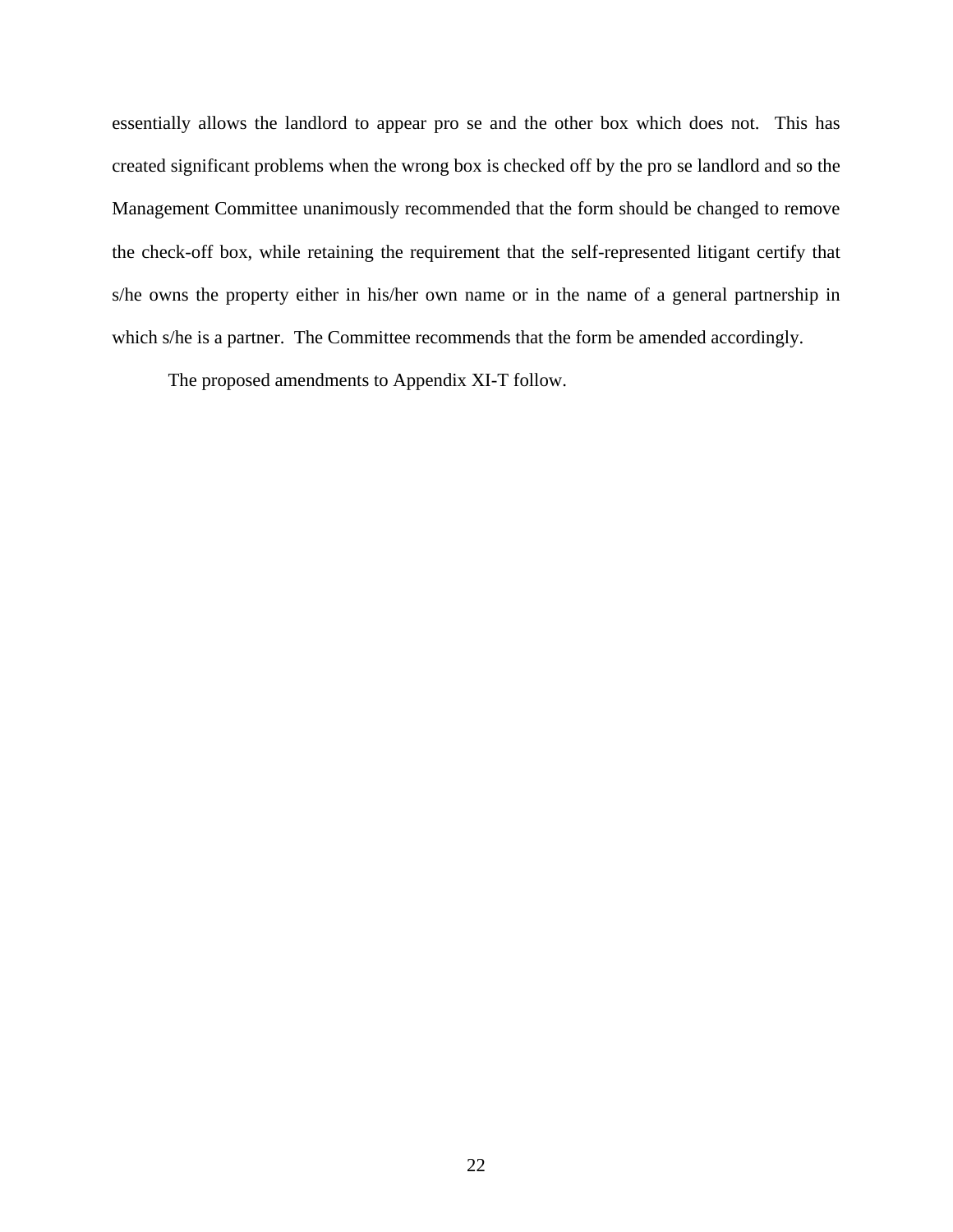essentially allows the landlord to appear pro se and the other box which does not. This has created significant problems when the wrong box is checked off by the pro se landlord and so the Management Committee unanimously recommended that the form should be changed to remove the check-off box, while retaining the requirement that the self-represented litigant certify that s/he owns the property either in his/her own name or in the name of a general partnership in which s/he is a partner. The Committee recommends that the form be amended accordingly.

The proposed amendments to Appendix XI-T follow.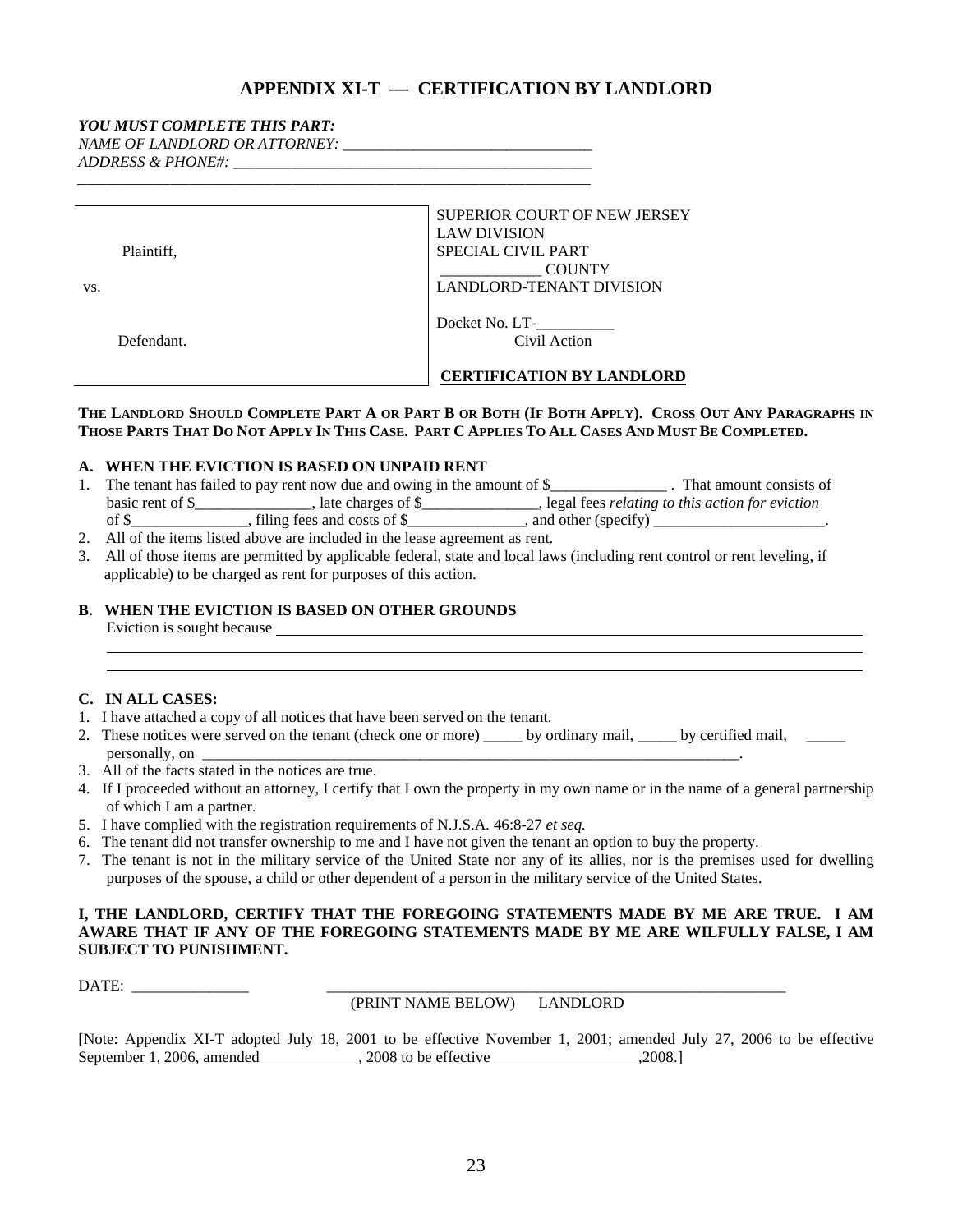#### **APPENDIX XI-T — CERTIFICATION BY LANDLORD**

#### *YOU MUST COMPLETE THIS PART:*

*NAME OF LANDLORD OR ATTORNEY: \_\_\_\_\_\_\_\_\_\_\_\_\_\_\_\_\_\_\_\_\_\_\_\_\_\_\_\_\_\_\_\_* 

*ADDRESS & PHONE#: \_\_\_\_\_\_\_\_\_\_\_\_\_\_\_\_\_\_\_\_\_\_\_\_\_\_\_\_\_\_\_\_\_\_\_\_\_\_\_\_\_\_\_\_\_\_* 

| VS. | Plaintiff, | SUPERIOR COURT OF NEW JERSEY<br><b>LAW DIVISION</b><br>SPECIAL CIVIL PART<br><b>COUNTY</b><br><b>LANDLORD-TENANT DIVISION</b> |  |  |  |  |
|-----|------------|-------------------------------------------------------------------------------------------------------------------------------|--|--|--|--|
|     | Defendant. | Docket No. LT-<br>Civil Action<br><b>CERTIFICATION BY LANDLORD</b>                                                            |  |  |  |  |

#### **THE LANDLORD SHOULD COMPLETE PART A OR PART B OR BOTH (IF BOTH APPLY). CROSS OUT ANY PARAGRAPHS IN THOSE PARTS THAT DO NOT APPLY IN THIS CASE. PART C APPLIES TO ALL CASES AND MUST BE COMPLETED.**

#### **A. WHEN THE EVICTION IS BASED ON UNPAID RENT**

|                  | The tenant has failed to pay rent now due and owing in the amount of \$_ | That amount consists of                                  |  |
|------------------|--------------------------------------------------------------------------|----------------------------------------------------------|--|
| basic rent of \$ | , late charges of $\$$                                                   | , legal fees <i>relating to this action for eviction</i> |  |
| of \$            | filing fees and costs of \$                                              | and other (specify)                                      |  |
|                  |                                                                          |                                                          |  |

2. All of the items listed above are included in the lease agreement as rent.

*\_\_\_\_\_\_\_\_\_\_\_\_\_\_\_\_\_\_\_\_\_\_\_\_\_\_\_\_\_\_\_\_\_\_\_\_\_\_\_\_\_\_\_\_\_\_\_\_\_\_\_\_\_\_\_* 

3. All of those items are permitted by applicable federal, state and local laws (including rent control or rent leveling, if applicable) to be charged as rent for purposes of this action.

#### **B. WHEN THE EVICTION IS BASED ON OTHER GROUNDS**

Eviction is sought because <u>example and the contract of the set of the set of the set of the set of the set of the set of the set of the set of the set of the set of the set of the set of the set of the set of the set of t</u>

#### **C. IN ALL CASES:**

- 1. I have attached a copy of all notices that have been served on the tenant.
- 2. These notices were served on the tenant (check one or more) \_\_\_\_\_ by ordinary mail, \_\_\_\_\_ by certified mail, \_\_\_\_\_ personally, on \_\_\_\_\_\_\_\_\_\_\_\_\_\_\_\_\_\_\_\_\_\_\_\_\_\_\_\_\_\_\_\_\_\_\_\_\_\_\_\_\_\_\_\_\_\_\_\_\_\_\_\_\_\_\_\_\_\_\_\_\_\_\_\_\_\_\_\_\_.
- 3. All of the facts stated in the notices are true.
- 4. If I proceeded without an attorney, I certify that I own the property in my own name or in the name of a general partnership of which I am a partner.
- 5. I have complied with the registration requirements of N.J.S.A*.* 46:8-27 *et seq.*
- 6. The tenant did not transfer ownership to me and I have not given the tenant an option to buy the property.
- 7. The tenant is not in the military service of the United State nor any of its allies, nor is the premises used for dwelling purposes of the spouse, a child or other dependent of a person in the military service of the United States.

#### **I, THE LANDLORD, CERTIFY THAT THE FOREGOING STATEMENTS MADE BY ME ARE TRUE. I AM AWARE THAT IF ANY OF THE FOREGOING STATEMENTS MADE BY ME ARE WILFULLY FALSE, I AM SUBJECT TO PUNISHMENT.**

DATE: \_\_\_\_\_\_\_\_\_\_\_\_\_\_\_ \_\_\_\_\_\_\_\_\_\_\_\_\_\_\_\_\_\_\_\_\_\_\_\_\_\_\_\_\_\_\_\_\_\_\_\_\_\_\_\_\_\_\_\_\_\_\_\_\_\_\_\_\_\_\_\_\_\_\_

(PRINT NAME BELOW) LANDLORD

[Note: Appendix XI-T adopted July 18, 2001 to be effective November 1, 2001; amended July 27, 2006 to be effective September 1, 2006, amended , 2008 to be effective , 2008.]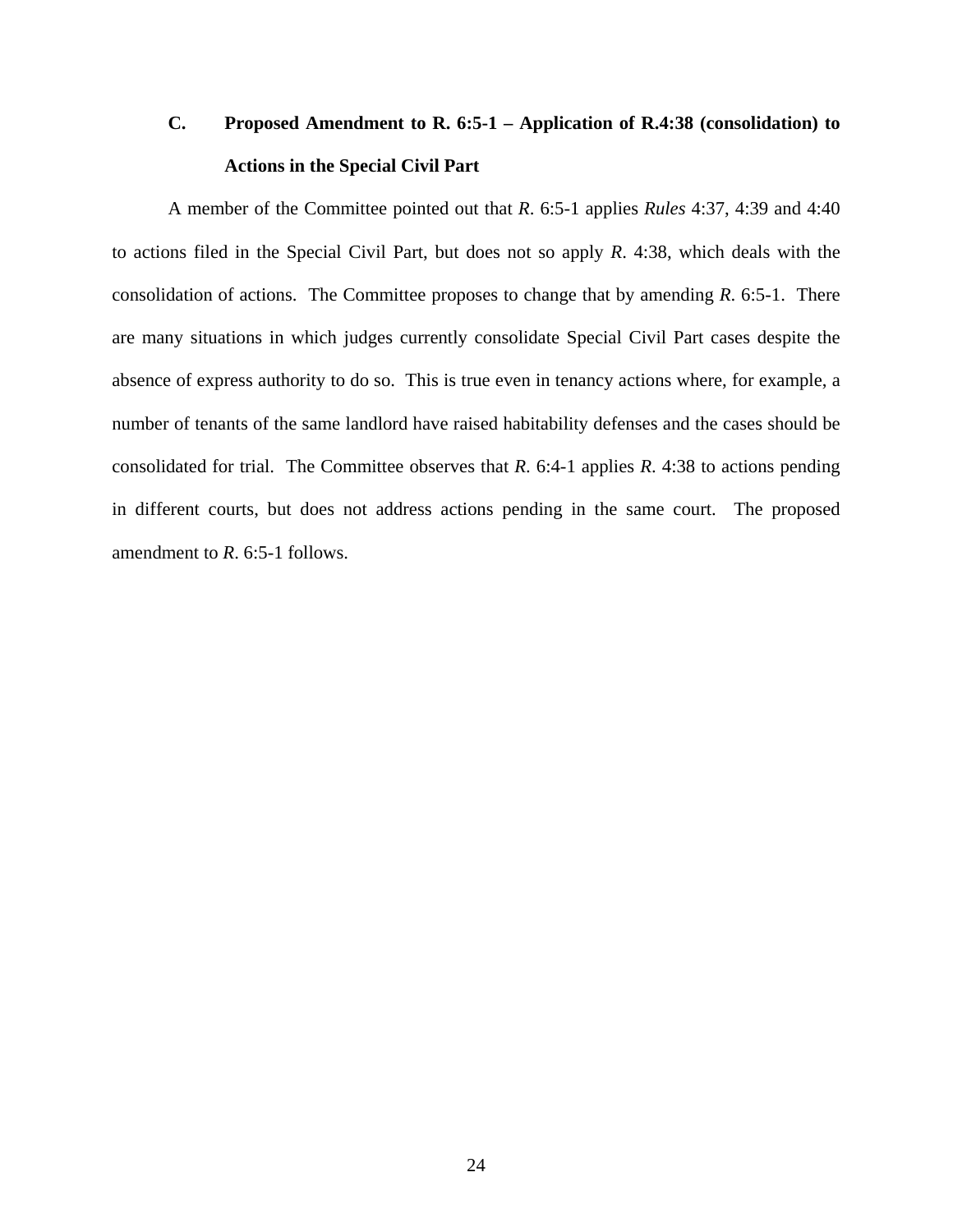# **C. Proposed Amendment to R. 6:5-1 – Application of R.4:38 (consolidation) to Actions in the Special Civil Part**

A member of the Committee pointed out that *R*. 6:5-1 applies *Rules* 4:37, 4:39 and 4:40 to actions filed in the Special Civil Part, but does not so apply *R*. 4:38, which deals with the consolidation of actions. The Committee proposes to change that by amending *R*. 6:5-1. There are many situations in which judges currently consolidate Special Civil Part cases despite the absence of express authority to do so. This is true even in tenancy actions where, for example, a number of tenants of the same landlord have raised habitability defenses and the cases should be consolidated for trial. The Committee observes that *R*. 6:4-1 applies *R*. 4:38 to actions pending in different courts, but does not address actions pending in the same court. The proposed amendment to *R*. 6:5-1 follows.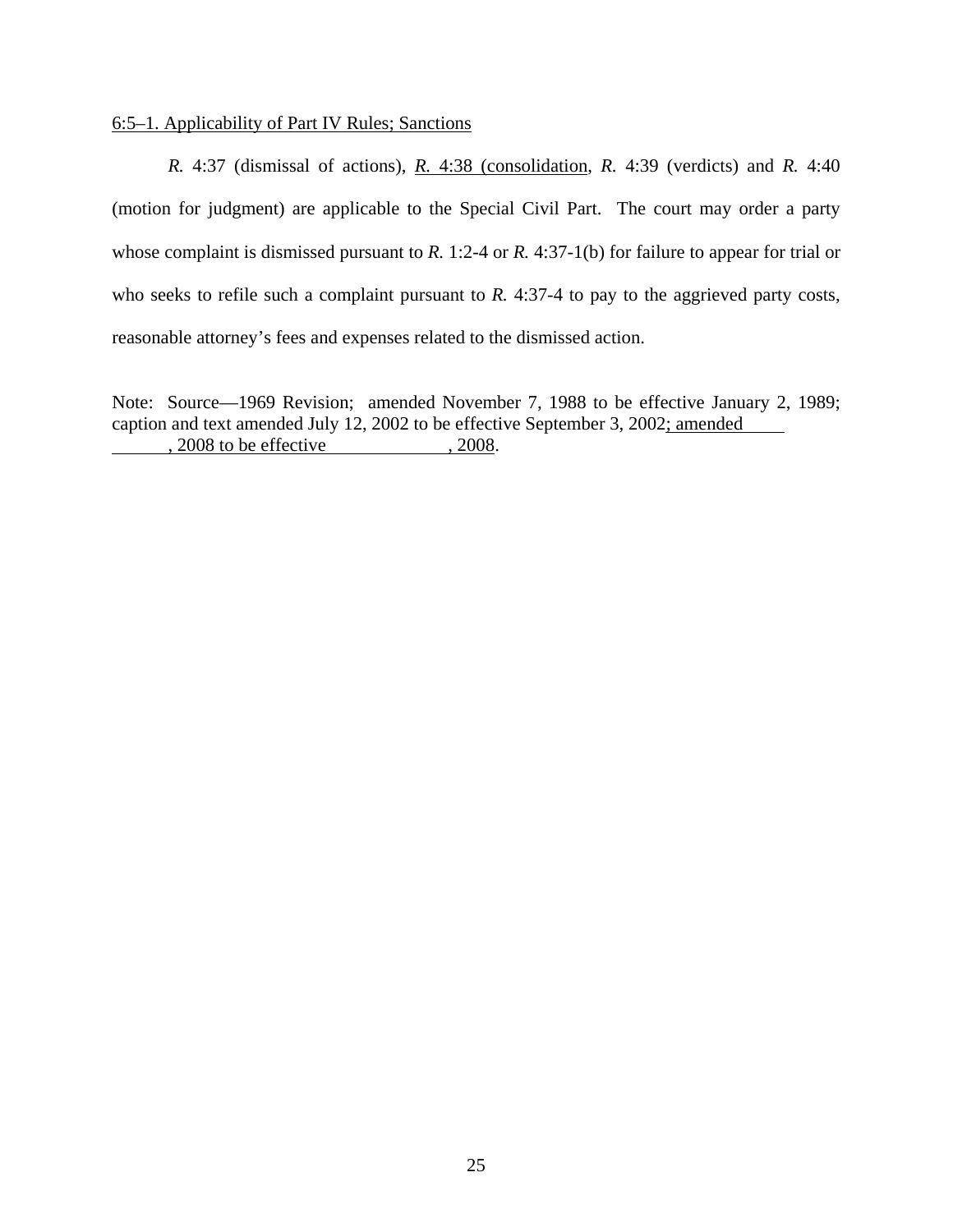#### 6:5–1. Applicability of Part IV Rules; Sanctions

*R.* 4:37 (dismissal of actions), *R.* 4:38 (consolidation, *R.* 4:39 (verdicts) and *R.* 4:40 (motion for judgment) are applicable to the Special Civil Part. The court may order a party whose complaint is dismissed pursuant to *R.* 1:2-4 or *R.* 4:37-1(b) for failure to appear for trial or who seeks to refile such a complaint pursuant to *R*. 4:37-4 to pay to the aggrieved party costs, reasonable attorney's fees and expenses related to the dismissed action.

Note: Source—1969 Revision; amended November 7, 1988 to be effective January 2, 1989; caption and text amended July 12, 2002 to be effective September 3, 2002; amended , 2008 to be effective , 2008.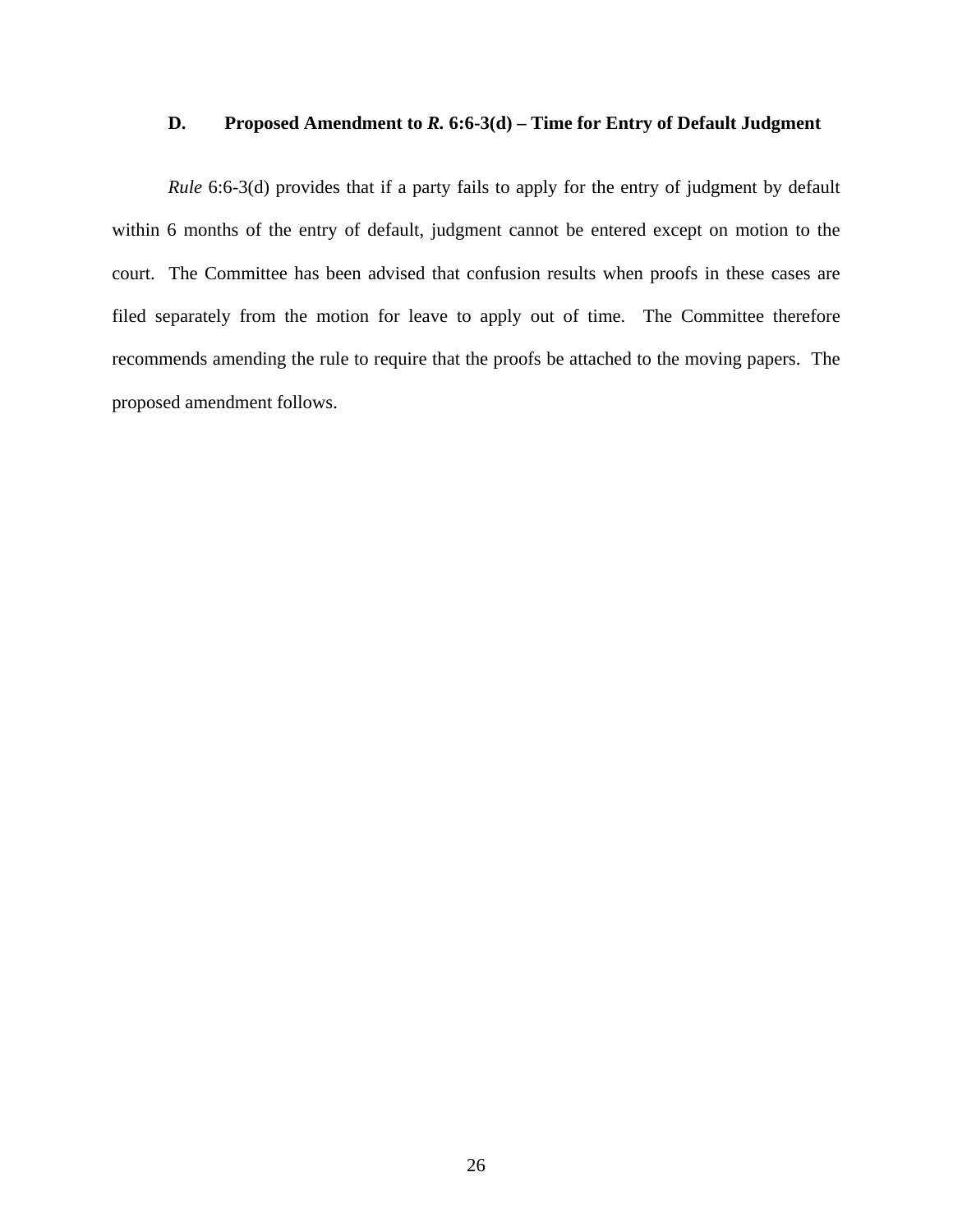#### **D. Proposed Amendment to** *R.* **6:6-3(d) – Time for Entry of Default Judgment**

*Rule* 6:6-3(d) provides that if a party fails to apply for the entry of judgment by default within 6 months of the entry of default, judgment cannot be entered except on motion to the court. The Committee has been advised that confusion results when proofs in these cases are filed separately from the motion for leave to apply out of time. The Committee therefore recommends amending the rule to require that the proofs be attached to the moving papers. The proposed amendment follows.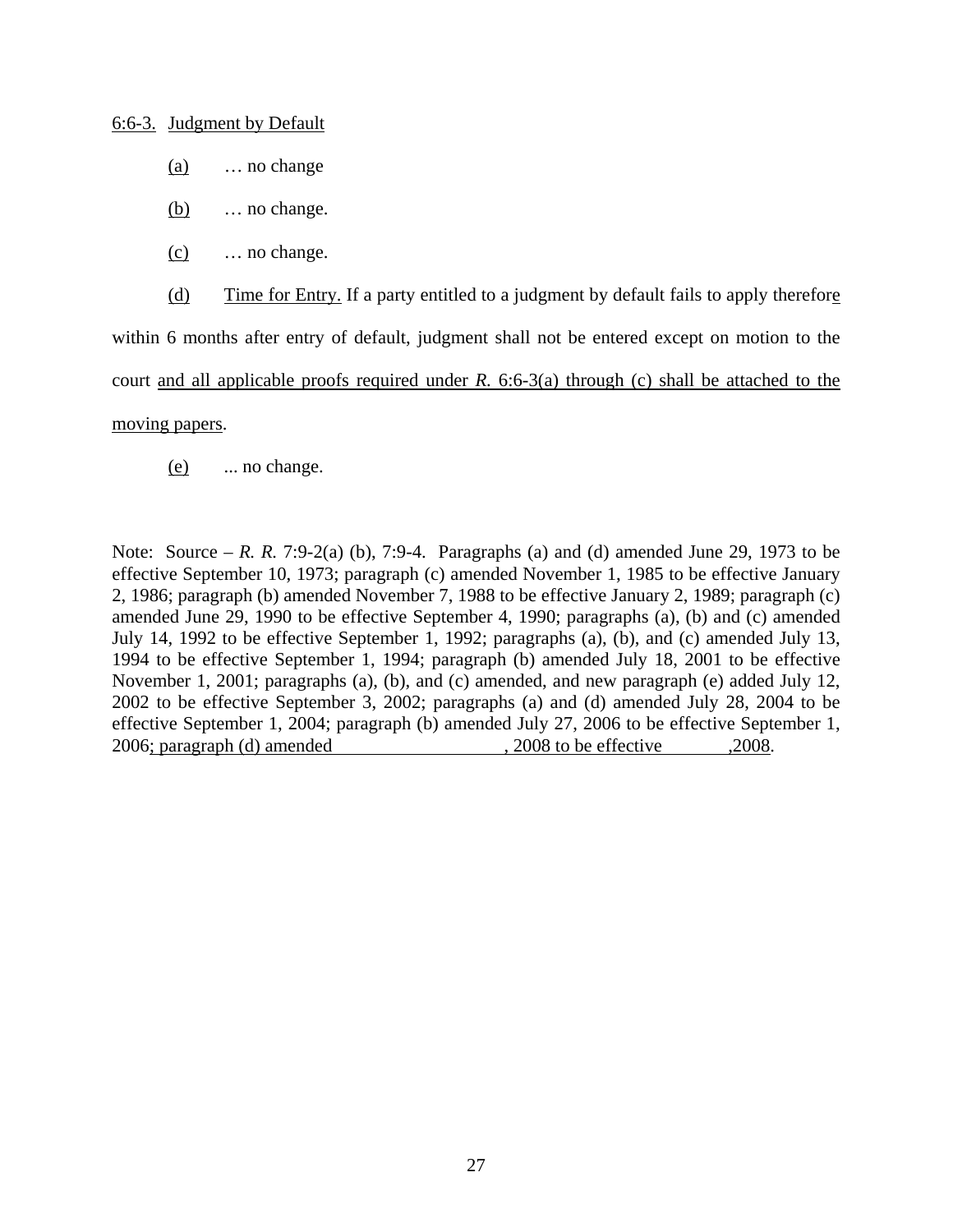6:6-3. Judgment by Default

- (a) … no change
- (b) … no change.
- (c) … no change.

(d) Time for Entry. If a party entitled to a judgment by default fails to apply therefore

within 6 months after entry of default, judgment shall not be entered except on motion to the

court and all applicable proofs required under *R.* 6:6-3(a) through (c) shall be attached to the

#### moving papers.

(e) ... no change.

Note: Source – *R. R.* 7:9-2(a) (b), 7:9-4. Paragraphs (a) and (d) amended June 29, 1973 to be effective September 10, 1973; paragraph (c) amended November 1, 1985 to be effective January 2, 1986; paragraph (b) amended November 7, 1988 to be effective January 2, 1989; paragraph (c) amended June 29, 1990 to be effective September 4, 1990; paragraphs (a), (b) and (c) amended July 14, 1992 to be effective September 1, 1992; paragraphs (a), (b), and (c) amended July 13, 1994 to be effective September 1, 1994; paragraph (b) amended July 18, 2001 to be effective November 1, 2001; paragraphs (a), (b), and (c) amended, and new paragraph (e) added July 12, 2002 to be effective September 3, 2002; paragraphs (a) and (d) amended July 28, 2004 to be effective September 1, 2004; paragraph (b) amended July 27, 2006 to be effective September 1, 2006; paragraph (d) amended , 2008 to be effective , 2008.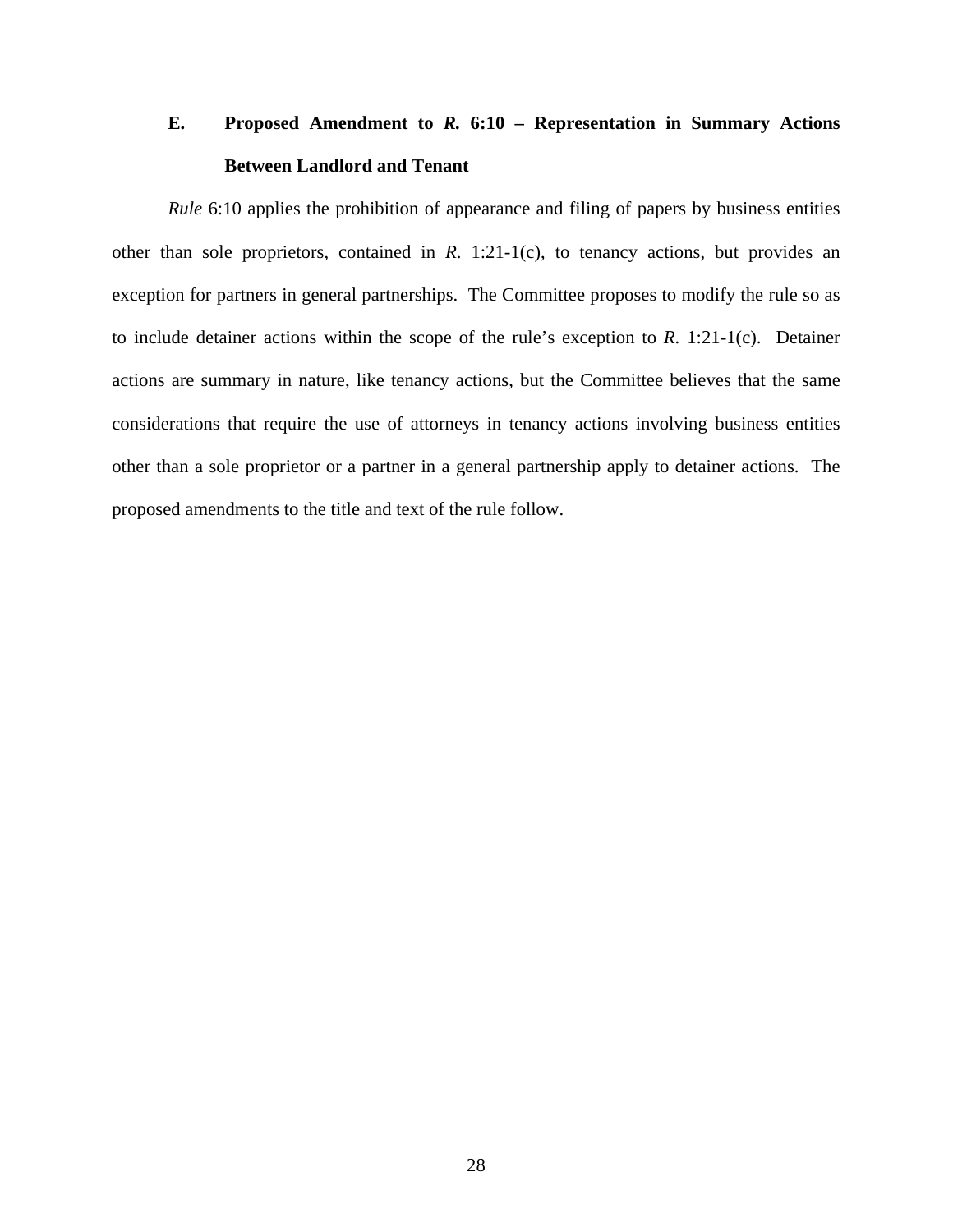# **E. Proposed Amendment to** *R.* **6:10 – Representation in Summary Actions Between Landlord and Tenant**

*Rule* 6:10 applies the prohibition of appearance and filing of papers by business entities other than sole proprietors, contained in *R*. 1:21-1(c), to tenancy actions, but provides an exception for partners in general partnerships. The Committee proposes to modify the rule so as to include detainer actions within the scope of the rule's exception to *R*. 1:21-1(c). Detainer actions are summary in nature, like tenancy actions, but the Committee believes that the same considerations that require the use of attorneys in tenancy actions involving business entities other than a sole proprietor or a partner in a general partnership apply to detainer actions. The proposed amendments to the title and text of the rule follow.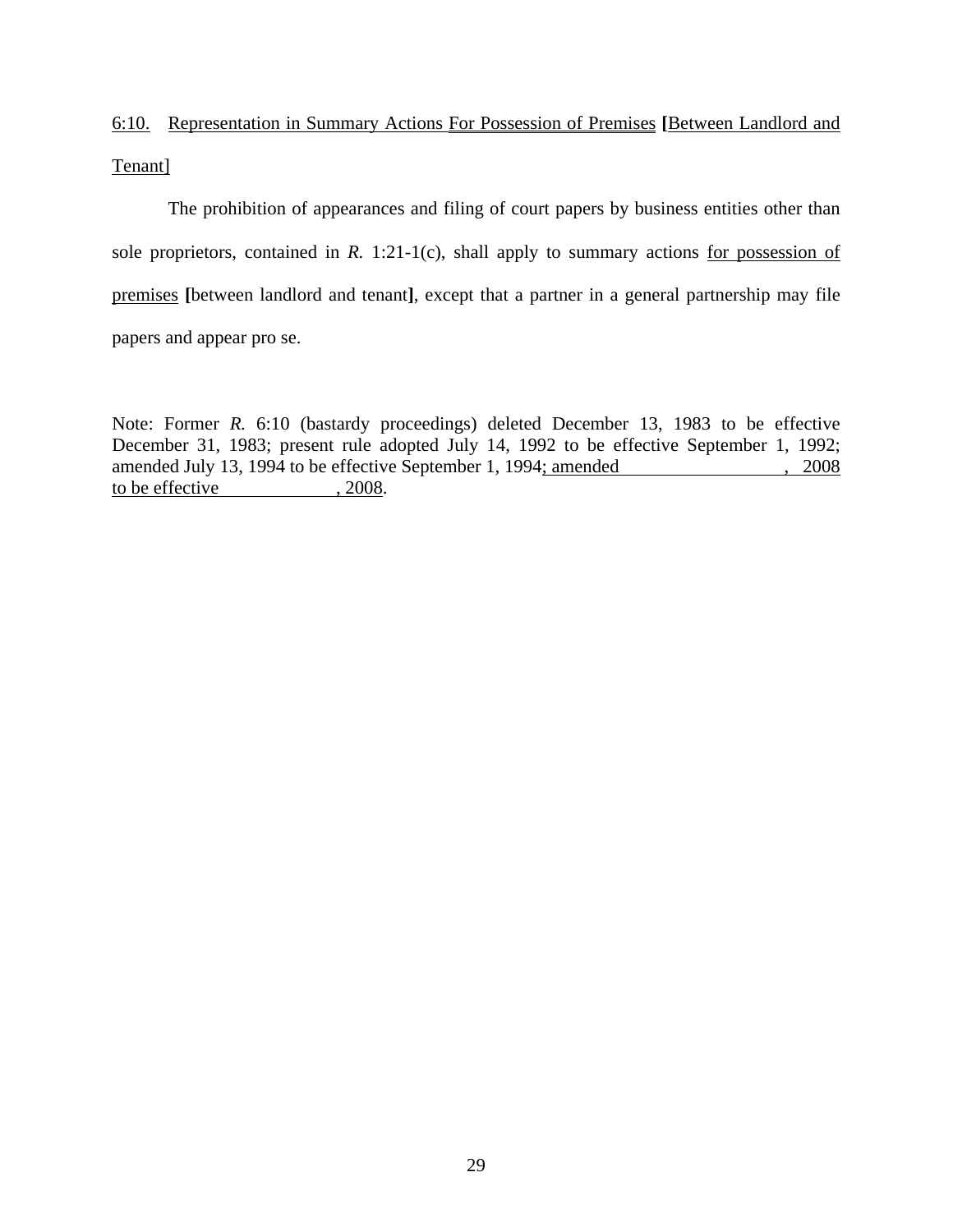# 6:10. Representation in Summary Actions For Possession of Premises **[**Between Landlord and Tenant]

 The prohibition of appearances and filing of court papers by business entities other than sole proprietors, contained in *R.* 1:21-1(c), shall apply to summary actions for possession of premises **[**between landlord and tenant**]**, except that a partner in a general partnership may file papers and appear pro se.

Note: Former *R.* 6:10 (bastardy proceedings) deleted December 13, 1983 to be effective December 31, 1983; present rule adopted July 14, 1992 to be effective September 1, 1992; amended July 13, 1994 to be effective September 1, 1994; amended , 2008 to be effective , 2008.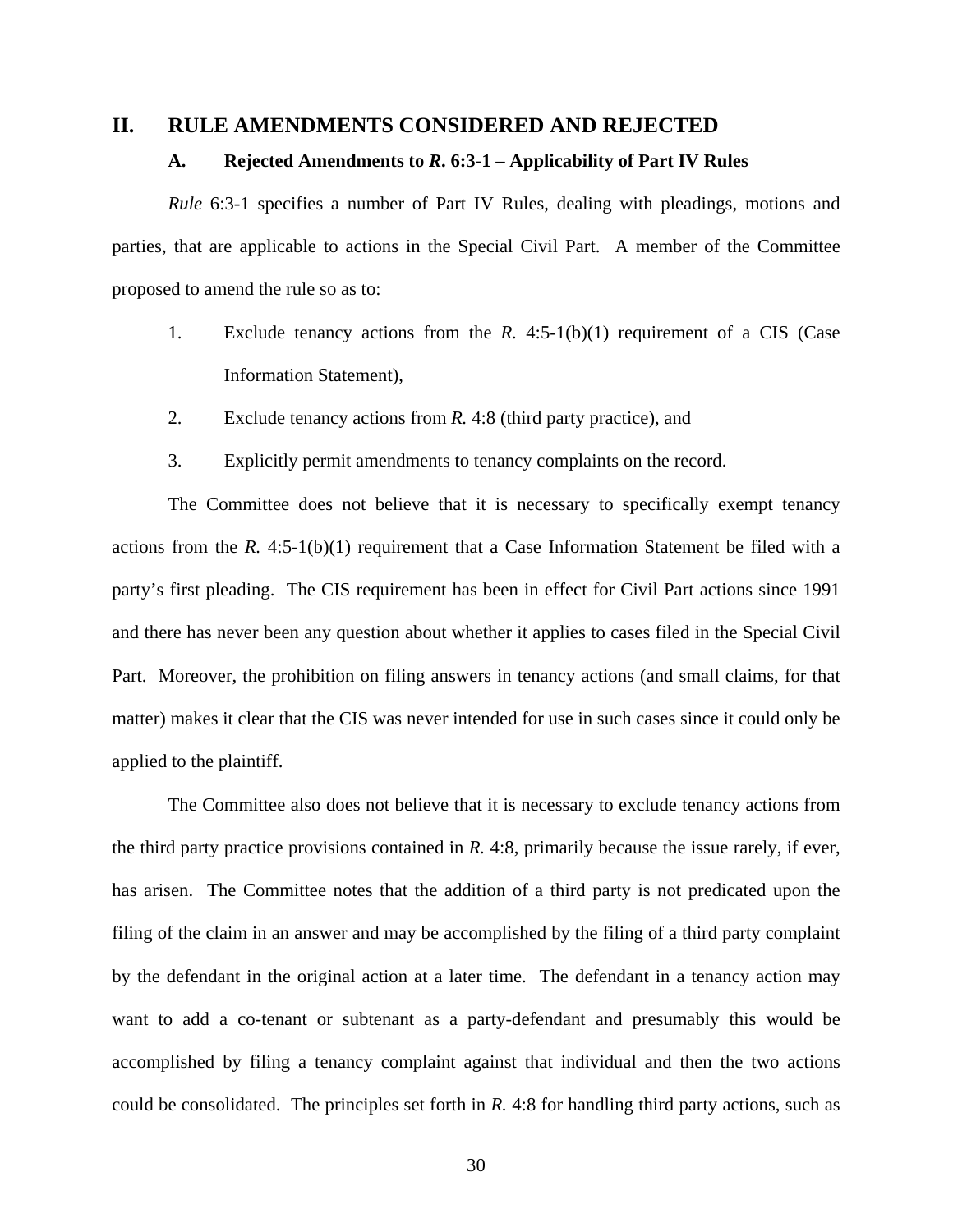#### **II. RULE AMENDMENTS CONSIDERED AND REJECTED**

#### **A. Rejected Amendments to** *R***. 6:3-1 – Applicability of Part IV Rules**

*Rule* 6:3-1 specifies a number of Part IV Rules, dealing with pleadings, motions and parties, that are applicable to actions in the Special Civil Part. A member of the Committee proposed to amend the rule so as to:

- 1. Exclude tenancy actions from the *R.* 4:5-1(b)(1) requirement of a CIS (Case Information Statement),
- 2. Exclude tenancy actions from *R.* 4:8 (third party practice), and
- 3. Explicitly permit amendments to tenancy complaints on the record.

The Committee does not believe that it is necessary to specifically exempt tenancy actions from the *R.* 4:5-1(b)(1) requirement that a Case Information Statement be filed with a party's first pleading. The CIS requirement has been in effect for Civil Part actions since 1991 and there has never been any question about whether it applies to cases filed in the Special Civil Part. Moreover, the prohibition on filing answers in tenancy actions (and small claims, for that matter) makes it clear that the CIS was never intended for use in such cases since it could only be applied to the plaintiff.

The Committee also does not believe that it is necessary to exclude tenancy actions from the third party practice provisions contained in *R.* 4:8, primarily because the issue rarely, if ever, has arisen. The Committee notes that the addition of a third party is not predicated upon the filing of the claim in an answer and may be accomplished by the filing of a third party complaint by the defendant in the original action at a later time. The defendant in a tenancy action may want to add a co-tenant or subtenant as a party-defendant and presumably this would be accomplished by filing a tenancy complaint against that individual and then the two actions could be consolidated. The principles set forth in *R.* 4:8 for handling third party actions, such as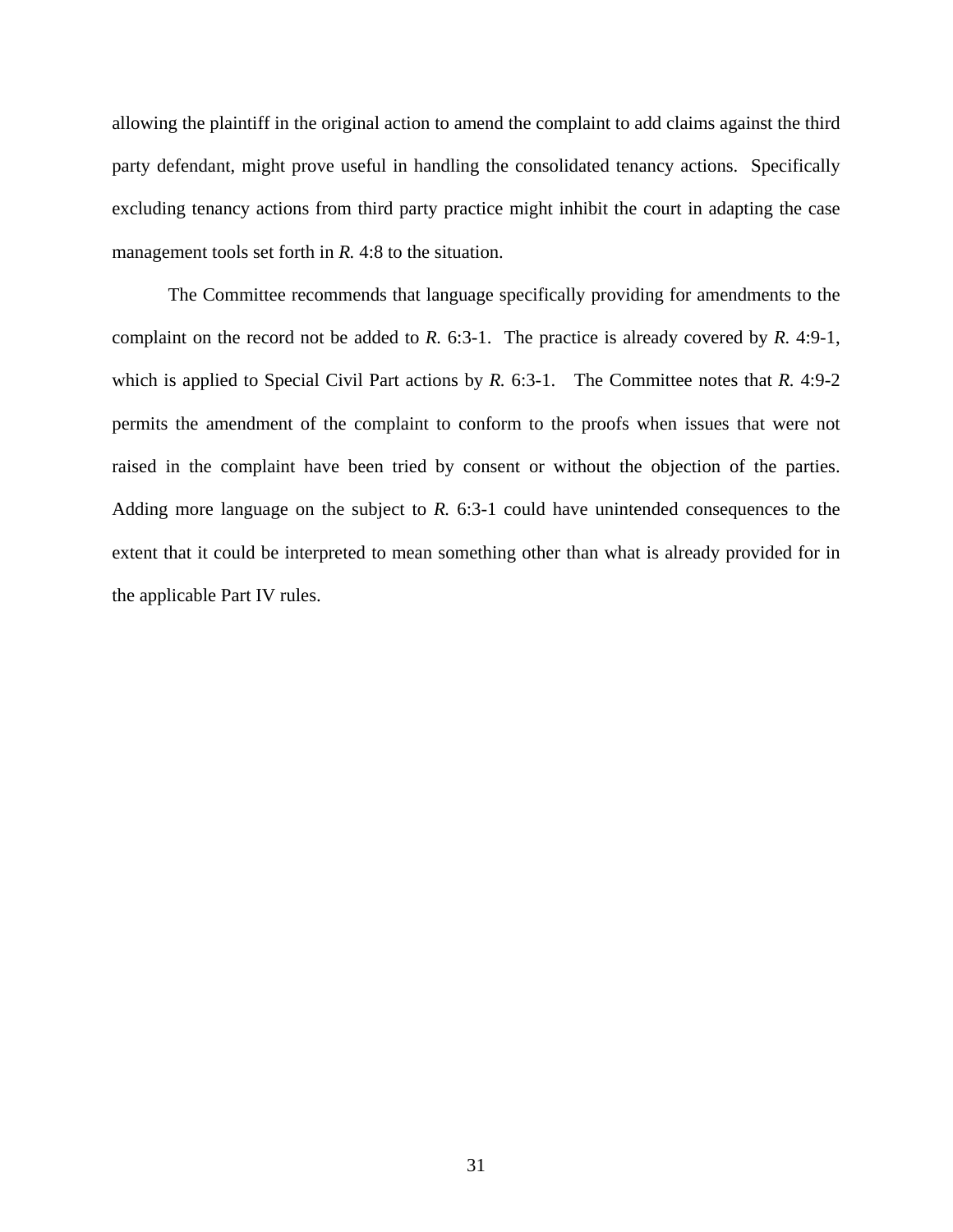allowing the plaintiff in the original action to amend the complaint to add claims against the third party defendant, might prove useful in handling the consolidated tenancy actions. Specifically excluding tenancy actions from third party practice might inhibit the court in adapting the case management tools set forth in *R.* 4:8 to the situation.

The Committee recommends that language specifically providing for amendments to the complaint on the record not be added to *R.* 6:3-1. The practice is already covered by *R.* 4:9-1, which is applied to Special Civil Part actions by *R*. 6:3-1. The Committee notes that *R*. 4:9-2 permits the amendment of the complaint to conform to the proofs when issues that were not raised in the complaint have been tried by consent or without the objection of the parties. Adding more language on the subject to *R.* 6:3-1 could have unintended consequences to the extent that it could be interpreted to mean something other than what is already provided for in the applicable Part IV rules.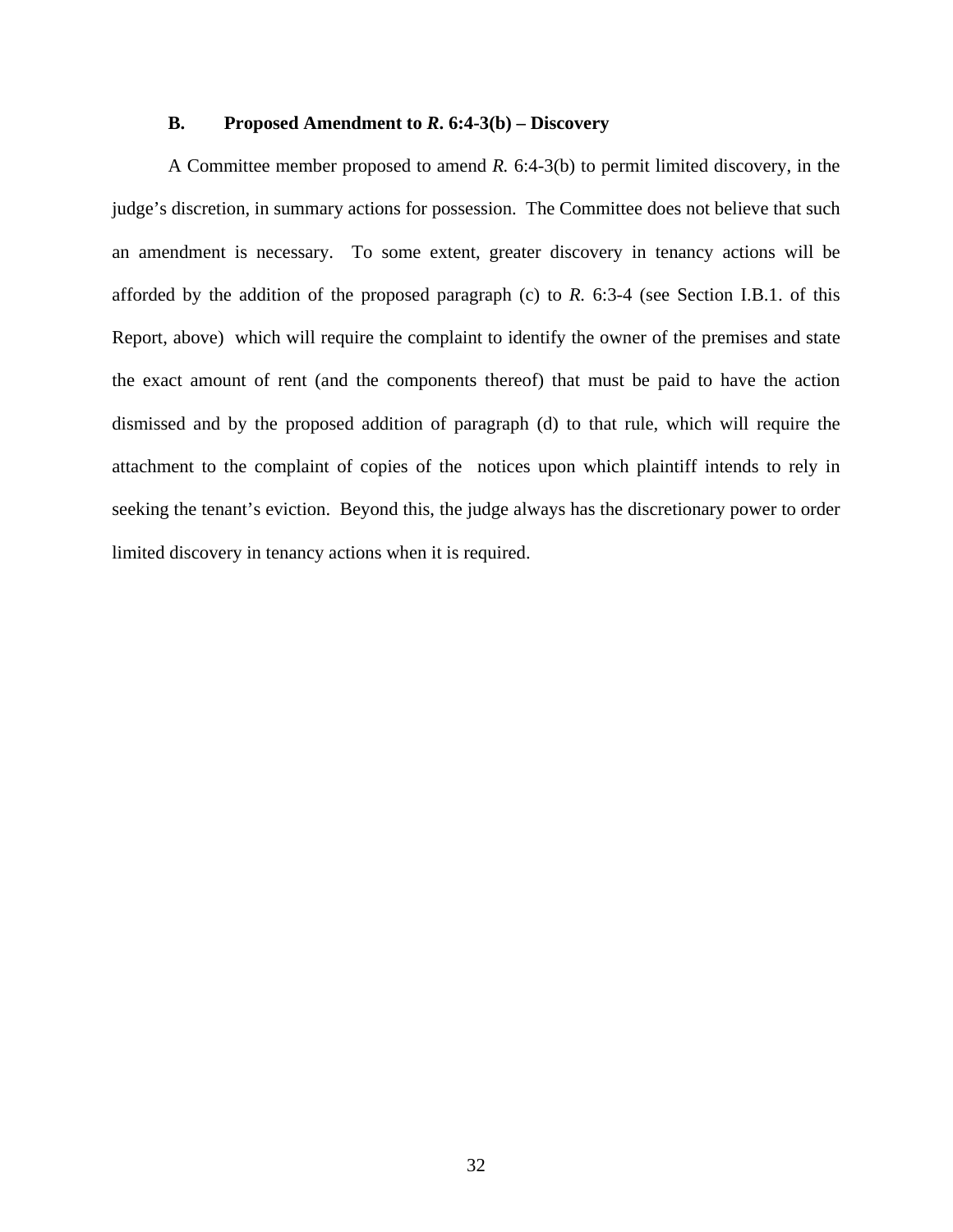#### **B. Proposed Amendment to** *R***. 6:4-3(b) – Discovery**

A Committee member proposed to amend *R.* 6:4-3(b) to permit limited discovery, in the judge's discretion, in summary actions for possession. The Committee does not believe that such an amendment is necessary. To some extent, greater discovery in tenancy actions will be afforded by the addition of the proposed paragraph (c) to *R.* 6:3-4 (see Section I.B.1. of this Report, above) which will require the complaint to identify the owner of the premises and state the exact amount of rent (and the components thereof) that must be paid to have the action dismissed and by the proposed addition of paragraph (d) to that rule, which will require the attachment to the complaint of copies of the notices upon which plaintiff intends to rely in seeking the tenant's eviction. Beyond this, the judge always has the discretionary power to order limited discovery in tenancy actions when it is required.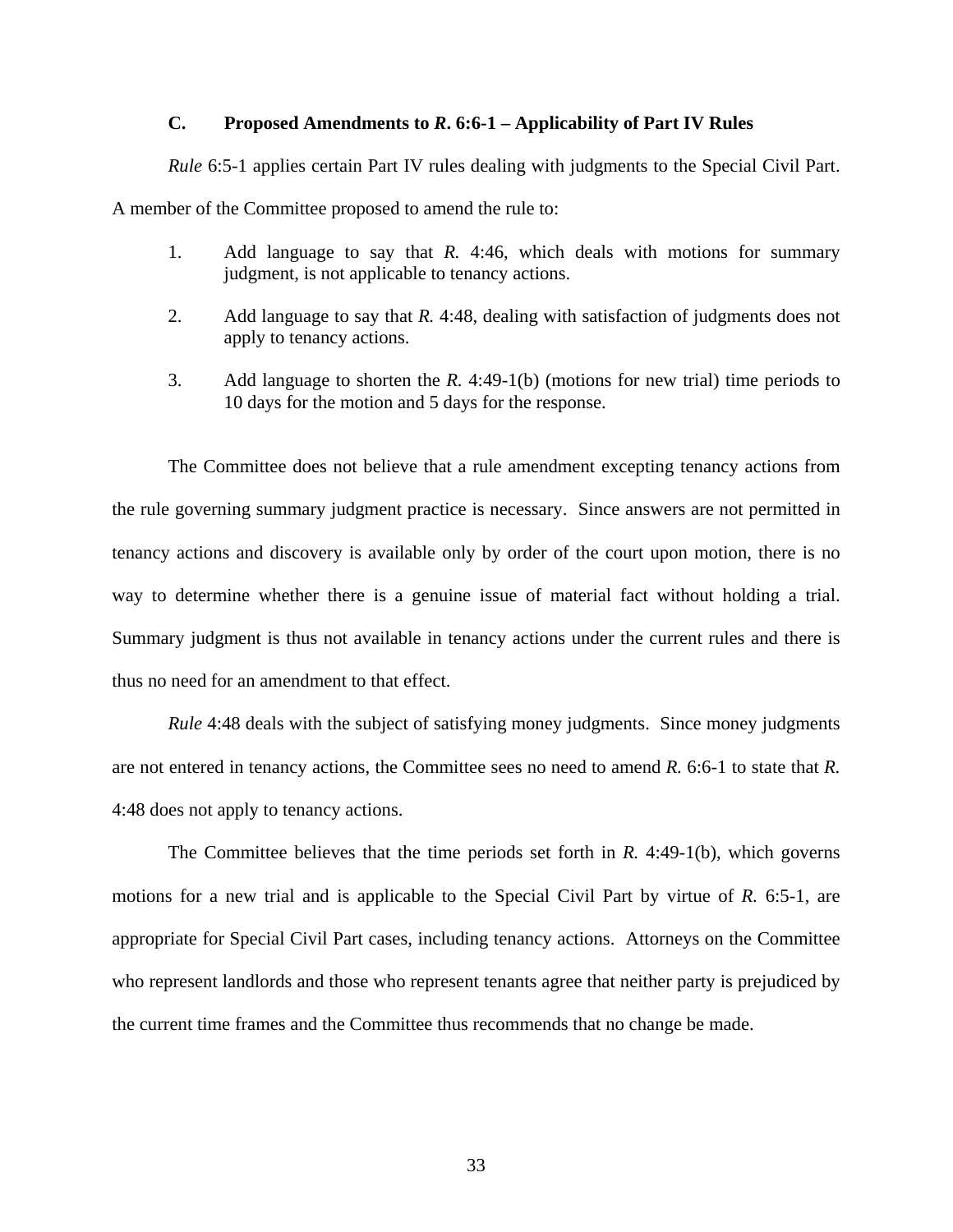#### **C. Proposed Amendments to** *R***. 6:6-1 – Applicability of Part IV Rules**

*Rule* 6:5-1 applies certain Part IV rules dealing with judgments to the Special Civil Part.

A member of the Committee proposed to amend the rule to:

- 1. Add language to say that *R.* 4:46, which deals with motions for summary judgment, is not applicable to tenancy actions.
- 2. Add language to say that *R.* 4:48, dealing with satisfaction of judgments does not apply to tenancy actions.
- 3. Add language to shorten the *R.* 4:49-1(b) (motions for new trial) time periods to 10 days for the motion and 5 days for the response.

The Committee does not believe that a rule amendment excepting tenancy actions from the rule governing summary judgment practice is necessary. Since answers are not permitted in tenancy actions and discovery is available only by order of the court upon motion, there is no way to determine whether there is a genuine issue of material fact without holding a trial. Summary judgment is thus not available in tenancy actions under the current rules and there is thus no need for an amendment to that effect.

*Rule* 4:48 deals with the subject of satisfying money judgments. Since money judgments are not entered in tenancy actions, the Committee sees no need to amend *R.* 6:6-1 to state that *R.* 4:48 does not apply to tenancy actions.

The Committee believes that the time periods set forth in *R.* 4:49-1(b), which governs motions for a new trial and is applicable to the Special Civil Part by virtue of *R.* 6:5-1, are appropriate for Special Civil Part cases, including tenancy actions. Attorneys on the Committee who represent landlords and those who represent tenants agree that neither party is prejudiced by the current time frames and the Committee thus recommends that no change be made.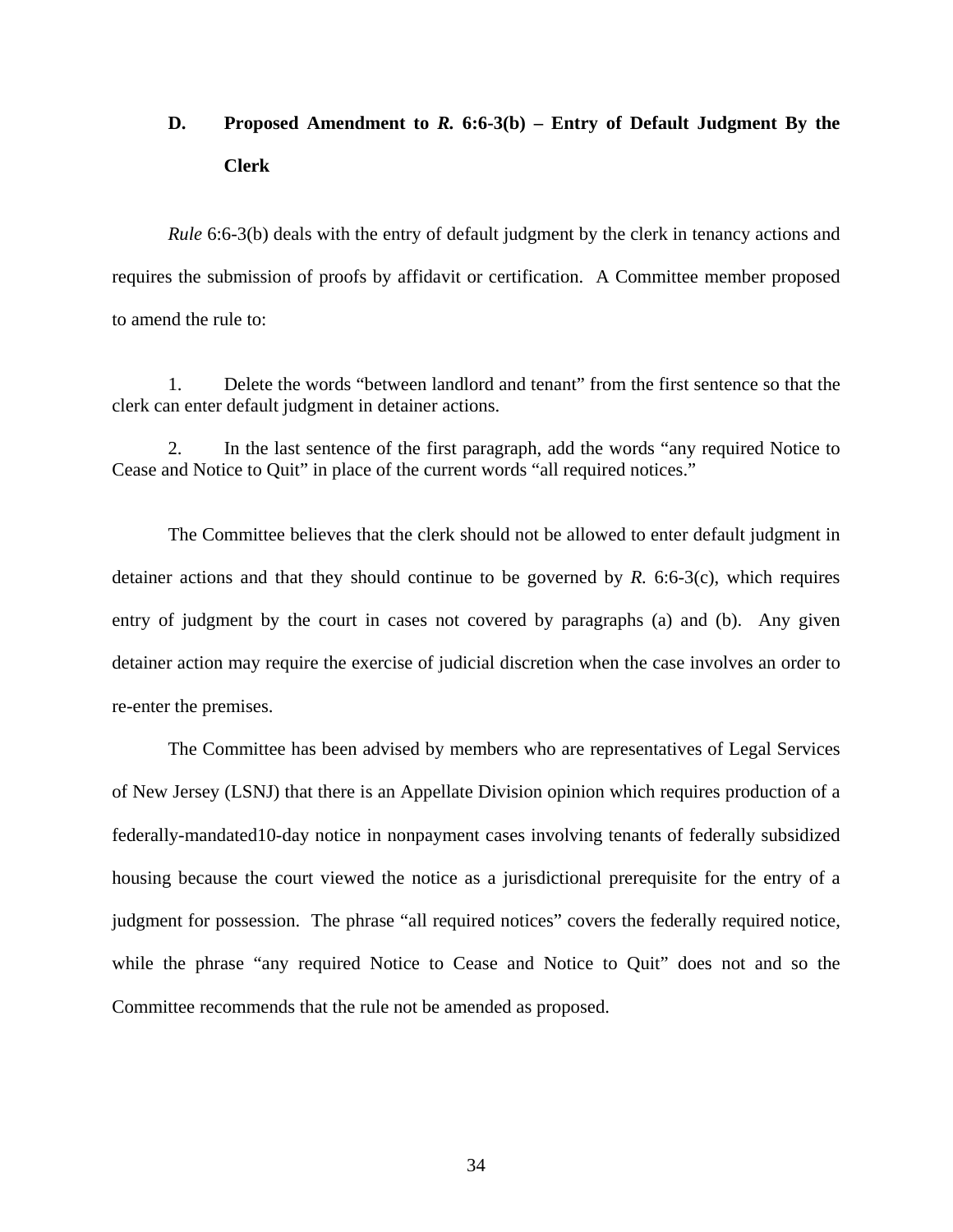## **D. Proposed Amendment to** *R.* **6:6-3(b) – Entry of Default Judgment By the Clerk**

*Rule* 6:6-3(b) deals with the entry of default judgment by the clerk in tenancy actions and requires the submission of proofs by affidavit or certification. A Committee member proposed to amend the rule to:

1. Delete the words "between landlord and tenant" from the first sentence so that the clerk can enter default judgment in detainer actions.

2. In the last sentence of the first paragraph, add the words "any required Notice to Cease and Notice to Quit" in place of the current words "all required notices."

The Committee believes that the clerk should not be allowed to enter default judgment in detainer actions and that they should continue to be governed by *R.* 6:6-3(c), which requires entry of judgment by the court in cases not covered by paragraphs (a) and (b). Any given detainer action may require the exercise of judicial discretion when the case involves an order to re-enter the premises.

The Committee has been advised by members who are representatives of Legal Services of New Jersey (LSNJ) that there is an Appellate Division opinion which requires production of a federally-mandated10-day notice in nonpayment cases involving tenants of federally subsidized housing because the court viewed the notice as a jurisdictional prerequisite for the entry of a judgment for possession. The phrase "all required notices" covers the federally required notice, while the phrase "any required Notice to Cease and Notice to Quit" does not and so the Committee recommends that the rule not be amended as proposed.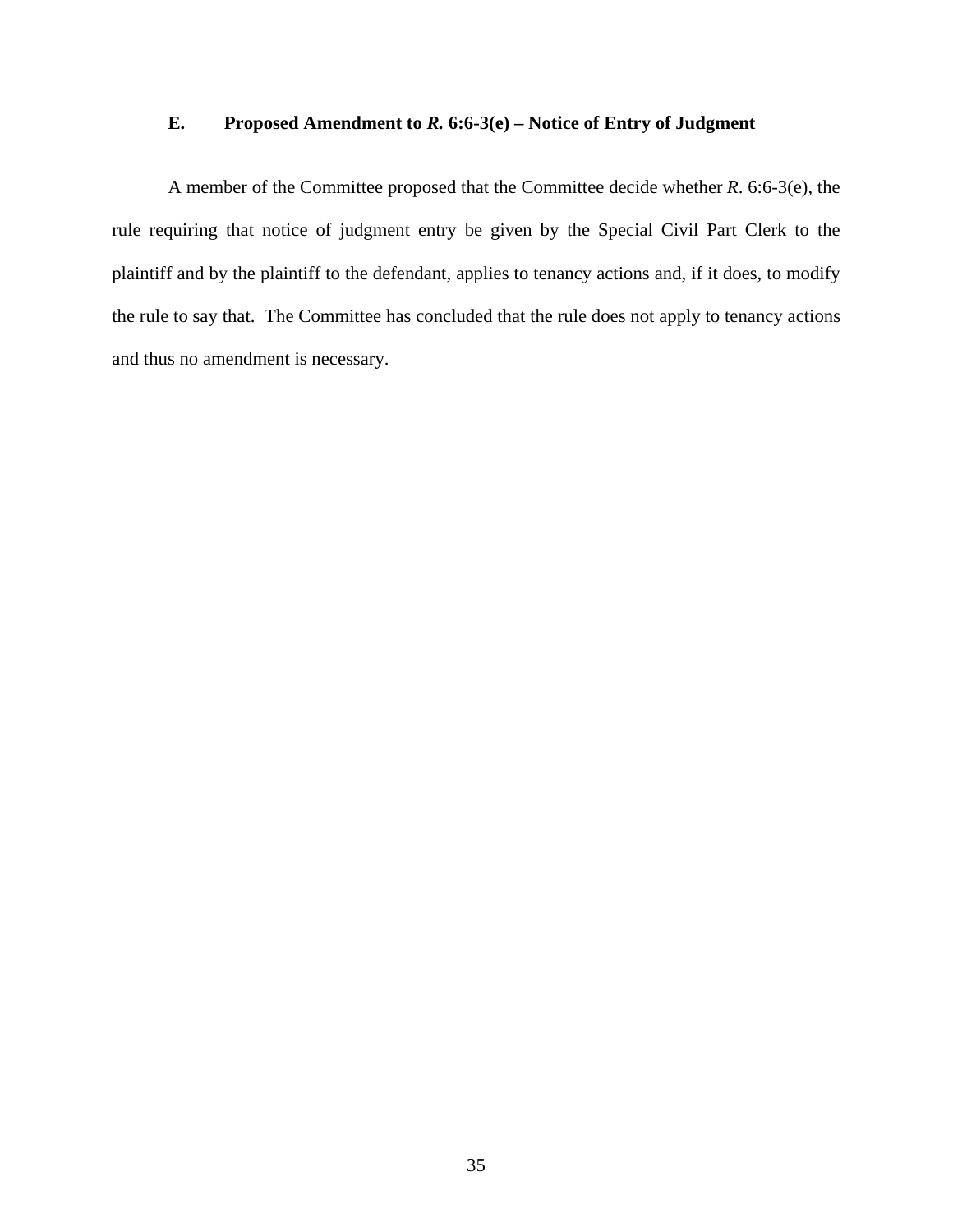#### **E. Proposed Amendment to** *R.* **6:6-3(e) – Notice of Entry of Judgment**

A member of the Committee proposed that the Committee decide whether *R*. 6:6-3(e), the rule requiring that notice of judgment entry be given by the Special Civil Part Clerk to the plaintiff and by the plaintiff to the defendant, applies to tenancy actions and, if it does, to modify the rule to say that. The Committee has concluded that the rule does not apply to tenancy actions and thus no amendment is necessary.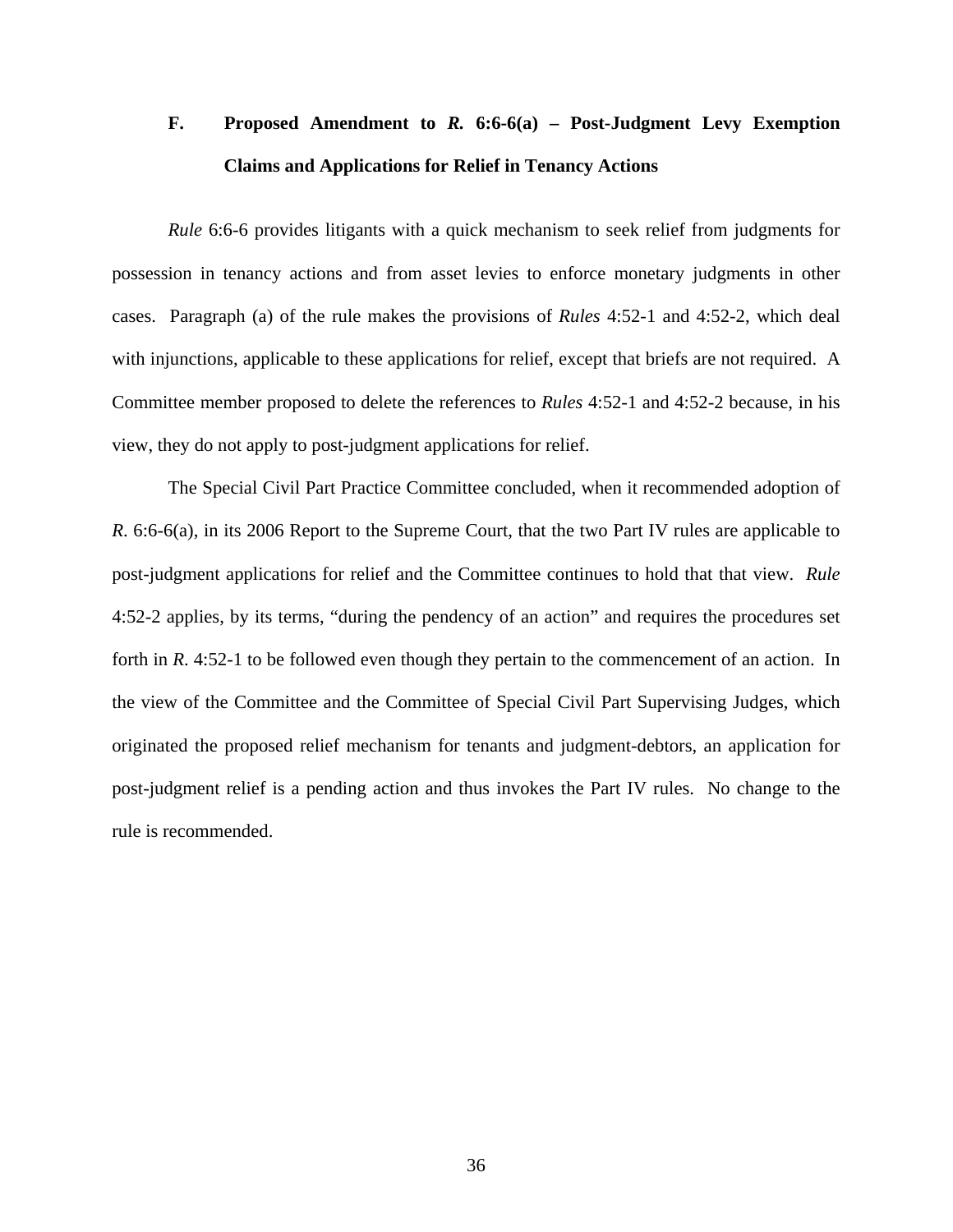# **F. Proposed Amendment to** *R.* **6:6-6(a) – Post-Judgment Levy Exemption Claims and Applications for Relief in Tenancy Actions**

*Rule* 6:6-6 provides litigants with a quick mechanism to seek relief from judgments for possession in tenancy actions and from asset levies to enforce monetary judgments in other cases. Paragraph (a) of the rule makes the provisions of *Rules* 4:52-1 and 4:52-2, which deal with injunctions, applicable to these applications for relief, except that briefs are not required. A Committee member proposed to delete the references to *Rules* 4:52-1 and 4:52-2 because, in his view, they do not apply to post-judgment applications for relief.

The Special Civil Part Practice Committee concluded, when it recommended adoption of *R*. 6:6-6(a), in its 2006 Report to the Supreme Court, that the two Part IV rules are applicable to post-judgment applications for relief and the Committee continues to hold that that view. *Rule* 4:52-2 applies, by its terms, "during the pendency of an action" and requires the procedures set forth in *R*. 4:52-1 to be followed even though they pertain to the commencement of an action. In the view of the Committee and the Committee of Special Civil Part Supervising Judges, which originated the proposed relief mechanism for tenants and judgment-debtors, an application for post-judgment relief is a pending action and thus invokes the Part IV rules. No change to the rule is recommended.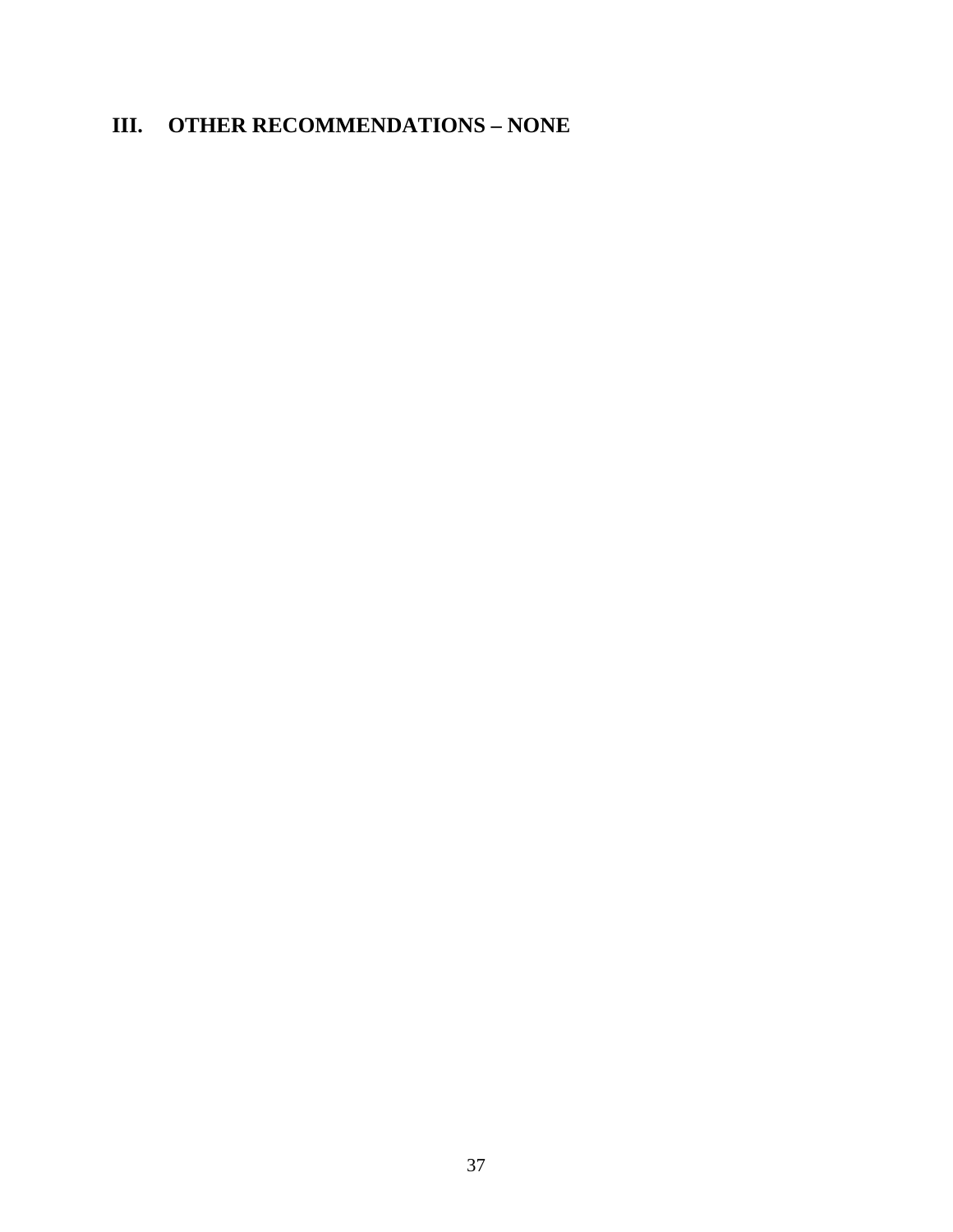### **III. OTHER RECOMMENDATIONS – NONE**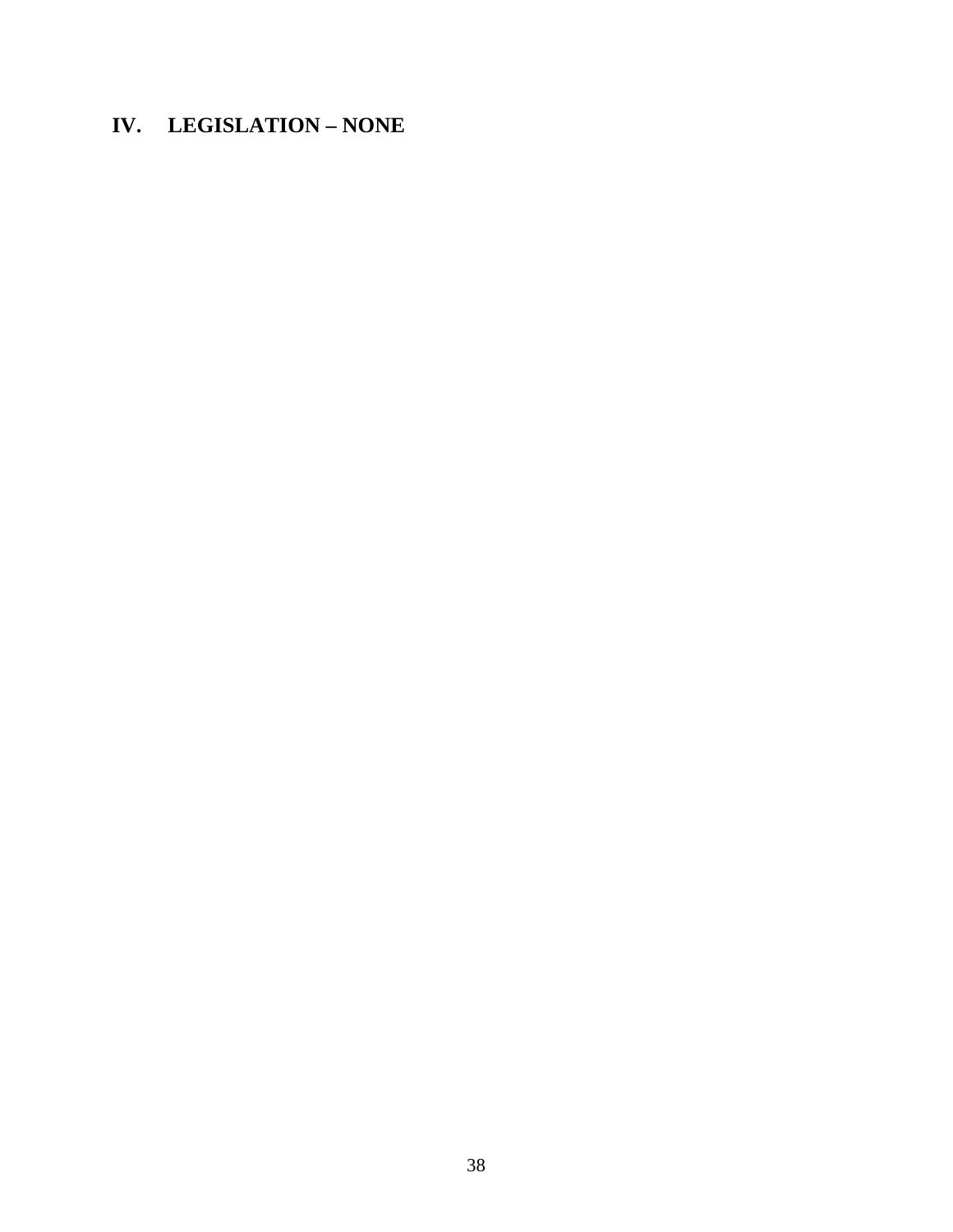### **IV. LEGISLATION – NONE**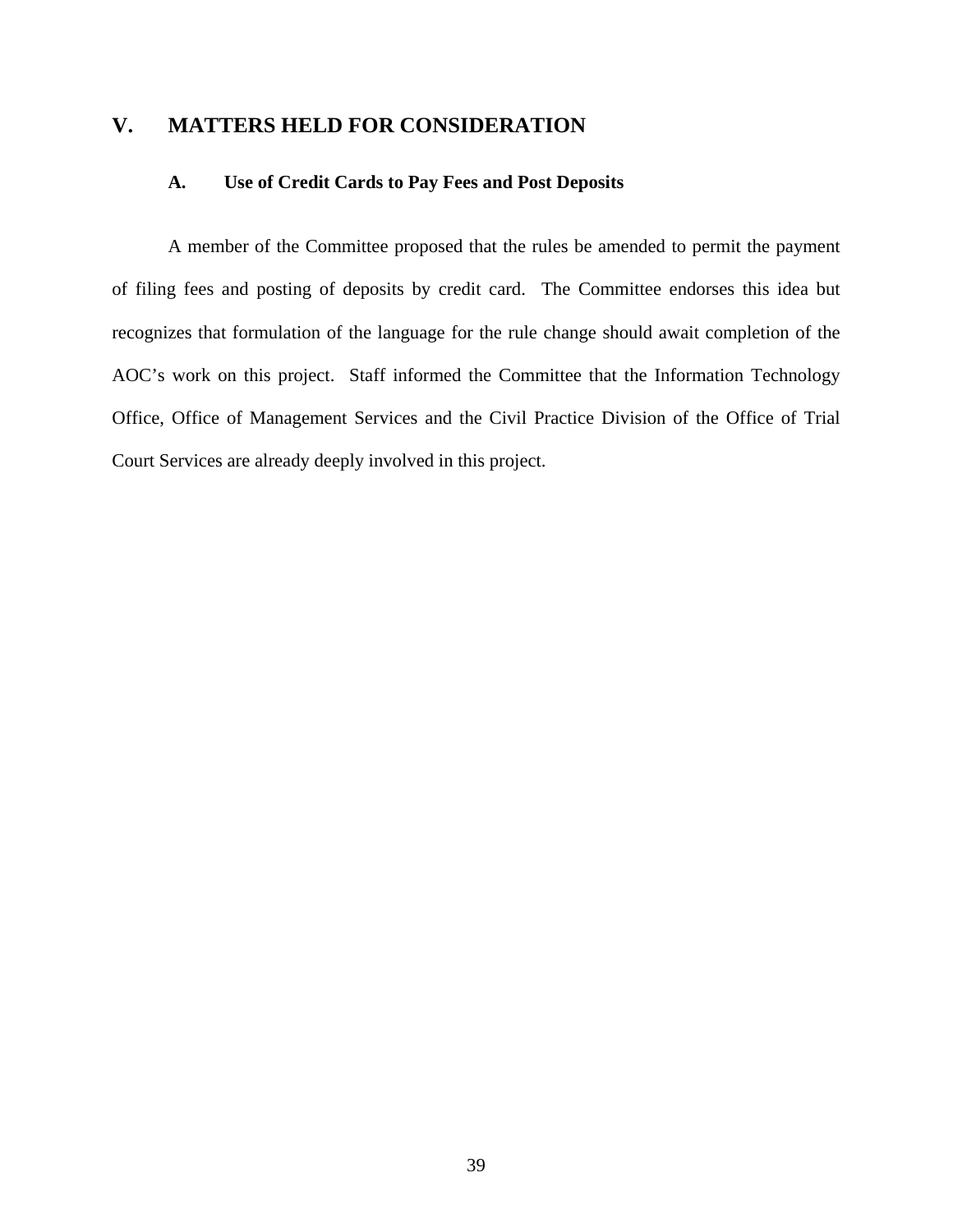#### **V. MATTERS HELD FOR CONSIDERATION**

#### **A. Use of Credit Cards to Pay Fees and Post Deposits**

 A member of the Committee proposed that the rules be amended to permit the payment of filing fees and posting of deposits by credit card. The Committee endorses this idea but recognizes that formulation of the language for the rule change should await completion of the AOC's work on this project. Staff informed the Committee that the Information Technology Office, Office of Management Services and the Civil Practice Division of the Office of Trial Court Services are already deeply involved in this project.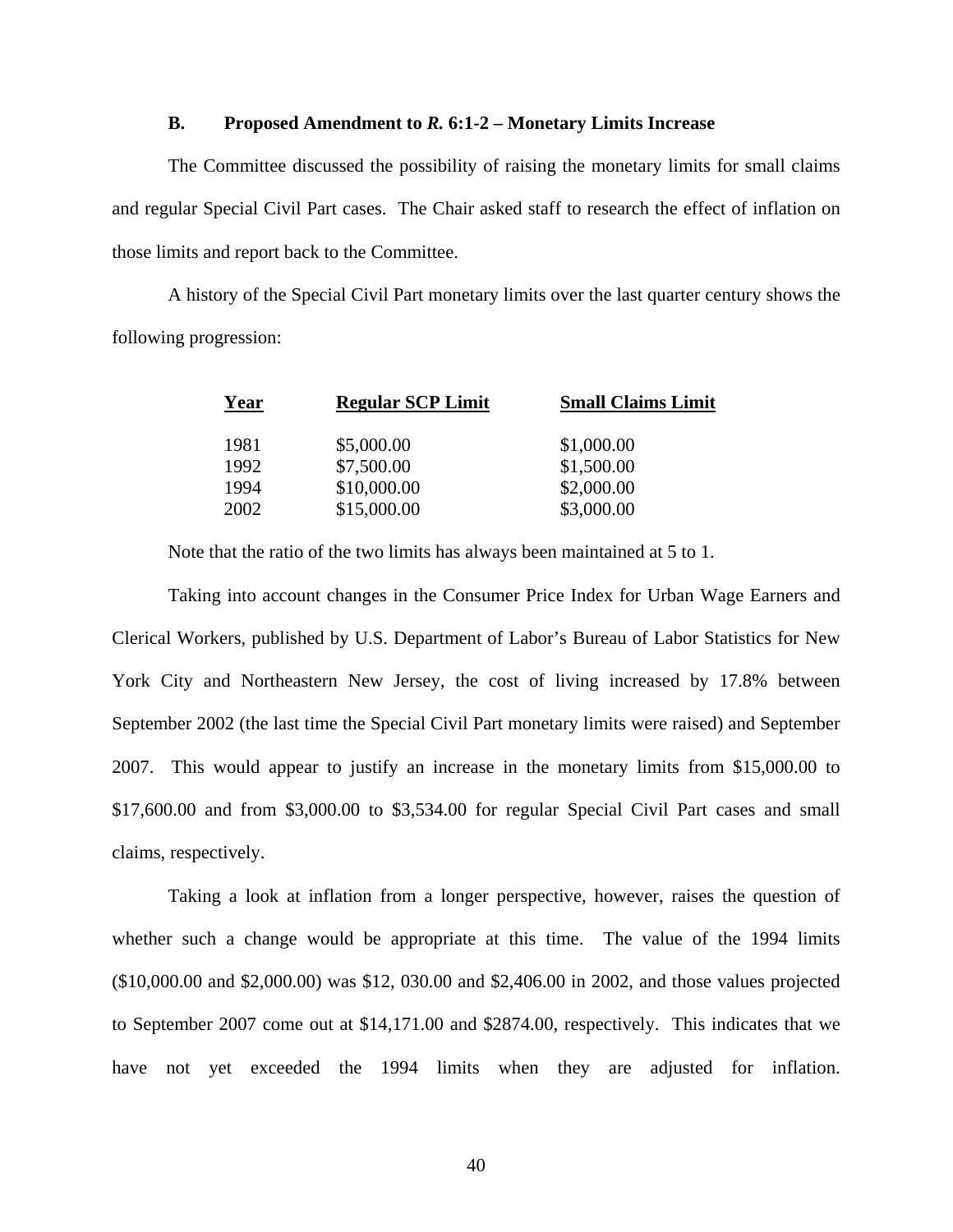#### **B. Proposed Amendment to** *R.* **6:1-2 – Monetary Limits Increase**

 The Committee discussed the possibility of raising the monetary limits for small claims and regular Special Civil Part cases. The Chair asked staff to research the effect of inflation on those limits and report back to the Committee.

 A history of the Special Civil Part monetary limits over the last quarter century shows the following progression:

| Year | <b>Regular SCP Limit</b> | <b>Small Claims Limit</b> |  |  |  |  |
|------|--------------------------|---------------------------|--|--|--|--|
| 1981 | \$5,000.00               | \$1,000.00                |  |  |  |  |
| 1992 | \$7,500.00               | \$1,500.00                |  |  |  |  |
| 1994 | \$10,000.00              | \$2,000.00                |  |  |  |  |
| 2002 | \$15,000.00              | \$3,000.00                |  |  |  |  |
|      |                          |                           |  |  |  |  |

Note that the ratio of the two limits has always been maintained at 5 to 1.

 Taking into account changes in the Consumer Price Index for Urban Wage Earners and Clerical Workers, published by U.S. Department of Labor's Bureau of Labor Statistics for New York City and Northeastern New Jersey, the cost of living increased by 17.8% between September 2002 (the last time the Special Civil Part monetary limits were raised) and September 2007. This would appear to justify an increase in the monetary limits from \$15,000.00 to \$17,600.00 and from \$3,000.00 to \$3,534.00 for regular Special Civil Part cases and small claims, respectively.

 Taking a look at inflation from a longer perspective, however, raises the question of whether such a change would be appropriate at this time. The value of the 1994 limits (\$10,000.00 and \$2,000.00) was \$12, 030.00 and \$2,406.00 in 2002, and those values projected to September 2007 come out at \$14,171.00 and \$2874.00, respectively. This indicates that we have not yet exceeded the 1994 limits when they are adjusted for inflation.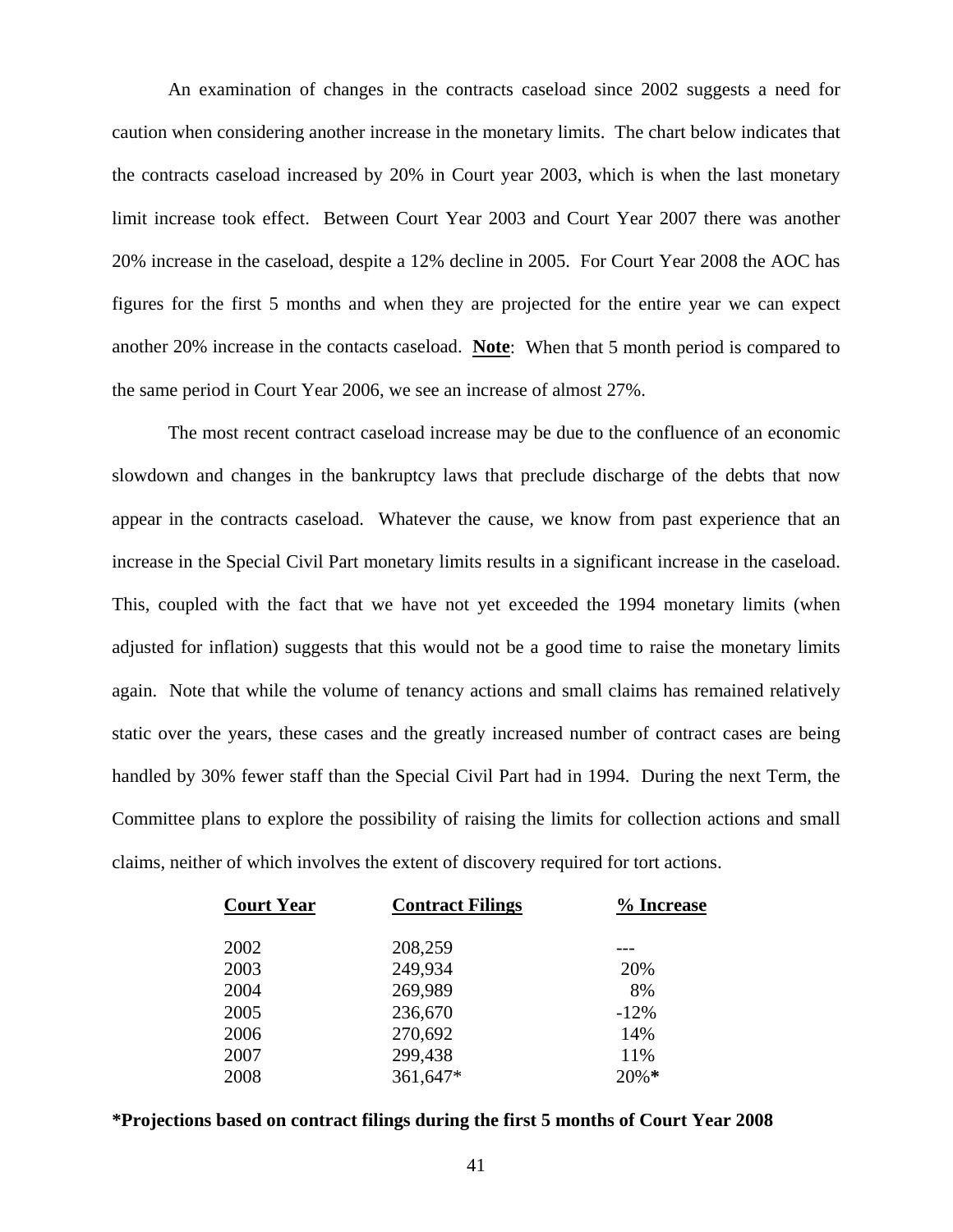An examination of changes in the contracts caseload since 2002 suggests a need for caution when considering another increase in the monetary limits. The chart below indicates that the contracts caseload increased by 20% in Court year 2003, which is when the last monetary limit increase took effect. Between Court Year 2003 and Court Year 2007 there was another 20% increase in the caseload, despite a 12% decline in 2005. For Court Year 2008 the AOC has figures for the first 5 months and when they are projected for the entire year we can expect another 20% increase in the contacts caseload. **Note**: When that 5 month period is compared to the same period in Court Year 2006, we see an increase of almost 27%.

 The most recent contract caseload increase may be due to the confluence of an economic slowdown and changes in the bankruptcy laws that preclude discharge of the debts that now appear in the contracts caseload. Whatever the cause, we know from past experience that an increase in the Special Civil Part monetary limits results in a significant increase in the caseload. This, coupled with the fact that we have not yet exceeded the 1994 monetary limits (when adjusted for inflation) suggests that this would not be a good time to raise the monetary limits again. Note that while the volume of tenancy actions and small claims has remained relatively static over the years, these cases and the greatly increased number of contract cases are being handled by 30% fewer staff than the Special Civil Part had in 1994. During the next Term, the Committee plans to explore the possibility of raising the limits for collection actions and small claims, neither of which involves the extent of discovery required for tort actions.

| <b>Court Year</b> | <b>Contract Filings</b> | % Increase |
|-------------------|-------------------------|------------|
| 2002              | 208,259                 |            |
| 2003              | 249,934                 | 20%        |
| 2004              | 269,989                 | 8%         |
| 2005              | 236,670                 | $-12\%$    |
| 2006              | 270,692                 | 14%        |
| 2007              | 299,438                 | 11%        |
| 2008              | 361,647*                | $20\% *$   |
|                   |                         |            |

#### **\*Projections based on contract filings during the first 5 months of Court Year 2008**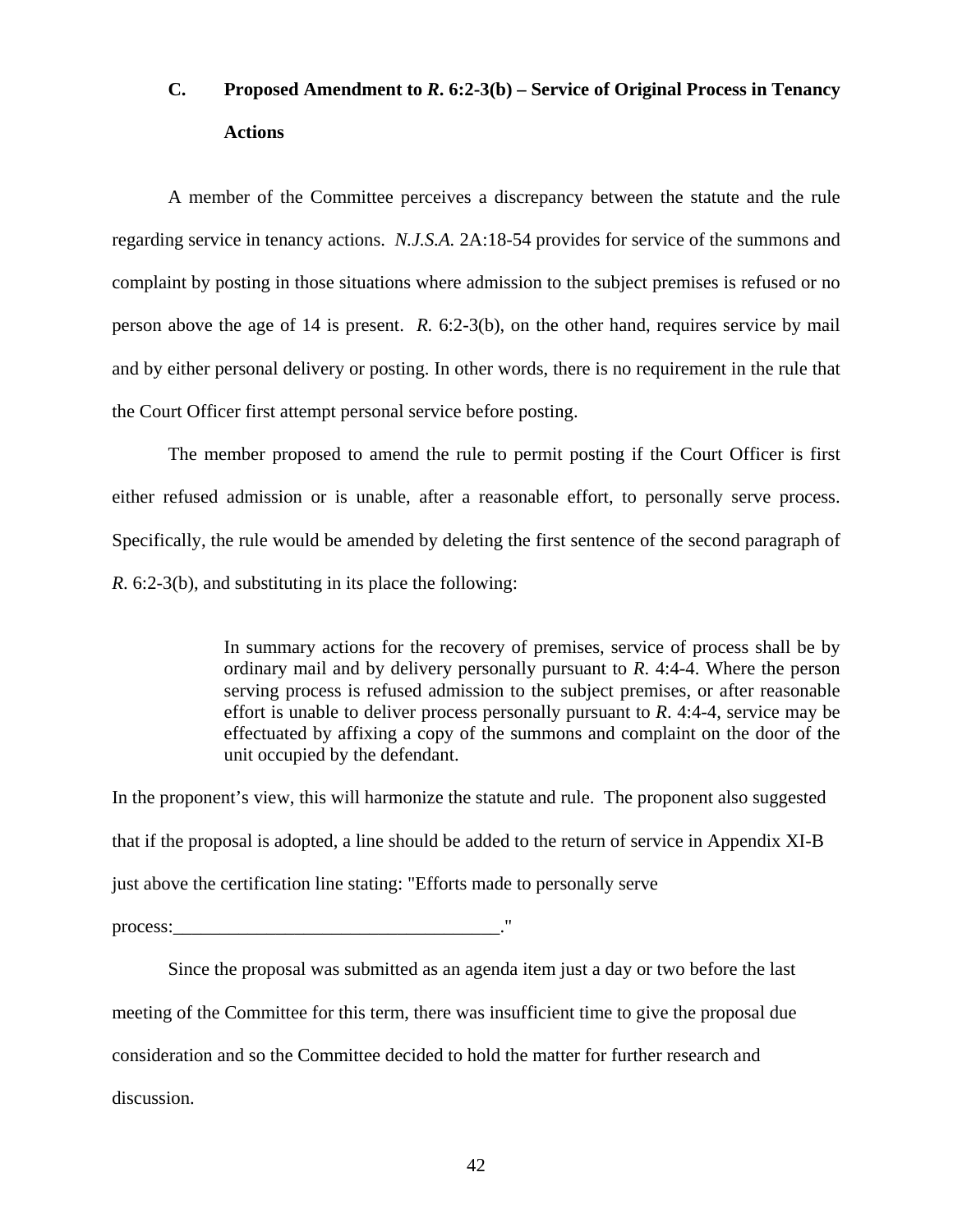# **C. Proposed Amendment to** *R***. 6:2-3(b) – Service of Original Process in Tenancy Actions**

 A member of the Committee perceives a discrepancy between the statute and the rule regarding service in tenancy actions. *N.J.S.A.* 2A:18-54 provides for service of the summons and complaint by posting in those situations where admission to the subject premises is refused or no person above the age of 14 is present. *R.* 6:2-3(b), on the other hand, requires service by mail and by either personal delivery or posting. In other words, there is no requirement in the rule that the Court Officer first attempt personal service before posting.

The member proposed to amend the rule to permit posting if the Court Officer is first either refused admission or is unable, after a reasonable effort, to personally serve process. Specifically, the rule would be amended by deleting the first sentence of the second paragraph of *R*. 6:2-3(b), and substituting in its place the following:

> In summary actions for the recovery of premises, service of process shall be by ordinary mail and by delivery personally pursuant to *R*. 4:4-4. Where the person serving process is refused admission to the subject premises, or after reasonable effort is unable to deliver process personally pursuant to *R*. 4:4-4, service may be effectuated by affixing a copy of the summons and complaint on the door of the unit occupied by the defendant.

In the proponent's view, this will harmonize the statute and rule. The proponent also suggested that if the proposal is adopted, a line should be added to the return of service in Appendix XI-B just above the certification line stating: "Efforts made to personally serve

process:

 Since the proposal was submitted as an agenda item just a day or two before the last meeting of the Committee for this term, there was insufficient time to give the proposal due consideration and so the Committee decided to hold the matter for further research and discussion.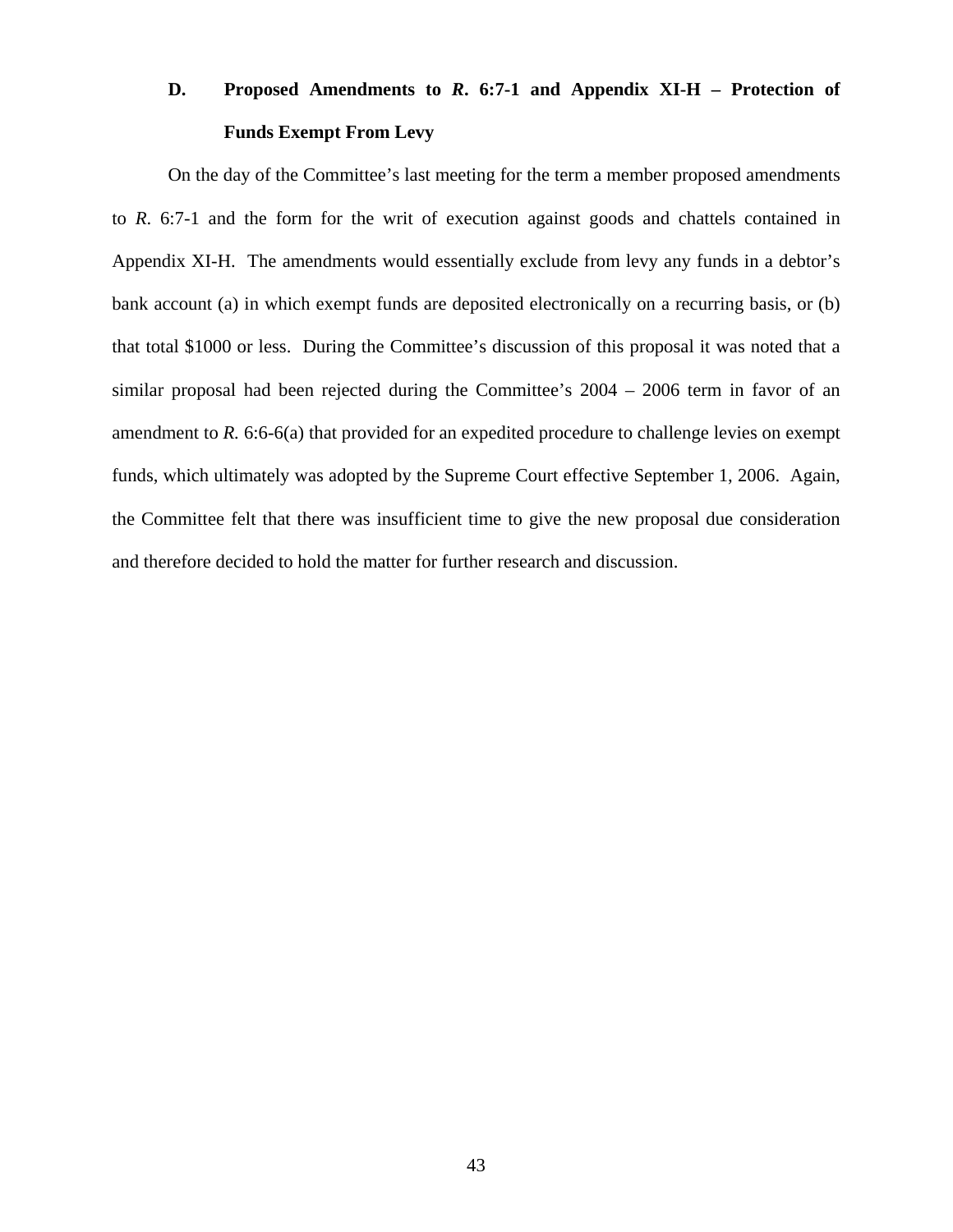# **D. Proposed Amendments to** *R***. 6:7-1 and Appendix XI-H – Protection of Funds Exempt From Levy**

 On the day of the Committee's last meeting for the term a member proposed amendments to *R*. 6:7-1 and the form for the writ of execution against goods and chattels contained in Appendix XI-H. The amendments would essentially exclude from levy any funds in a debtor's bank account (a) in which exempt funds are deposited electronically on a recurring basis, or (b) that total \$1000 or less. During the Committee's discussion of this proposal it was noted that a similar proposal had been rejected during the Committee's 2004 – 2006 term in favor of an amendment to *R.* 6:6-6(a) that provided for an expedited procedure to challenge levies on exempt funds, which ultimately was adopted by the Supreme Court effective September 1, 2006. Again, the Committee felt that there was insufficient time to give the new proposal due consideration and therefore decided to hold the matter for further research and discussion.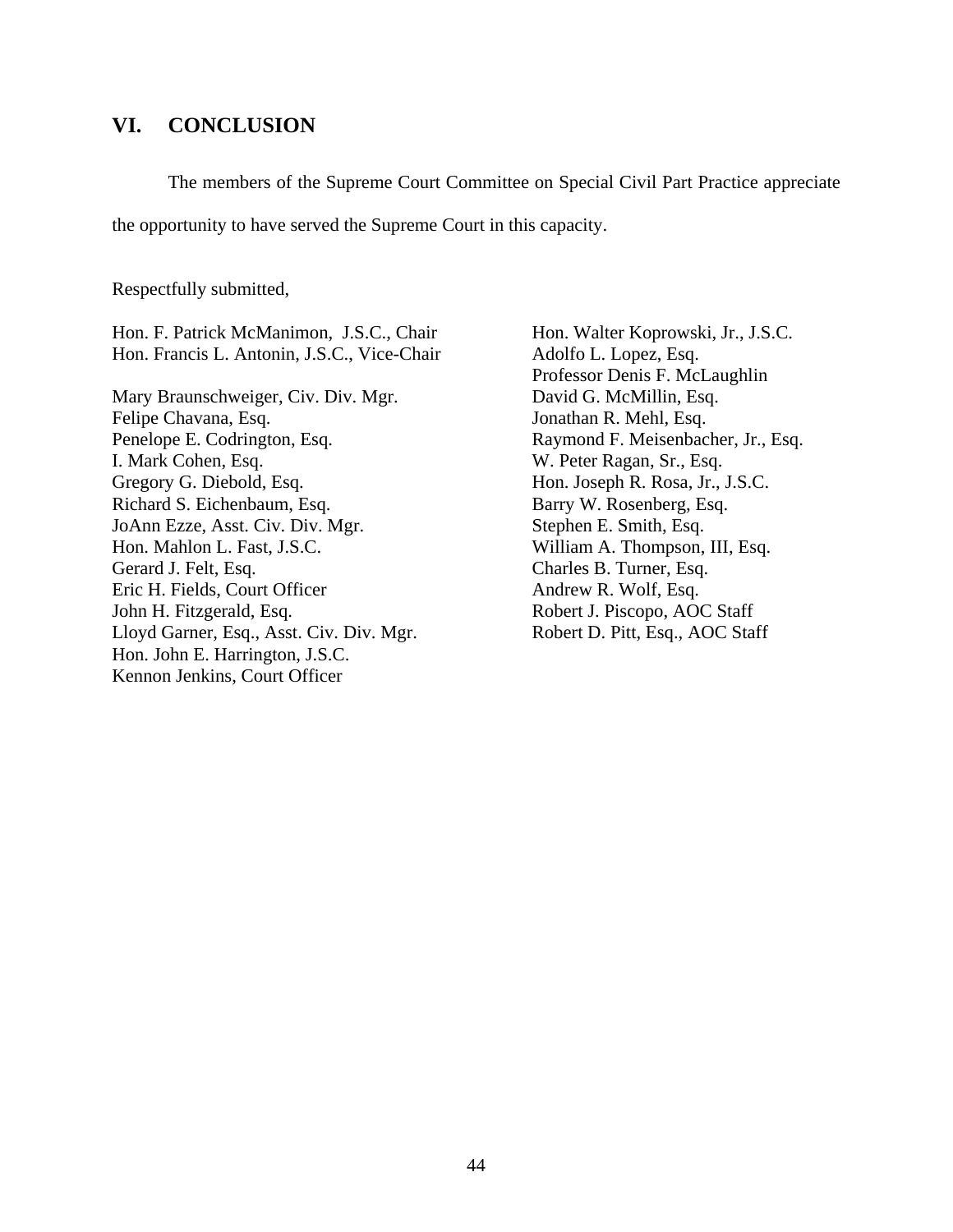#### **VI. CONCLUSION**

The members of the Supreme Court Committee on Special Civil Part Practice appreciate

the opportunity to have served the Supreme Court in this capacity.

Respectfully submitted,

Hon. F. Patrick McManimon, J.S.C., Chair Hon. Francis L. Antonin, J.S.C., Vice-Chair

Mary Braunschweiger, Civ. Div. Mgr. Felipe Chavana, Esq. Penelope E. Codrington, Esq. I. Mark Cohen, Esq. Gregory G. Diebold, Esq. Richard S. Eichenbaum, Esq. JoAnn Ezze, Asst. Civ. Div. Mgr. Hon. Mahlon L. Fast, J.S.C. Gerard J. Felt, Esq. Eric H. Fields, Court Officer John H. Fitzgerald, Esq. Lloyd Garner, Esq., Asst. Civ. Div. Mgr. Hon. John E. Harrington, J.S.C. Kennon Jenkins, Court Officer

Hon. Walter Koprowski, Jr., J.S.C. Adolfo L. Lopez, Esq. Professor Denis F. McLaughlin David G. McMillin, Esq. Jonathan R. Mehl, Esq. Raymond F. Meisenbacher, Jr., Esq. W. Peter Ragan, Sr., Esq. Hon. Joseph R. Rosa, Jr., J.S.C. Barry W. Rosenberg, Esq. Stephen E. Smith, Esq. William A. Thompson, III, Esq. Charles B. Turner, Esq. Andrew R. Wolf, Esq. Robert J. Piscopo, AOC Staff Robert D. Pitt, Esq., AOC Staff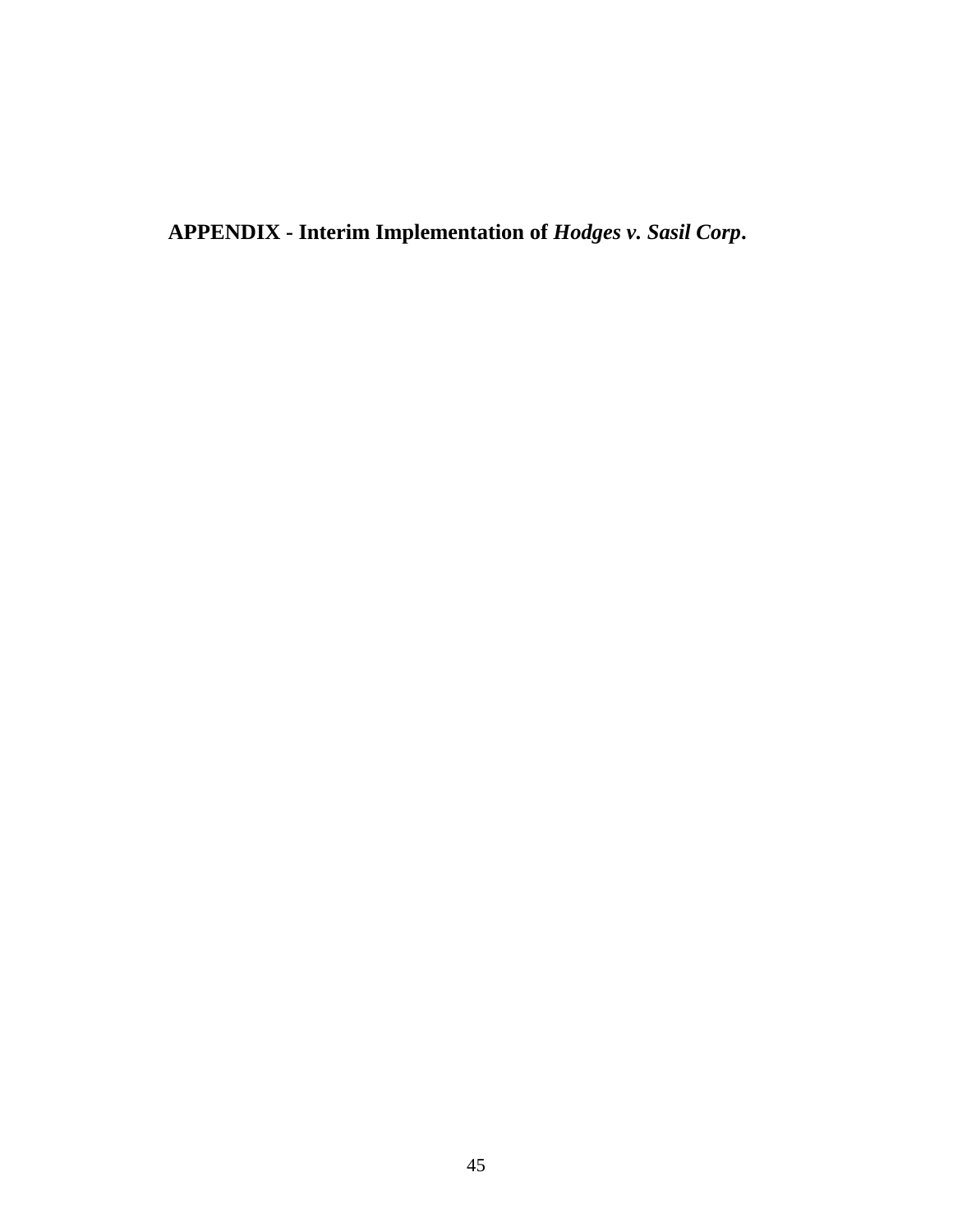**APPENDIX - Interim Implementation of** *Hodges v. Sasil Corp***.**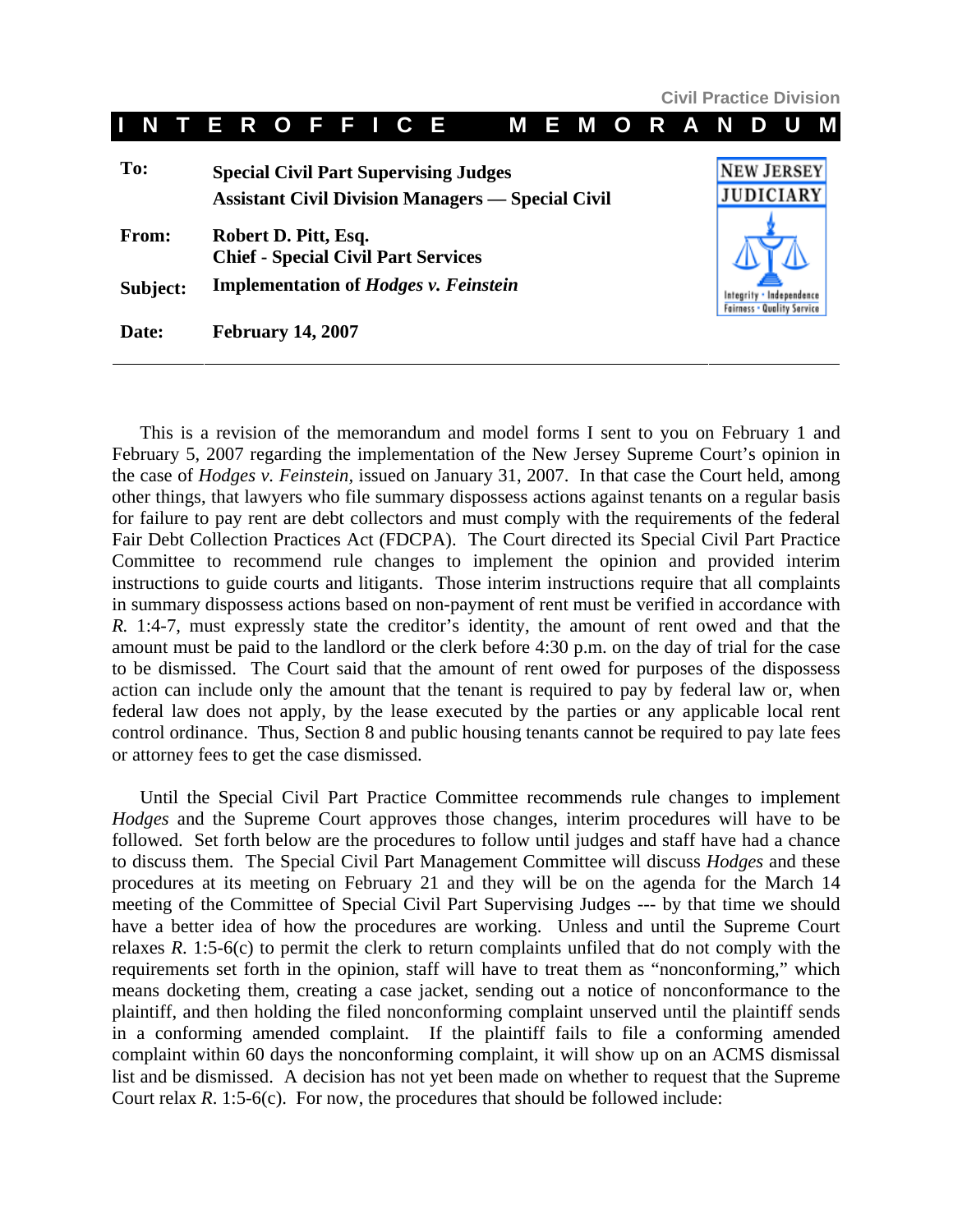**Civil Practice Division**

|     | N        | T. |                                                                    | E R O F F I C E          |  |  |  |  |                                                                                                          |  | <b>MEMORAND</b> |  |  |  | U                                     |  |
|-----|----------|----|--------------------------------------------------------------------|--------------------------|--|--|--|--|----------------------------------------------------------------------------------------------------------|--|-----------------|--|--|--|---------------------------------------|--|
| To: |          |    |                                                                    |                          |  |  |  |  | <b>Special Civil Part Supervising Judges</b><br><b>Assistant Civil Division Managers — Special Civil</b> |  |                 |  |  |  | <b>NEW JERSEY</b><br><b>JUDICIARY</b> |  |
|     | From:    |    | Robert D. Pitt, Esq.<br><b>Chief - Special Civil Part Services</b> |                          |  |  |  |  |                                                                                                          |  |                 |  |  |  |                                       |  |
|     | Subject: |    | <b>Implementation of Hodges v. Feinstein</b>                       |                          |  |  |  |  |                                                                                                          |  |                 |  |  |  |                                       |  |
|     | Date:    |    |                                                                    | <b>February 14, 2007</b> |  |  |  |  |                                                                                                          |  |                 |  |  |  |                                       |  |

This is a revision of the memorandum and model forms I sent to you on February 1 and February 5, 2007 regarding the implementation of the New Jersey Supreme Court's opinion in the case of *Hodges v. Feinstein,* issued on January 31, 2007. In that case the Court held, among other things, that lawyers who file summary dispossess actions against tenants on a regular basis for failure to pay rent are debt collectors and must comply with the requirements of the federal Fair Debt Collection Practices Act (FDCPA). The Court directed its Special Civil Part Practice Committee to recommend rule changes to implement the opinion and provided interim instructions to guide courts and litigants. Those interim instructions require that all complaints in summary dispossess actions based on non-payment of rent must be verified in accordance with *R.* 1:4-7, must expressly state the creditor's identity, the amount of rent owed and that the amount must be paid to the landlord or the clerk before 4:30 p.m. on the day of trial for the case to be dismissed. The Court said that the amount of rent owed for purposes of the dispossess action can include only the amount that the tenant is required to pay by federal law or, when federal law does not apply, by the lease executed by the parties or any applicable local rent control ordinance. Thus, Section 8 and public housing tenants cannot be required to pay late fees or attorney fees to get the case dismissed.

Until the Special Civil Part Practice Committee recommends rule changes to implement *Hodges* and the Supreme Court approves those changes, interim procedures will have to be followed. Set forth below are the procedures to follow until judges and staff have had a chance to discuss them. The Special Civil Part Management Committee will discuss *Hodges* and these procedures at its meeting on February 21 and they will be on the agenda for the March 14 meeting of the Committee of Special Civil Part Supervising Judges --- by that time we should have a better idea of how the procedures are working. Unless and until the Supreme Court relaxes *R*. 1:5-6(c) to permit the clerk to return complaints unfiled that do not comply with the requirements set forth in the opinion, staff will have to treat them as "nonconforming," which means docketing them, creating a case jacket, sending out a notice of nonconformance to the plaintiff, and then holding the filed nonconforming complaint unserved until the plaintiff sends in a conforming amended complaint. If the plaintiff fails to file a conforming amended complaint within 60 days the nonconforming complaint, it will show up on an ACMS dismissal list and be dismissed. A decision has not yet been made on whether to request that the Supreme Court relax *R*. 1:5-6(c). For now, the procedures that should be followed include: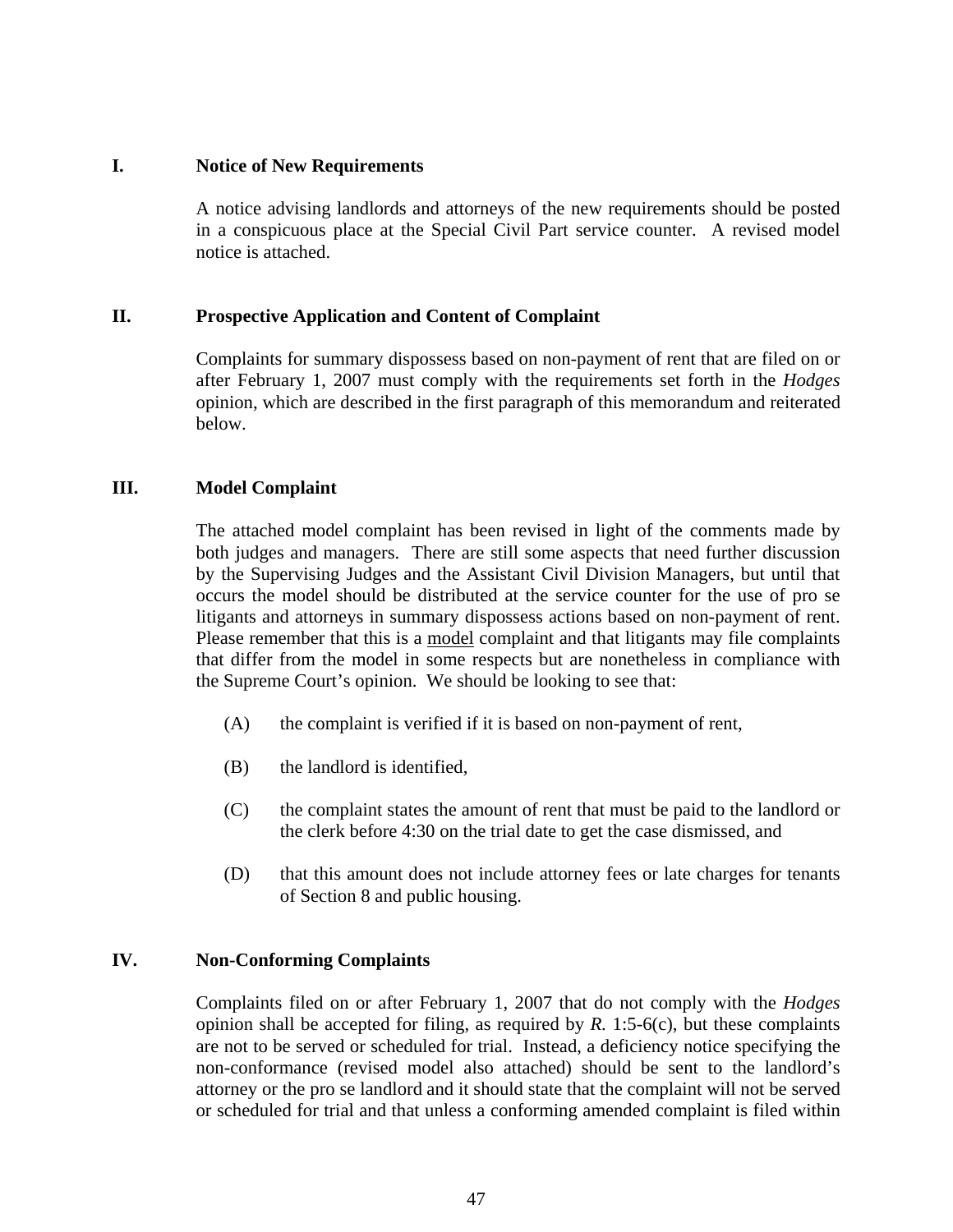#### **I. Notice of New Requirements**

A notice advising landlords and attorneys of the new requirements should be posted in a conspicuous place at the Special Civil Part service counter. A revised model notice is attached.

#### **II. Prospective Application and Content of Complaint**

Complaints for summary dispossess based on non-payment of rent that are filed on or after February 1, 2007 must comply with the requirements set forth in the *Hodges* opinion, which are described in the first paragraph of this memorandum and reiterated below.

#### **III. Model Complaint**

The attached model complaint has been revised in light of the comments made by both judges and managers. There are still some aspects that need further discussion by the Supervising Judges and the Assistant Civil Division Managers, but until that occurs the model should be distributed at the service counter for the use of pro se litigants and attorneys in summary dispossess actions based on non-payment of rent. Please remember that this is a model complaint and that litigants may file complaints that differ from the model in some respects but are nonetheless in compliance with the Supreme Court's opinion. We should be looking to see that:

- (A) the complaint is verified if it is based on non-payment of rent,
- (B) the landlord is identified,
- (C) the complaint states the amount of rent that must be paid to the landlord or the clerk before 4:30 on the trial date to get the case dismissed, and
- (D) that this amount does not include attorney fees or late charges for tenants of Section 8 and public housing.

#### **IV. Non-Conforming Complaints**

Complaints filed on or after February 1, 2007 that do not comply with the *Hodges*  opinion shall be accepted for filing, as required by  $R$ . 1:5-6(c), but these complaints are not to be served or scheduled for trial. Instead, a deficiency notice specifying the non-conformance (revised model also attached) should be sent to the landlord's attorney or the pro se landlord and it should state that the complaint will not be served or scheduled for trial and that unless a conforming amended complaint is filed within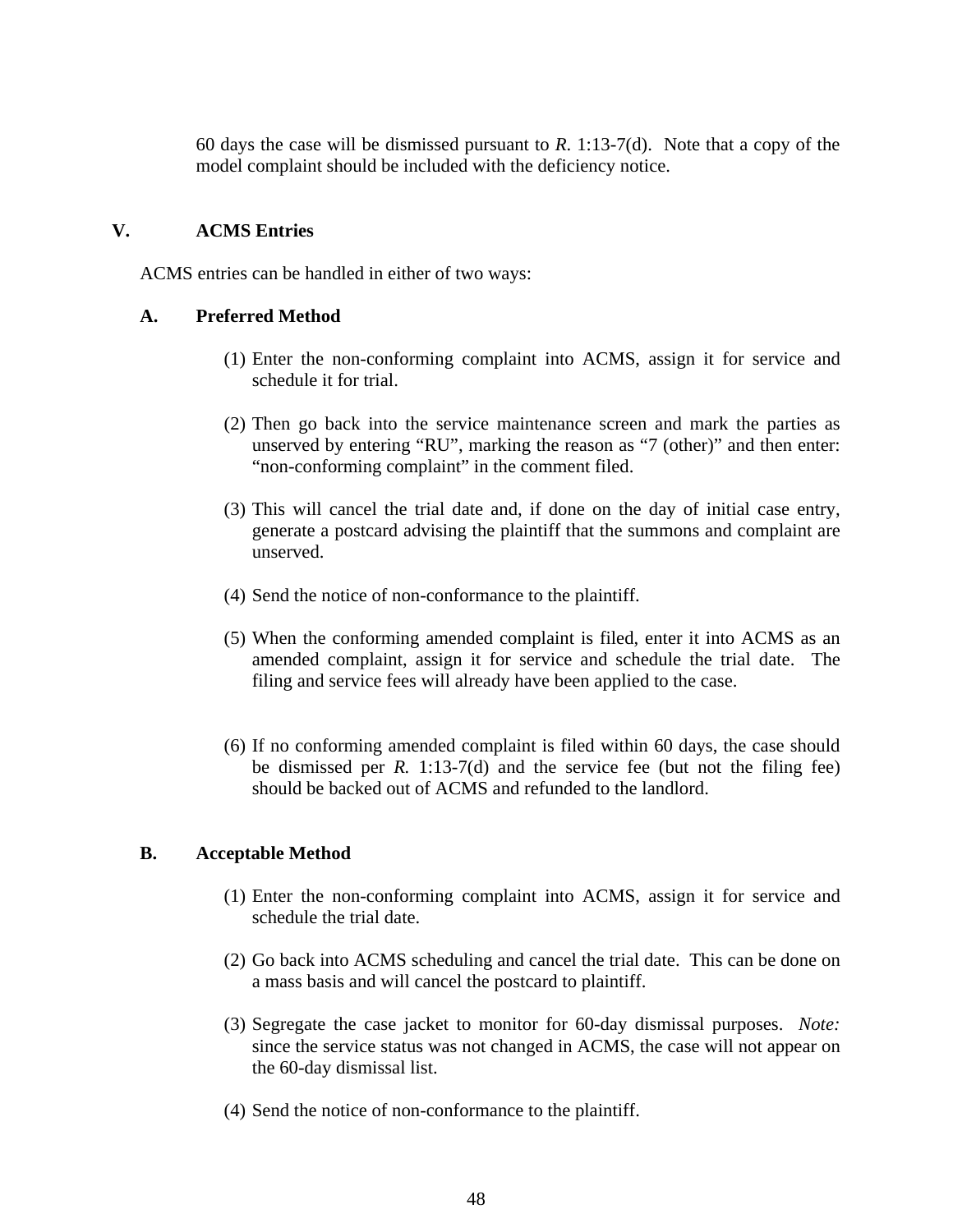60 days the case will be dismissed pursuant to *R*. 1:13-7(d). Note that a copy of the model complaint should be included with the deficiency notice.

#### **V. ACMS Entries**

ACMS entries can be handled in either of two ways:

#### **A. Preferred Method**

- (1) Enter the non-conforming complaint into ACMS, assign it for service and schedule it for trial.
- (2) Then go back into the service maintenance screen and mark the parties as unserved by entering "RU", marking the reason as "7 (other)" and then enter: "non-conforming complaint" in the comment filed.
- (3) This will cancel the trial date and, if done on the day of initial case entry, generate a postcard advising the plaintiff that the summons and complaint are unserved.
- (4) Send the notice of non-conformance to the plaintiff.
- (5) When the conforming amended complaint is filed, enter it into ACMS as an amended complaint, assign it for service and schedule the trial date. The filing and service fees will already have been applied to the case.
- (6) If no conforming amended complaint is filed within 60 days, the case should be dismissed per *R.* 1:13-7(d) and the service fee (but not the filing fee) should be backed out of ACMS and refunded to the landlord.

#### **B. Acceptable Method**

- (1) Enter the non-conforming complaint into ACMS, assign it for service and schedule the trial date.
- (2) Go back into ACMS scheduling and cancel the trial date. This can be done on a mass basis and will cancel the postcard to plaintiff.
- (3) Segregate the case jacket to monitor for 60-day dismissal purposes. *Note:* since the service status was not changed in ACMS, the case will not appear on the 60-day dismissal list.
- (4) Send the notice of non-conformance to the plaintiff.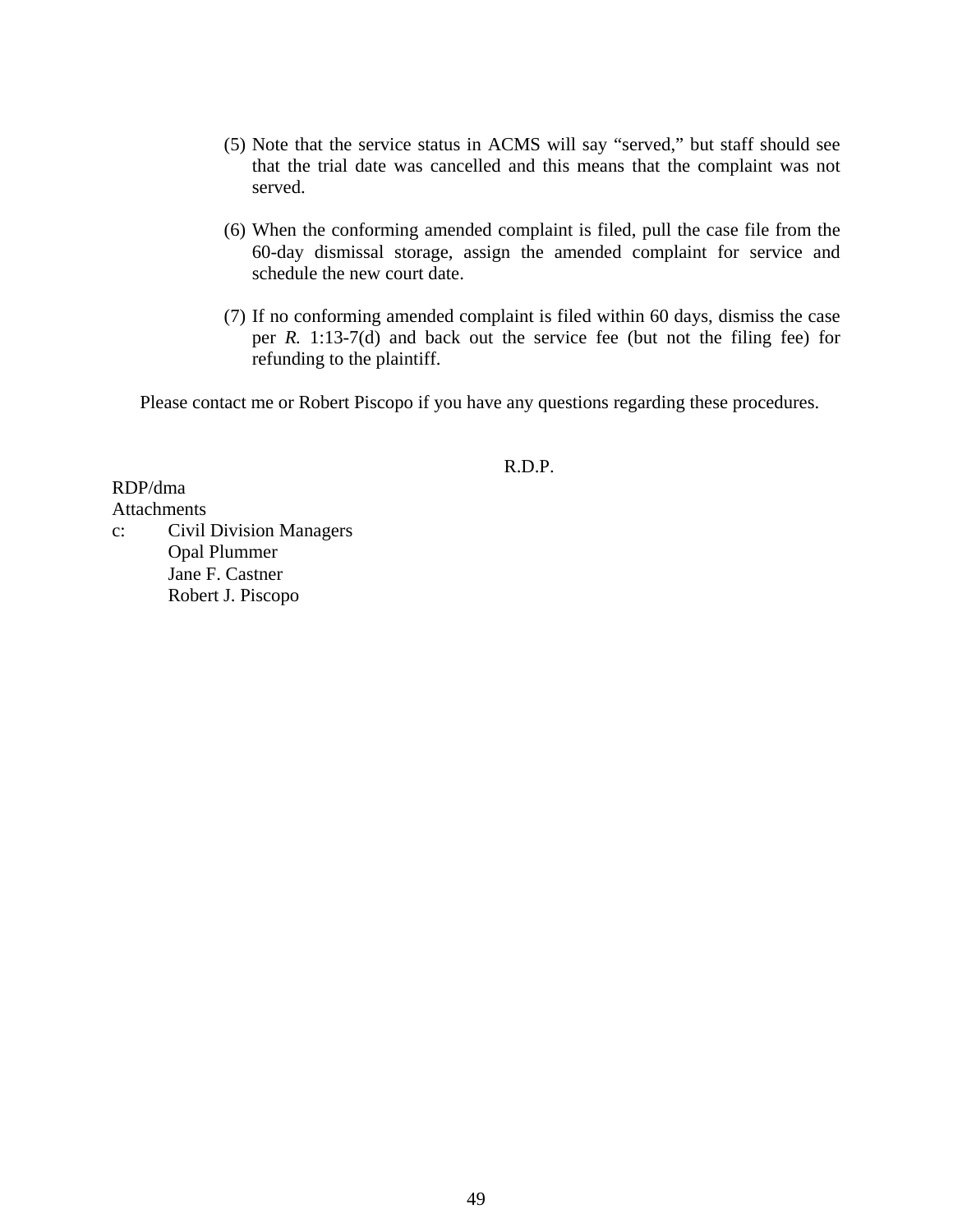- (5) Note that the service status in ACMS will say "served," but staff should see that the trial date was cancelled and this means that the complaint was not served.
- (6) When the conforming amended complaint is filed, pull the case file from the 60-day dismissal storage, assign the amended complaint for service and schedule the new court date.
- (7) If no conforming amended complaint is filed within 60 days, dismiss the case per *R.* 1:13-7(d) and back out the service fee (but not the filing fee) for refunding to the plaintiff.

Please contact me or Robert Piscopo if you have any questions regarding these procedures.

#### R.D.P.

RDP/dma **Attachments** c: Civil Division Managers Opal Plummer Jane F. Castner Robert J. Piscopo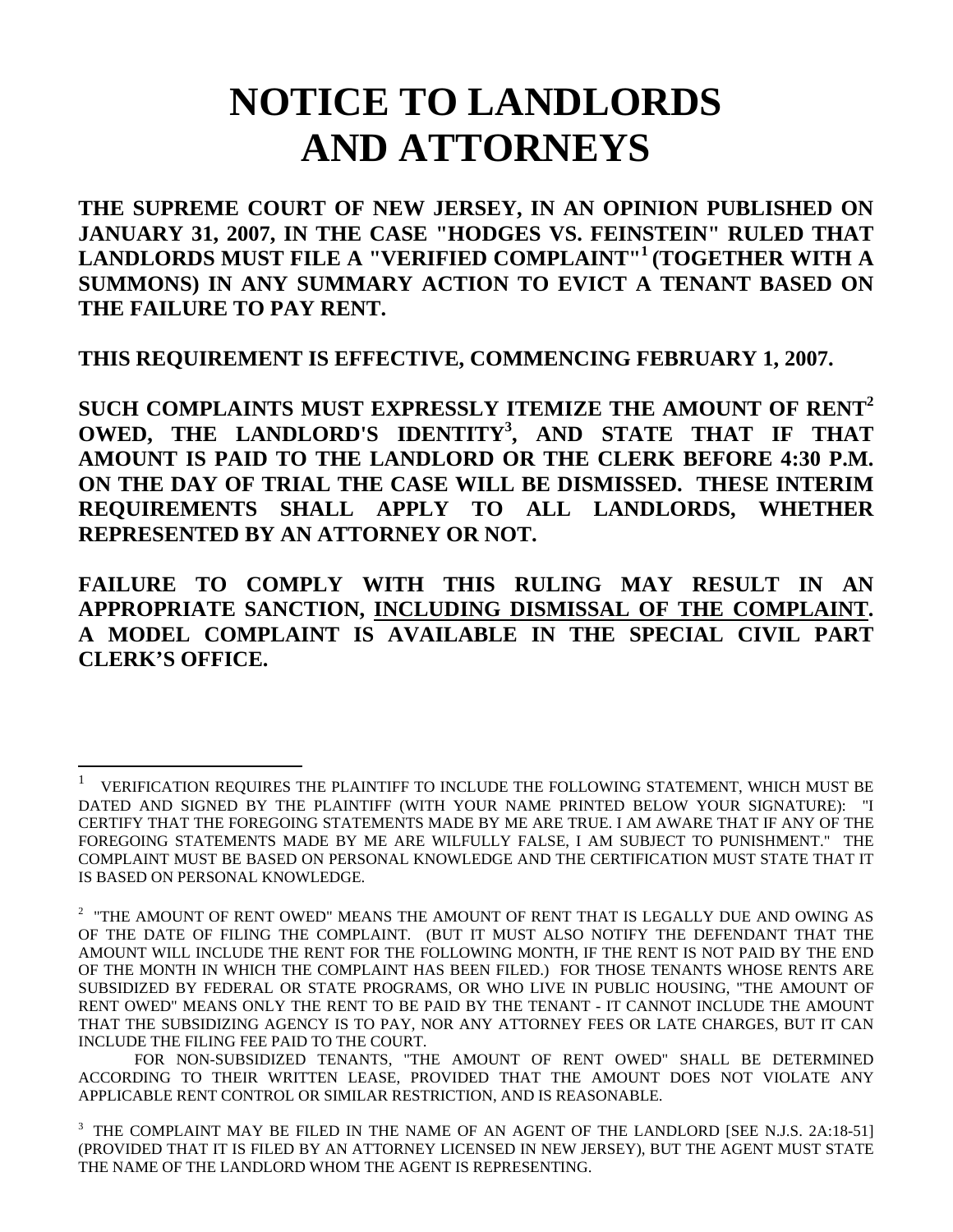# **NOTICE TO LANDLORDS AND ATTORNEYS**

**THE SUPREME COURT OF NEW JERSEY, IN AN OPINION PUBLISHED ON JANUARY 31, 2007, IN THE CASE "HODGES VS. FEINSTEIN" RULED THAT LANDLORDS MUST FILE A "VERIFIED COMPLAINT"1 (TOGETHER WITH A SUMMONS) IN ANY SUMMARY ACTION TO EVICT A TENANT BASED ON THE FAILURE TO PAY RENT.** 

**THIS REQUIREMENT IS EFFECTIVE, COMMENCING FEBRUARY 1, 2007.** 

**SUCH COMPLAINTS MUST EXPRESSLY ITEMIZE THE AMOUNT OF RENT<sup>2</sup> OWED, THE LANDLORD'S IDENTITY<sup>3</sup> , AND STATE THAT IF THAT AMOUNT IS PAID TO THE LANDLORD OR THE CLERK BEFORE 4:30 P.M. ON THE DAY OF TRIAL THE CASE WILL BE DISMISSED. THESE INTERIM REQUIREMENTS SHALL APPLY TO ALL LANDLORDS, WHETHER REPRESENTED BY AN ATTORNEY OR NOT.** 

**FAILURE TO COMPLY WITH THIS RULING MAY RESULT IN AN APPROPRIATE SANCTION, INCLUDING DISMISSAL OF THE COMPLAINT. A MODEL COMPLAINT IS AVAILABLE IN THE SPECIAL CIVIL PART CLERK'S OFFICE.** 

 $\overline{a}$ 

<sup>1</sup> VERIFICATION REQUIRES THE PLAINTIFF TO INCLUDE THE FOLLOWING STATEMENT, WHICH MUST BE DATED AND SIGNED BY THE PLAINTIFF (WITH YOUR NAME PRINTED BELOW YOUR SIGNATURE): "I CERTIFY THAT THE FOREGOING STATEMENTS MADE BY ME ARE TRUE. I AM AWARE THAT IF ANY OF THE FOREGOING STATEMENTS MADE BY ME ARE WILFULLY FALSE, I AM SUBJECT TO PUNISHMENT." THE COMPLAINT MUST BE BASED ON PERSONAL KNOWLEDGE AND THE CERTIFICATION MUST STATE THAT IT IS BASED ON PERSONAL KNOWLEDGE.

 $^{\rm 2}$  "THE AMOUNT OF RENT OWED" MEANS THE AMOUNT OF RENT THAT IS LEGALLY DUE AND OWING AS OF THE DATE OF FILING THE COMPLAINT. (BUT IT MUST ALSO NOTIFY THE DEFENDANT THAT THE AMOUNT WILL INCLUDE THE RENT FOR THE FOLLOWING MONTH, IF THE RENT IS NOT PAID BY THE END OF THE MONTH IN WHICH THE COMPLAINT HAS BEEN FILED.) FOR THOSE TENANTS WHOSE RENTS ARE SUBSIDIZED BY FEDERAL OR STATE PROGRAMS, OR WHO LIVE IN PUBLIC HOUSING, "THE AMOUNT OF RENT OWED" MEANS ONLY THE RENT TO BE PAID BY THE TENANT - IT CANNOT INCLUDE THE AMOUNT THAT THE SUBSIDIZING AGENCY IS TO PAY, NOR ANY ATTORNEY FEES OR LATE CHARGES, BUT IT CAN INCLUDE THE FILING FEE PAID TO THE COURT.

FOR NON-SUBSIDIZED TENANTS, "THE AMOUNT OF RENT OWED" SHALL BE DETERMINED ACCORDING TO THEIR WRITTEN LEASE, PROVIDED THAT THE AMOUNT DOES NOT VIOLATE ANY APPLICABLE RENT CONTROL OR SIMILAR RESTRICTION, AND IS REASONABLE.

<sup>3</sup> THE COMPLAINT MAY BE FILED IN THE NAME OF AN AGENT OF THE LANDLORD [SEE N.J.S. 2A:18-51] (PROVIDED THAT IT IS FILED BY AN ATTORNEY LICENSED IN NEW JERSEY), BUT THE AGENT MUST STATE THE NAME OF THE LANDLORD WHOM THE AGENT IS REPRESENTING.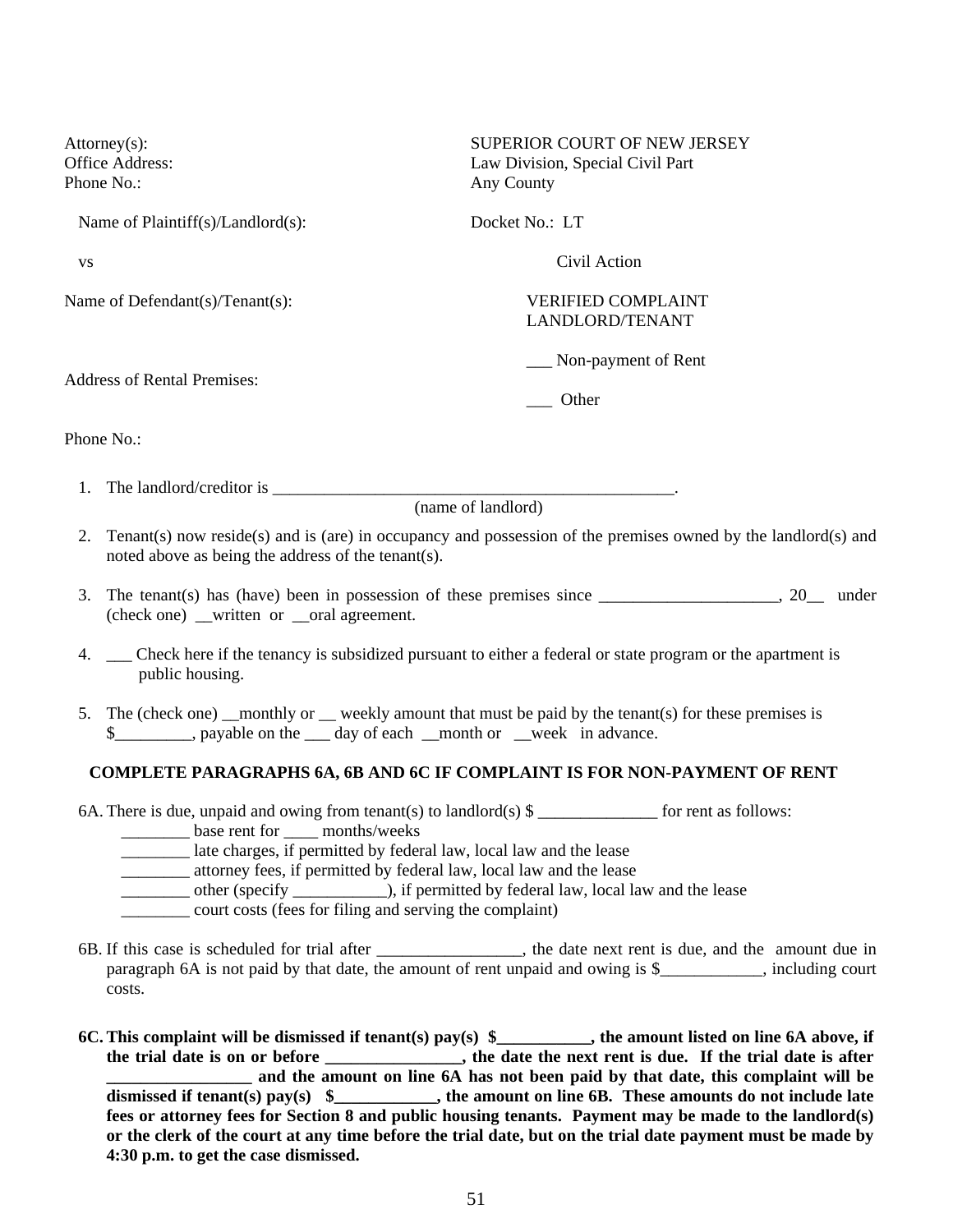| SUPERIOR COURT OF NEW JERSEY<br>Law Division, Special Civil Part<br>Any County |
|--------------------------------------------------------------------------------|
| Docket No.: LT                                                                 |
| Civil Action                                                                   |
| <b>VERIFIED COMPLAINT</b><br>LANDLORD/TENANT                                   |
| Non-payment of Rent<br>Other                                                   |
|                                                                                |

Phone No.:

1. The landlord/creditor is  $\Box$ 

(name of landlord)

- 2. Tenant(s) now reside(s) and is (are) in occupancy and possession of the premises owned by the landlord(s) and noted above as being the address of the tenant(s).
- 3. The tenant(s) has (have) been in possession of these premises since \_\_\_\_\_\_\_\_\_\_\_\_\_\_\_\_\_\_\_\_\_, 20\_\_ under (check one) written or \_\_oral agreement.
- 4. \_\_ Check here if the tenancy is subsidized pursuant to either a federal or state program or the apartment is public housing.
- 5. The (check one) monthly or weekly amount that must be paid by the tenant(s) for these premises is \$\_\_\_\_\_\_\_\_, payable on the \_\_\_ day of each \_\_month or \_\_week in advance.

#### **COMPLETE PARAGRAPHS 6A, 6B AND 6C IF COMPLAINT IS FOR NON-PAYMENT OF RENT**

6A. There is due, unpaid and owing from tenant(s) to landlord(s)  $\frac{1}{2}$  for rent as follows:

- base rent for months/weeks
- \_\_\_\_\_\_\_\_ late charges, if permitted by federal law, local law and the lease
- \_\_\_\_\_\_\_\_ attorney fees, if permitted by federal law, local law and the lease
- \_\_\_\_\_\_\_\_ other (specify \_\_\_\_\_\_\_\_\_\_\_), if permitted by federal law, local law and the lease
- \_\_\_\_\_\_\_\_ court costs (fees for filing and serving the complaint)
- 6B. If this case is scheduled for trial after \_\_\_\_\_\_\_\_\_\_\_\_\_\_\_\_\_, the date next rent is due, and the amount due in paragraph 6A is not paid by that date, the amount of rent unpaid and owing is \$ highling court costs.
- **6C. This complaint will be dismissed if tenant(s) pay(s) \$\_\_\_\_\_\_\_\_\_\_\_, the amount listed on line 6A above, if the trial date is on or before \_\_\_\_\_\_\_\_\_\_\_\_\_\_\_\_, the date the next rent is due. If the trial date is after \_\_\_\_\_\_\_\_\_\_\_\_\_\_\_\_\_ and the amount on line 6A has not been paid by that date, this complaint will be dismissed if tenant(s) pay(s) \$\_\_\_\_\_\_\_\_\_\_\_\_, the amount on line 6B. These amounts do not include late fees or attorney fees for Section 8 and public housing tenants. Payment may be made to the landlord(s) or the clerk of the court at any time before the trial date, but on the trial date payment must be made by 4:30 p.m. to get the case dismissed.**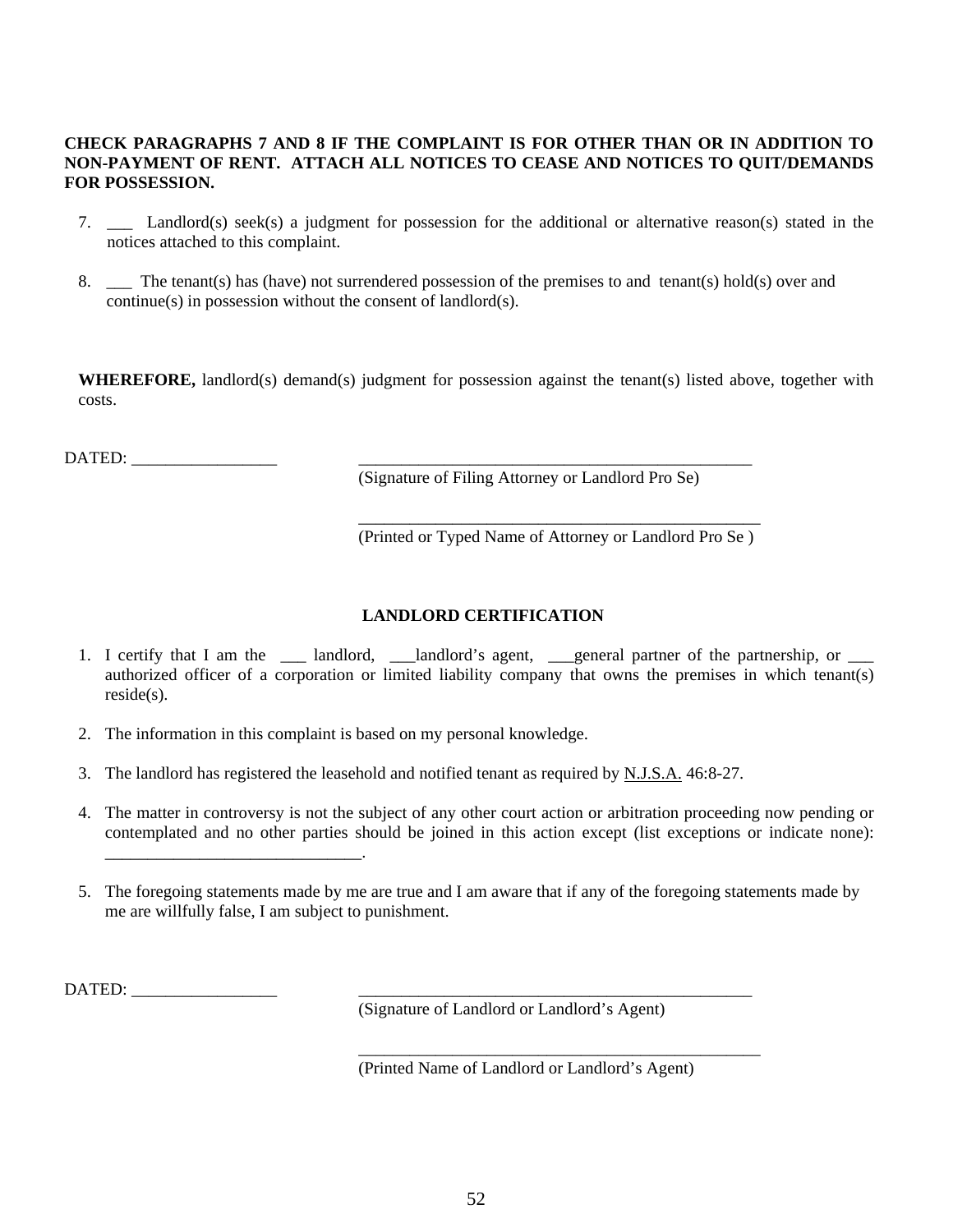#### **CHECK PARAGRAPHS 7 AND 8 IF THE COMPLAINT IS FOR OTHER THAN OR IN ADDITION TO NON-PAYMENT OF RENT. ATTACH ALL NOTICES TO CEASE AND NOTICES TO QUIT/DEMANDS FOR POSSESSION.**

- 7. \_\_\_ Landlord(s) seek(s) a judgment for possession for the additional or alternative reason(s) stated in the notices attached to this complaint.
- 8. \_\_\_ The tenant(s) has (have) not surrendered possession of the premises to and tenant(s) hold(s) over and continue(s) in possession without the consent of landlord(s).

**WHEREFORE,** landlord(s) demand(s) judgment for possession against the tenant(s) listed above, together with costs.

DATED:

(Signature of Filing Attorney or Landlord Pro Se)

\_\_\_\_\_\_\_\_\_\_\_\_\_\_\_\_\_\_\_\_\_\_\_\_\_\_\_\_\_\_\_\_\_\_\_\_\_\_\_\_\_\_\_\_\_\_\_ (Printed or Typed Name of Attorney or Landlord Pro Se )

#### **LANDLORD CERTIFICATION**

- 1. I certify that I am the \_\_\_\_ landlord, \_\_\_landlord's agent, \_\_\_general partner of the partnership, or \_\_\_\_ authorized officer of a corporation or limited liability company that owns the premises in which tenant(s) reside(s).
- 2. The information in this complaint is based on my personal knowledge.
- 3. The landlord has registered the leasehold and notified tenant as required by N.J.S.A. 46:8-27.
- 4. The matter in controversy is not the subject of any other court action or arbitration proceeding now pending or contemplated and no other parties should be joined in this action except (list exceptions or indicate none): \_\_\_\_\_\_\_\_\_\_\_\_\_\_\_\_\_\_\_\_\_\_\_\_\_\_\_\_\_\_.
- 5. The foregoing statements made by me are true and I am aware that if any of the foregoing statements made by me are willfully false, I am subject to punishment.

DATED: \_\_\_\_\_\_\_\_\_\_\_\_\_\_\_\_\_ \_\_\_\_\_\_\_\_\_\_\_\_\_\_\_\_\_\_\_\_\_\_\_\_\_\_\_\_\_\_\_\_\_\_\_\_\_\_\_\_\_\_\_\_\_\_

(Signature of Landlord or Landlord's Agent)

(Printed Name of Landlord or Landlord's Agent)

\_\_\_\_\_\_\_\_\_\_\_\_\_\_\_\_\_\_\_\_\_\_\_\_\_\_\_\_\_\_\_\_\_\_\_\_\_\_\_\_\_\_\_\_\_\_\_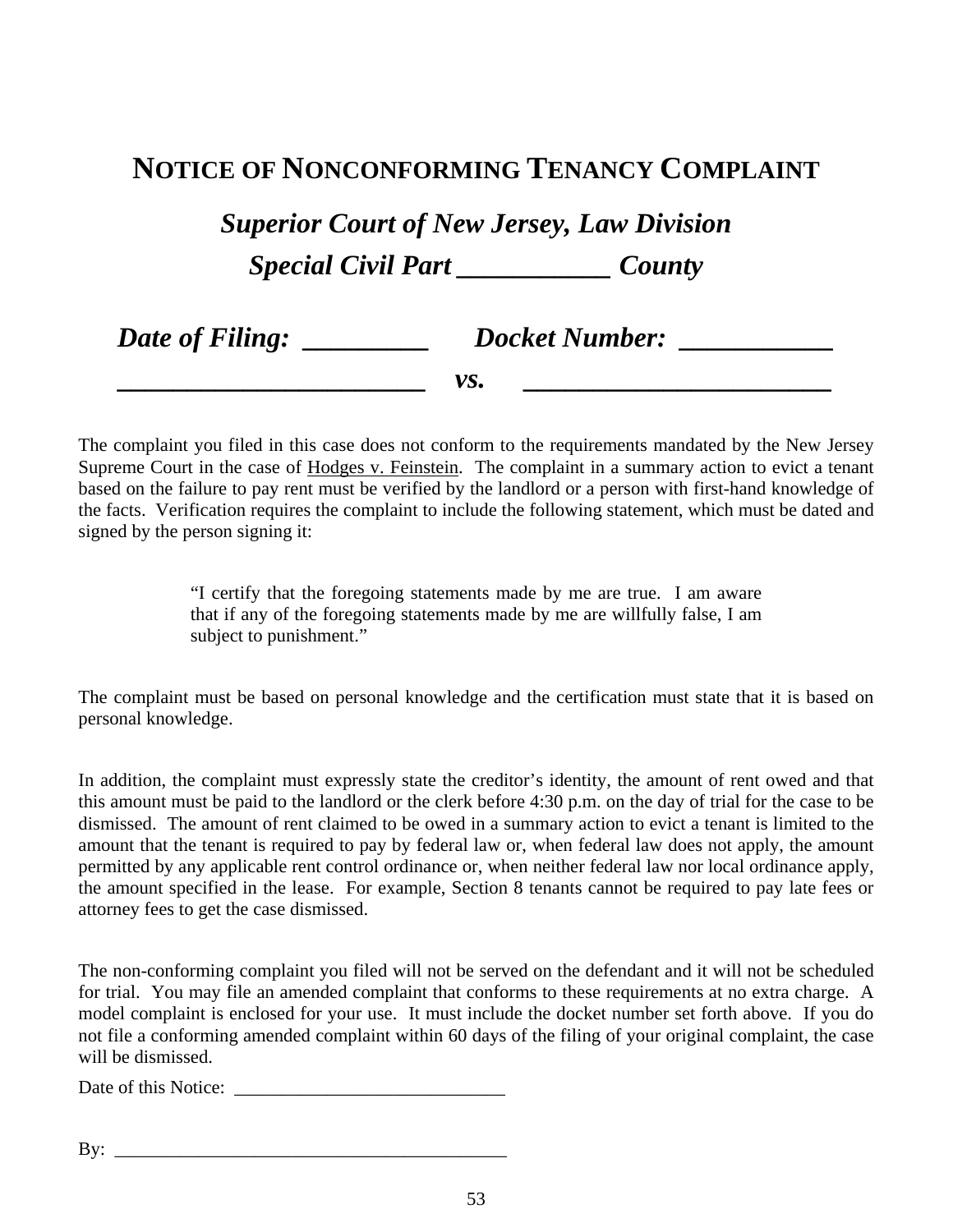## **NOTICE OF NONCONFORMING TENANCY COMPLAINT**

*Superior Court of New Jersey, Law Division Special Civil Part \_\_\_\_\_\_\_\_\_\_\_ County* 

| Date of Filing: | <b>Docket Number:</b> |
|-----------------|-----------------------|
|                 | vs.                   |

The complaint you filed in this case does not conform to the requirements mandated by the New Jersey Supreme Court in the case of Hodges v. Feinstein. The complaint in a summary action to evict a tenant based on the failure to pay rent must be verified by the landlord or a person with first-hand knowledge of the facts. Verification requires the complaint to include the following statement, which must be dated and signed by the person signing it:

> "I certify that the foregoing statements made by me are true. I am aware that if any of the foregoing statements made by me are willfully false, I am subject to punishment."

The complaint must be based on personal knowledge and the certification must state that it is based on personal knowledge.

In addition, the complaint must expressly state the creditor's identity, the amount of rent owed and that this amount must be paid to the landlord or the clerk before 4:30 p.m. on the day of trial for the case to be dismissed. The amount of rent claimed to be owed in a summary action to evict a tenant is limited to the amount that the tenant is required to pay by federal law or, when federal law does not apply, the amount permitted by any applicable rent control ordinance or, when neither federal law nor local ordinance apply, the amount specified in the lease. For example, Section 8 tenants cannot be required to pay late fees or attorney fees to get the case dismissed.

The non-conforming complaint you filed will not be served on the defendant and it will not be scheduled for trial. You may file an amended complaint that conforms to these requirements at no extra charge. A model complaint is enclosed for your use. It must include the docket number set forth above. If you do not file a conforming amended complaint within 60 days of the filing of your original complaint, the case will be dismissed.

Date of this Notice: \_\_\_\_\_\_\_\_\_\_\_\_\_\_\_\_\_\_\_\_\_\_\_\_\_\_\_\_\_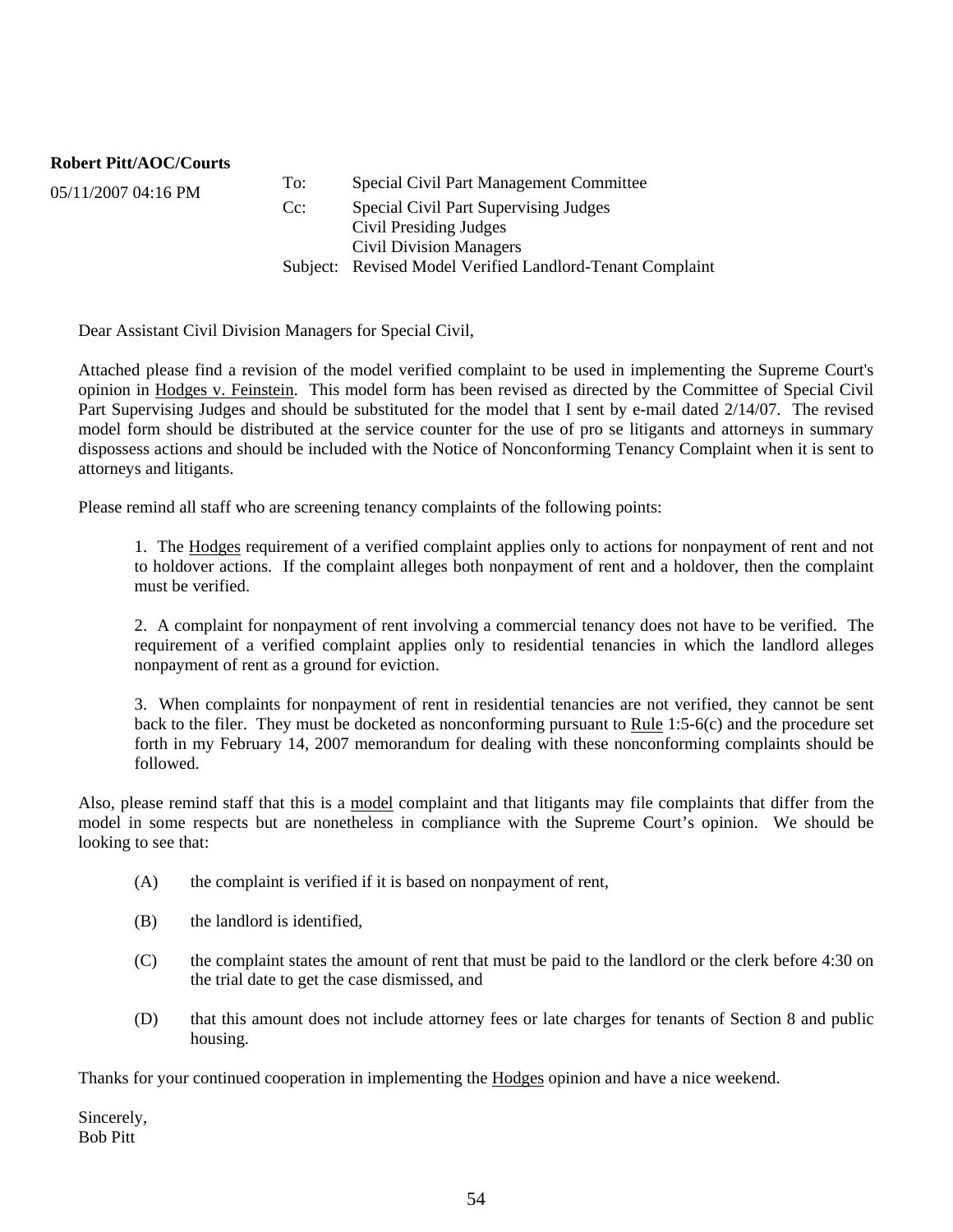**Robert Pitt/AOC/Courts**

05/11/2007 04:16 PM To: Special Civil Part Management Committee<br>Co: Special Civil Part Supervising Judges Special Civil Part Supervising Judges Civil Presiding Judges Civil Division Managers Subject: Revised Model Verified Landlord-Tenant Complaint

Dear Assistant Civil Division Managers for Special Civil,

Attached please find a revision of the model verified complaint to be used in implementing the Supreme Court's opinion in Hodges v. Feinstein. This model form has been revised as directed by the Committee of Special Civil Part Supervising Judges and should be substituted for the model that I sent by e-mail dated 2/14/07. The revised model form should be distributed at the service counter for the use of pro se litigants and attorneys in summary dispossess actions and should be included with the Notice of Nonconforming Tenancy Complaint when it is sent to attorneys and litigants.

Please remind all staff who are screening tenancy complaints of the following points:

1. The Hodges requirement of a verified complaint applies only to actions for nonpayment of rent and not to holdover actions. If the complaint alleges both nonpayment of rent and a holdover, then the complaint must be verified.

2. A complaint for nonpayment of rent involving a commercial tenancy does not have to be verified. The requirement of a verified complaint applies only to residential tenancies in which the landlord alleges nonpayment of rent as a ground for eviction.

3. When complaints for nonpayment of rent in residential tenancies are not verified, they cannot be sent back to the filer. They must be docketed as nonconforming pursuant to Rule 1:5-6(c) and the procedure set forth in my February 14, 2007 memorandum for dealing with these nonconforming complaints should be followed.

Also, please remind staff that this is a model complaint and that litigants may file complaints that differ from the model in some respects but are nonetheless in compliance with the Supreme Court's opinion. We should be looking to see that:

- (A) the complaint is verified if it is based on nonpayment of rent,
- (B) the landlord is identified,
- (C) the complaint states the amount of rent that must be paid to the landlord or the clerk before 4:30 on the trial date to get the case dismissed, and
- (D) that this amount does not include attorney fees or late charges for tenants of Section 8 and public housing.

Thanks for your continued cooperation in implementing the Hodges opinion and have a nice weekend.

Sincerely, Bob Pitt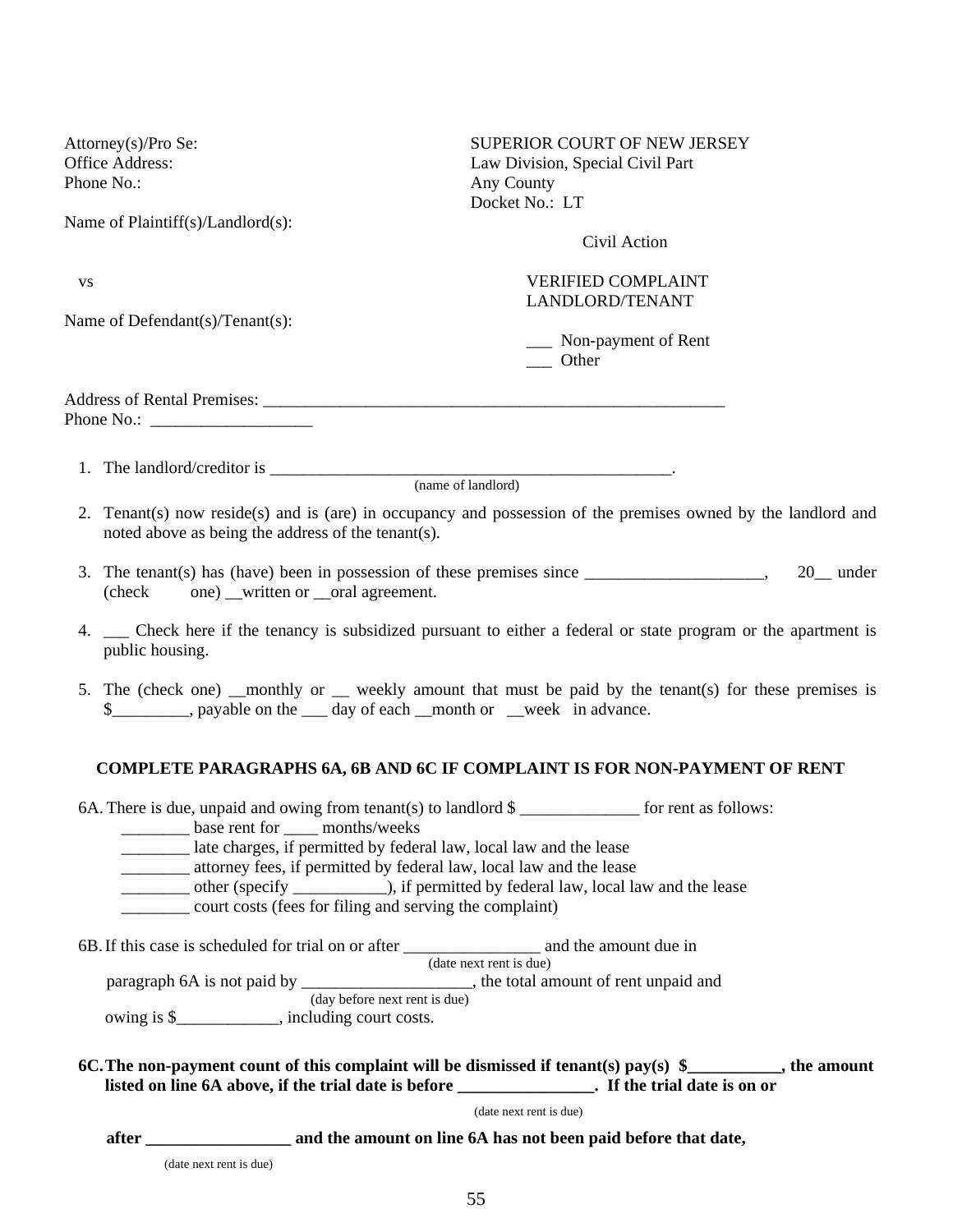Attorney(s)/Pro Se: SUPERIOR COURT OF NEW JERSEY Office Address: Law Division, Special Civil Part Phone No.: **Any County** Docket  $No \cdot LT$ Name of Plaintiff(s)/Landlord(s): Civil Action vs<br>
VERIFIED COMPLAINT LANDLORD/TENANT Name of Defendant(s)/Tenant(s): \_\_\_ Non-payment of Rent \_\_\_ Other Address of Rental Premises: \_\_\_\_\_\_\_\_\_\_\_\_\_\_\_\_\_\_\_\_\_\_\_\_\_\_\_\_\_\_\_\_\_\_\_\_\_\_\_\_\_\_\_\_\_\_\_\_\_\_\_\_\_\_ Phone No.: \_\_\_\_\_\_\_\_\_\_\_\_\_\_\_\_\_\_\_ 1. The landlord/creditor is \_\_\_\_\_\_\_\_\_\_\_\_\_\_\_\_\_\_\_\_\_\_\_\_\_\_\_\_\_\_\_\_\_\_\_\_\_\_\_\_\_\_\_\_\_\_\_. (name of landlord) 2. Tenant(s) now reside(s) and is (are) in occupancy and possession of the premises owned by the landlord and noted above as being the address of the tenant(s). 3. The tenant(s) has (have) been in possession of these premises since \_\_\_\_\_\_\_\_\_\_\_\_\_\_\_\_\_\_\_\_\_, 20\_\_ under (check one) written or oral agreement. 4. \_\_\_ Check here if the tenancy is subsidized pursuant to either a federal or state program or the apartment is public housing. 5. The (check one) \_\_monthly or \_\_ weekly amount that must be paid by the tenant(s) for these premises is  $\$\$ , payable on the day of each month or week in advance. **COMPLETE PARAGRAPHS 6A, 6B AND 6C IF COMPLAINT IS FOR NON-PAYMENT OF RENT**  6A. There is due, unpaid and owing from tenant(s) to landlord  $\$\$  for rent as follows: base rent for months/weeks \_\_\_\_\_\_\_\_ late charges, if permitted by federal law, local law and the lease \_\_\_\_\_\_\_\_ attorney fees, if permitted by federal law, local law and the lease \_\_\_\_\_\_\_\_ other (specify \_\_\_\_\_\_\_\_\_\_\_), if permitted by federal law, local law and the lease \_\_\_\_\_\_\_\_ court costs (fees for filing and serving the complaint) 6B. If this case is scheduled for trial on or after \_\_\_\_\_\_\_\_\_\_\_\_\_\_\_\_ and the amount due in (date next rent is due) paragraph 6A is not paid by  $\frac{1}{(day \text{ before next rent is due})}$ , the total amount of rent unpaid and owing is \$\_\_\_\_\_\_\_\_\_\_\_\_, including court costs. **6C. The non-payment count of this complaint will be dismissed if tenant(s) pay(s) \$\_\_\_\_\_\_\_\_\_\_\_, the amount listed on line 6A above, if the trial date is before \_\_\_\_\_\_\_\_\_\_\_\_\_\_\_\_. If the trial date is on or** 

(date next rent is due)

 **after \_\_\_\_\_\_\_\_\_\_\_\_\_\_\_\_\_ and the amount on line 6A has not been paid before that date,** 

(date next rent is due)